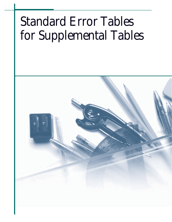# *Standard Error Tables for Supplemental Tables*

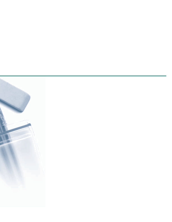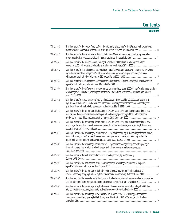### **Continued**

| Table S13-3 | Standard errors for the score difference from the international average for the 17 participating countries,                                                                                                                                         |  |
|-------------|-----------------------------------------------------------------------------------------------------------------------------------------------------------------------------------------------------------------------------------------------------|--|
| Table S14-1 | Standard errors for the percentage of the population age 25 and above who reported being in excellent                                                                                                                                               |  |
| Table S16-1 | Standard errors for the median annual earnings (in constant 2000 dollars) of all wage and salary                                                                                                                                                    |  |
| Table S16-2 | Standard errors for the ratio of median annual earnings of all wage and salary workers ages 25-34 whose<br>highest education level was grades 9-11, some college, or a bachelor's degree or higher, compared                                        |  |
| Table S16-3 | Standard errors for the ratio of median annual earnings of all male to all female wage and salary workers                                                                                                                                           |  |
| Table S16-4 | Standard errors for the difference in average annual earnings (in constant 2000 dollars) for all wage and salary<br>workers ages 25-34 between the highest and the lowest quartiles, by sex and educational attainment:                             |  |
| Table S16-5 | Standard errors for the percentage of young adults ages 25-34 whose highest education level was a<br>high school diploma or GED and whose annual earnings were higher than the median, and the highest                                              |  |
| Table S17-1 | Standard errors for the percentage distributions of 8 <sup>th</sup> -, 10 <sup>th</sup> -, and 12 <sup>th</sup> -grade students according to how<br>many school days they missed in a 4-week period, and average percentage of their total absences |  |
| Table S17-2 | Standard errors for the percentage distributions of $8th$ , 10 <sup>th</sup> -, and 12 <sup>th</sup> -grade students according to how<br>many days of school they missed in a 4-week period, by reason for absence, and according to how many       |  |
| Table S18-1 | Standard errors for the percentage distributions of 12 <sup>th</sup> -graders according to their ratings of school work's<br>meaningfulness, courses' degree of interest, and the importance of their school learning in later life,                |  |
| Table S18-2 | Standard errors for the percentage distributions of 12 <sup>th</sup> -graders according to frequency of engaging in<br>three activities related to effort in school, by sex, high school program, and average grades:                               |  |
| Table S19-1 | Standard errors for the status dropout rates of 16- to 24-year olds, by race/ethnicity:                                                                                                                                                             |  |
| Table S19-2 | Standard errors for the status dropout rates and number and percentage distribution of dropouts                                                                                                                                                     |  |
| Table S20-1 | Standard errors for the percentage of high school completers who were enrolled in college the<br>October after completing high school, by family income and race/ethnicity: October 1972-2000  47                                                   |  |
| Table S20-2 | Standard errors for the percentage distribution of high school completers who were enrolled in college the<br>October after completing high school according to sex and type of institution: October 1972-2000  48                                  |  |
| Table S20-3 | Standard errors for the percentage of high school completers who were enrolled in college the October                                                                                                                                               |  |
| Table S24-1 | Standard errors for the percentage of low- and middle-income 1995-96 beginning postsecondary<br>students who persisted, by receipt of Pell Grant, type of institution, SAT/ACT scores, and high school                                              |  |
|             |                                                                                                                                                                                                                                                     |  |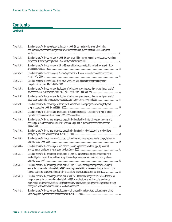#### **Continued**

| Table S24-2 | Standard errors for the percentage distribution of 1995-96 low- and middle-income beginning<br>postsecondary students according to their academic preparation, by receipt of Pell Grant and type of                                                                                                                           |
|-------------|-------------------------------------------------------------------------------------------------------------------------------------------------------------------------------------------------------------------------------------------------------------------------------------------------------------------------------|
| Table S24-3 | Standard errors for the percentage of 1995-96 low- and middle-income beginning postsecondary students                                                                                                                                                                                                                         |
| Table S25-1 | Standard errors for the percentage of 25- to 29-year-olds who completed high school, by race/ethnicity                                                                                                                                                                                                                        |
| Table S25-2 | Standard errors for the percentage of 25- to 29-year-olds with some college, by race/ethnicity and sex:                                                                                                                                                                                                                       |
| Table S25-3 | Standard errors for the percentage of 25-to 29-year-olds with a bachelor's degree or higher, by                                                                                                                                                                                                                               |
| Table S26-1 | Standard errors for the percentage distribution of high school graduates according to the highest level of                                                                                                                                                                                                                    |
| Table S26-2 | Standard errors for the percentage distribution of high school graduates according to the highest level of                                                                                                                                                                                                                    |
| Table S29-1 | Standard errors for the percentage of districts with public school choice programs according to type of                                                                                                                                                                                                                       |
| Table S29-2 | Standard errors for the percentage distributions of students in grades 1-12 according to type of school,                                                                                                                                                                                                                      |
| Table S30-1 | Standard errors for the number and percentage distribution of public charter schools and students, and<br>percentage of charter schools and students by school origin status, by selected school characteristics:                                                                                                             |
| Table S30-2 | Standard errors for the number and percentage distribution of public schools according to school level                                                                                                                                                                                                                        |
| Table S30-3 | Standard errors for the percentage of public school teachers according to school level and type, by teacher                                                                                                                                                                                                                   |
| Table S30-4 | Standard errors for the percentage of public schools according to school level and type, by parental                                                                                                                                                                                                                          |
| Table S31-1 | Standard errors for the percentage distributions of 1992-93 bachelor's degree recipients according to<br>availability of scores and the quartile ranking of their college entrance examination score, by graduate                                                                                                             |
| Table S31-2 | Standard errors for the percentage distributions of 1992-93 bachelor's degree recipients who taught in<br>elementary or secondary schools before 1997 according to availability of scores and the quartile ranking of<br>their college entrance examination score, by selected characteristics of teachers' careers: 1997  63 |
| Table S31-3 | Standard errors for the percentage distribution of all 1992-93 bachelor's degree recipients and those who<br>taught in elementary or secondary schools before 1997 according to whether their college entrance<br>examination scores were available, and the percentage whose available scores were in the top half of their  |
| Table S32-1 | Standard errors for the percentage distributions of full-time public and private school teachers who held                                                                                                                                                                                                                     |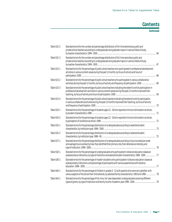### **Continued**

| Table S32-2 | Standard errors for the number and percentage distribution of full-time elementary public and<br>private school teachers according to undergraduate and graduate majors in various fields of study,                      |  |
|-------------|--------------------------------------------------------------------------------------------------------------------------------------------------------------------------------------------------------------------------|--|
| Table S32-3 | Standard errors for the number and percentage distribution of full-time secondary public and<br>private school teachers according to undergraduate and graduate majors in various fields of study,                       |  |
| Table S33-1 | Standard errors for the percentage of public school teachers who participated in professional development<br>activities in various content areas during the past 12 months, by focus of activity and hours of            |  |
| Table S33-2 | Standard errors for the percentage of public school teachers who participated in various collaborative<br>activities during the past 12 months, by focus of activity and frequency of participation: 2000  68            |  |
| Table S33-3 | Standard errors for the percentage of public school teachers indicating the extent to which participation in<br>professional development activities in various content areas during the past 12 months improved their    |  |
| Table S33-4 | Standard errors for the percentage of public school teachers indicating the extent to which participation<br>in various collaborative activities during the past 12 months improved their teaching, by focus of activity |  |
| Table S34-1 | Standard errors for the percentage of students ages 12-18 who reported criminal victimization at school,                                                                                                                 |  |
| Table S34-2 | Standard errors for the percentage of students ages 12-18 who reported criminal victimization at school,                                                                                                                 |  |
| Table S35-1 | Standard errors for the percentage distribution of undergraduates according to selected student                                                                                                                          |  |
| Table S35-2 | Standard errors for the percentage distribution of undergraduates according to selected student                                                                                                                          |  |
| Table S37-1 | Standard errors for the percentage distribution of undergraduates according to hours worked per week<br>and average hours worked, by how they identified their primary role, their attendance intensity, and             |  |
| Table S38-1 | Standard errors for the percentage of undergraduates who participated in distance education classes at<br>postsecondary institutions, by type of institution and selected student characteristics: 1999-2000  77         |  |
| Table S38-2 | Standard errors for the percentage of master's students who participated in distance education classes at<br>postsecondary institutions, and percentage of participants with various experiences with distance           |  |
| Table S40-1 | Standard errors for the percentage of children in grades 3-12 with parents who were very satisfied with<br>various aspects of the school their child attends, by selected family characteristics: 1993 and 1999  78      |  |
| Table S44-1 | Standard errors for the percentage of full-time, full-year dependent undergraduates receiving different                                                                                                                  |  |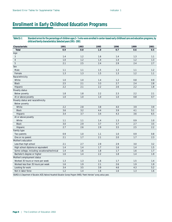### **Enrollment in Early Childhood Education Programs**

#### **Table S1-1 Standard errors for the percentage of children ages 3–5 who were enrolled in center-based early childhood care and education programs, by child and family characteristics: Selected years 1991–2001**

| Characteristic                               | 1991             | 1993             | 1995             | 1996 | 1999             | 2001 |
|----------------------------------------------|------------------|------------------|------------------|------|------------------|------|
| <b>Total</b>                                 | 0.9              | 0.8              | 1.0              | 0.7  | 0.6              | 0.5  |
| Age                                          |                  |                  |                  |      |                  |      |
| 3                                            | 1.4              | 1.2              | 1.6              | 1.4  | 1.3              | 1.1  |
| $\overline{4}$                               | $\overline{1.0}$ | $\overline{1.2}$ | 1.4              | 1.4  | $\overline{1.2}$ | 1.3  |
| 5                                            | 2.1              | 2.5              | 2.4              | 2.9  | 2.4              | 2.7  |
| Sex                                          |                  |                  |                  |      |                  |      |
| Male                                         | 1.1              | 1.1              | 1.5              | 1.3  | 1.1              | 1.2  |
| Female                                       | 1.3              | 1.3              | 1.5              | 1.3  | 1.2              | 1.1  |
| Race/ethnicity                               |                  |                  |                  |      |                  |      |
| White                                        | 1.0              | 1.0              | 1.4              | 1.2  | 0.8              | 0.9  |
| <b>Black</b>                                 | 2.5              | 2.1              | $\overline{3.3}$ | 2.7  | 2.4              | 2.8  |
| Hispanic                                     | 2.2              | 2.1              | 2.2              | 2.6  | 2.2              | 1.8  |
| Poverty status                               |                  |                  |                  |      |                  |      |
| Below poverty                                | 1.8              | 1.8              | 2.2              | 2.3  | 2.2              | 2.1  |
| At or above poverty                          | 1.0              | 1.0              | 1.0              | 1.0  | 0.8              | 0.7  |
| Poverty status and race/ethnicity            |                  |                  |                  |      |                  |      |
| Below poverty                                |                  |                  |                  |      |                  |      |
| White                                        | 2.2              | 2.8              | 3.8              | 4.0  | 3.9              | 3.9  |
| <b>Black</b>                                 | 3.6              | 3.2              | 4.4              | 3.9  | 4.1              | 5.1  |
| Hispanic                                     | 3.4              | 3.7              | 3.4              | 4.3  | 3.6              | 6.5  |
| At or above poverty                          |                  |                  |                  |      |                  |      |
| White                                        | 1.1              | 1.1              | 1.4              | 1.3  | 0.9              | 1.0  |
| <b>Black</b>                                 | 3.0              | 2.9              | 3.7              | 3.7  | 2.7              | 3.5  |
| Hispanic                                     | 2.7              | 2.6              | 2.9              | 3.5  | 2.5              | 2.2  |
| Family type                                  |                  |                  |                  |      |                  |      |
| Two parents                                  | 0.9              | 1.0              | 1.1              | 1.0  | 0.9              | 0.8  |
| One or no parent                             | 2.1              | 1.7              | 2.1              | 2.0  | 1.7              | 2.3  |
| Mother's education                           |                  |                  |                  |      |                  |      |
| Less than high school                        | 2.1              | 2.7              | 2.9              | 2.9  | 3.0              | 3.2  |
| High school diploma or equivalent            | 1.4              | 1.4              | 1.7              | 1.6  | 1.4              | 1.5  |
| Some college, including vocational/technical | 1.4              | 1.6              | 1.8              | 1.7  | 1.6              | 1.7  |
| Bachelor's degree or higher                  | 1.6              | 1.4              | 2.2              | 1.8  | 1.4              | 1.9  |
| Mother's employment status                   |                  |                  |                  |      |                  |      |
| Worked 35 hours or more per week             | 1.3              | 1.3              | 1.6              | 1.7  | 1.5              | 1.4  |
| Worked less than 35 hours per week           | 1.6              | 1.9              | 2.1              | 2.6  | 1.9              | 1.9  |
| Looking for work                             | 3.4              | 3.5              | 3.9              | 4.6  | 4.3              | 5.2  |
| Not in labor force                           | 1.2              | 1.4              | 1.6              | 1.6  | 1.3              | 1.6  |
|                                              |                  |                  |                  |      |                  |      |

SOURCE: U.S. Department of Education, NCES. National Household Education Surveys Program (NHES), "Parent Interview" survey, various years.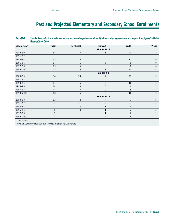# **Past and Projected Elementary and Secondary School Enrollments**

| Table S2-3  | Standard errors for the private elementary and secondary school enrollment (in thousands), by grade level and region: School years 1989-90<br>through 1999-2000 |                |                |                |                |  |  |
|-------------|-----------------------------------------------------------------------------------------------------------------------------------------------------------------|----------------|----------------|----------------|----------------|--|--|
| School year | Total                                                                                                                                                           | Northeast      | <b>Midwest</b> | South          | West           |  |  |
|             |                                                                                                                                                                 |                | Grades K-12    |                |                |  |  |
| 1989-90     | 38                                                                                                                                                              | 37             | 15             | 23             | 12             |  |  |
| 1991-92     |                                                                                                                                                                 |                |                |                |                |  |  |
| 1993-94     | 13                                                                                                                                                              | 6              | 4              | 11             | 6              |  |  |
| 1995-96     | 17                                                                                                                                                              | 6              | 6              | $\, 8$         | 9              |  |  |
| 1997-98     | 13                                                                                                                                                              | 5              | 10             | 6              | 4              |  |  |
| 1999-2000   | 25                                                                                                                                                              | 6              | 8              | 23             | 4              |  |  |
|             |                                                                                                                                                                 |                | Grades K-8     |                |                |  |  |
| 1989-90     | 34                                                                                                                                                              | 34             | 12             | 21             | 9              |  |  |
| $1991 - 92$ | —                                                                                                                                                               |                |                |                |                |  |  |
| 1993-94     | 11                                                                                                                                                              | 5              | 3              | 10             | 4              |  |  |
| 1995-96     | 14                                                                                                                                                              | 3              | 5              | 6              |                |  |  |
| 1997-98     | 12                                                                                                                                                              | 5              | 10             | 5              | 3              |  |  |
| 1999-2000   | 18                                                                                                                                                              | 5              | 6              | 16             | 3              |  |  |
|             |                                                                                                                                                                 |                | Grades 9-12    |                |                |  |  |
| 1989-90     | 13                                                                                                                                                              | 8              | 4              | 7              | 5              |  |  |
| $1991 - 92$ | —                                                                                                                                                               |                |                |                |                |  |  |
| 1993-94     | 3                                                                                                                                                               | $\overline{2}$ |                | 3              | $\overline{2}$ |  |  |
| 1995-96     | 5                                                                                                                                                               | 3              |                | $\overline{2}$ | $\overline{2}$ |  |  |
| 1997-98     | $\overline{2}$                                                                                                                                                  |                |                | $\overline{2}$ |                |  |  |
| 1999-2000   | 8                                                                                                                                                               |                | $\overline{2}$ | 8              | $\overline{2}$ |  |  |

— Not available.

SOURCE: U.S. Department of Education, NCES. Private School Surveys (PSS), various years.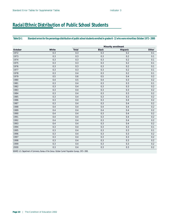### **Racial/Ethnic Distribution of Public School Students**

### **Table S3-1 Standard errors for the percentage distribution of public school students enrolled in grades K–12 who were minorities: October 1972–2000**

|         |       | Minority enrollment |              |          |         |  |
|---------|-------|---------------------|--------------|----------|---------|--|
| October | White | Total               | <b>Black</b> | Hispanic | Other   |  |
| 1972    | 0.3   | 0.3                 | 0.3          | 0.2      | 0.1     |  |
| 1973    | 0.3   | 0.3                 | 0.3          | 0.2      | 0.1     |  |
| 1974    | 0.3   | 0.3                 | 0.3          | 0.2      | 0.1     |  |
| 1975    | 0.3   | 0.3                 | 0.3          | 0.2      | 0.1     |  |
| 1976    | 0.3   | 0.3                 | 0.3          | 0.2      | 0.1     |  |
| 1977    | 0.3   | 0.3                 | 0.3          | 0.2      | 0.1     |  |
| 1978    | 0.3   | 0.4                 | 0.3          | 0.2      | 0.1     |  |
| 1979    | 0.5   | 0.6                 | 0.5          | 0.4      | 0.2     |  |
| 1980    | 0.4   | 0.5                 | 0.4          | $0.3\,$  | 0.2     |  |
| 1981    | 0.3   | 0.4                 | 0.3          | 0.3      | 0.1     |  |
| 1982    | 0.3   | 0.4                 | 0.3          | 0.3      | 0.2     |  |
| 1983    | 0.3   | 0.4                 | 0.3          | 0.3      | 0.2     |  |
| 1984    | 0.3   | 0.4                 | 0.3          | 0.3      | 0.2     |  |
| 1985    | 0.3   | 0.4                 | 0.3          | 0.3      | 0.2     |  |
| 1986    | 0.3   | 0.4                 | 0.3          | 0.4      | 0.2     |  |
| 1987    | 0.3   | 0.4                 | 0.3          | 0.4      | 0.2     |  |
| 1988    | 0.4   | 0.4                 | 0.4          | 0.4      | 0.2     |  |
| 1989    | 0.4   | 0.4                 | 0.4          | 0.4      | 0.2     |  |
| 1990    | 0.4   | 0.4                 | 0.3          | 0.4      | 0.2     |  |
| 1991    | 0.4   | 0.4                 | 0.3          | 0.4      | 0.2     |  |
| 1992    | 0.4   | 0.4                 | 0.3          | 0.4      | 0.2     |  |
| 1993    | 0.4   | 0.4                 | 0.3          | 0.4      | 0.2     |  |
| 1994    | 0.3   | 0.4                 | 0.3          | 0.3      | 0.1     |  |
| 1995    | 0.3   | 0.4                 | 0.3          | 0.3      | 0.1     |  |
| 1996    | 0.3   | 0.4                 | 0.3          | 0.3      | 0.2     |  |
| 1997    | 0.3   | 0.4                 | 0.3          | 0.3      | 0.2     |  |
| 1998    | 0.3   | 0.4                 | 0.3          | 0.3      | 0.2     |  |
| 1999    | 0.3   | 0.4                 | 0.3          | 0.3      | $0.2\,$ |  |
| 2000    | 0.3   | 0.4                 | 0.3          | 0.3      | 0.2     |  |

SOURCE: U.S. Department of Commerce, Bureau of the Census. October Current Population Surveys, 1972–2000.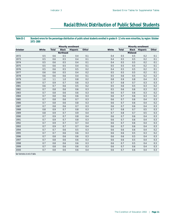### **Racial/Ethnic Distribution of Public School Students**

| Table S3-2 | Standard errors for the percentage distribution of public school students enrolled in grades K-12 who were minorities, by region: October<br>1972-2000 |                     |                  |          |         |                     |         |                |          |         |
|------------|--------------------------------------------------------------------------------------------------------------------------------------------------------|---------------------|------------------|----------|---------|---------------------|---------|----------------|----------|---------|
|            |                                                                                                                                                        | Minority enrollment |                  |          |         | Minority enrollment |         |                |          |         |
| October    | White                                                                                                                                                  | Total               | <b>Black</b>     | Hispanic | Other   | White               | Total   | <b>Black</b>   | Hispanic | Other   |
|            |                                                                                                                                                        |                     | <b>Northeast</b> |          |         |                     |         | <b>Midwest</b> |          |         |
| 1972       | 0.5                                                                                                                                                    | 0.6                 | 0.5              | 0.4      | 0.1     | 0.4                 | 0.5     | 0.5            | 0.2      | 0.1     |
| 1973       | 0.5                                                                                                                                                    | 0.6                 | 0.5              | 0.4      | 0.1     | 0.4                 | 0.5     | 0.5            | 0.2      | 0.1     |
| 1974       | 0.5                                                                                                                                                    | 0.6                 | 0.5              | 0.4      | 0.1     | 0.4                 | 0.5     | 0.5            | 0.2      | 0.1     |
| 1975       | 0.5                                                                                                                                                    | 0.6                 | 0.5              | 0.4      | 0.1     | 0.5                 | $0.5\,$ | 0.5            | 0.2      | 0.1     |
| 1976       | 0.5                                                                                                                                                    | 0.6                 | 0.5              | 0.5      | 0.2     | 0.4                 | 0.5     | 0.5            | 0.2      | 0.1     |
| 1977       | 0.6                                                                                                                                                    | 0.6                 | 0.5              | 0.4      | 0.2     | 0.5                 | 0.5     | 0.5            | 0.2      | 0.1     |
| 1978       | 0.6                                                                                                                                                    | 0.6                 | 0.6              | 0.4      | 0.1     | 0.5                 | 0.6     | 0.5            | 0.2      | 0.2     |
| 1979       | 1.0                                                                                                                                                    | 1.1                 | 1.0              | 0.8      | 0.2     | $0.8\,$             | 0.9     | 0.8            | 0.4      | 0.3     |
| 1980       | 0.7                                                                                                                                                    | 0.9                 | 0.7              | 0.6      | 0.3     | 0.7                 | $0.8\,$ | 0.7            | 0.3      | 0.3     |
| 1981       | 0.6                                                                                                                                                    | 0.7                 | 0.6              | 0.5      | 0.2     | 0.5                 | 0.6     | 0.5            | 0.3      | 0.2     |
| 1982       | 0.7                                                                                                                                                    | 0.8                 | 0.6              | 0.6      | 0.3     | 0.5                 | 0.6     | 0.6            | 0.3      | 0.2     |
| 1983       | 0.7                                                                                                                                                    | 0.8                 | 0.6              | 0.6      | 0.3     | 0.6                 | 0.7     | 0.6            | 0.3      | 0.2     |
| 1984       | 0.7                                                                                                                                                    | 0.8                 | 0.6              | 0.6      | 0.3     | 0.6                 | 0.7     | 0.6            | 0.3      | 0.2     |
| 1985       | 0.7                                                                                                                                                    | 0.8                 | 0.6              | 0.7      | 0.3     | 0.6                 | 0.7     | 0.6            | 0.4      | 0.3     |
| 1986       | 0.7                                                                                                                                                    | 0.8                 | 0.6              | 0.8      | 0.3     | 0.6                 | 0.7     | 0.6            | 0.4      | $0.2\,$ |
| 1987       | 0.7                                                                                                                                                    | 0.8                 | 0.6              | 0.7      | 0.3     | 0.6                 | 0.7     | 0.6            | 0.4      | 0.3     |
| 1988       | 0.8                                                                                                                                                    | 0.9                 | 0.7              | 0.8      | 0.3     | 0.7                 | 0.8     | 0.7            | 0.5      | 0.3     |
| 1989       | 0.8                                                                                                                                                    | 0.9                 | 0.7              | 0.9      | 0.4     | 0.7                 | 0.8     | 0.7            | 0.5      | 0.3     |
| 1990       | 0.7                                                                                                                                                    | 0.9                 | 0.7              | 0.8      | 0.4     | 0.6                 | 0.7     | 0.6            | 0.4      | 0.3     |
| 1991       | 0.7                                                                                                                                                    | 0.9                 | 0.7              | 0.8      | 0.3     | 0.6                 | 0.7     | 0.6            | 0.4      | 0.3     |
| 1992       | 0.7                                                                                                                                                    | 0.9                 | 0.7              | 0.7      | 0.4     | 0.6                 | 0.7     | 0.6            | 0.4      | 0.3     |
| 1993       | 0.7                                                                                                                                                    | 0.9                 | 0.7              | 0.7      | 0.4     | 0.6                 | 0.7     | 0.6            | 0.4      | 0.3     |
| 1994       | 0.7                                                                                                                                                    | 0.7                 | 0.6              | 0.5      | 0.3     | 0.6                 | 0.6     | 0.6            | 0.4      | 0.2     |
| 1995       | 0.7                                                                                                                                                    | 0.7                 | 0.6              | 0.6      | 0.3     | 0.6                 | 0.6     | 0.5            | 0.3      | 0.2     |
| 1996       | 0.7                                                                                                                                                    | 0.8                 | 0.6              | 0.6      | 0.3     | 0.6                 | 0.6     | 0.5            | 0.4      | 0.3     |
| 1997       | 0.7                                                                                                                                                    | 0.8                 | 0.6              | 0.6      | $0.3\,$ | 0.6                 | 0.6     | 0.5            | 0.4      | 0.3     |
| 1998       | 0.7                                                                                                                                                    | 0.8                 | 0.6              | 0.6      | 0.3     | 0.6                 | 0.7     | 0.5            | 0.4      | 0.3     |
| 1999       | 0.7                                                                                                                                                    | 0.8                 | 0.6              | 0.6      | 0.3     | 0.6                 | 0.7     | 0.6            | 0.4      | 0.3     |
| 2000       | 0.7                                                                                                                                                    | 0.8                 | 0.6              | 0.6      | 0.4     | 0.6                 | 0.7     | 0.6            | 0.4      | 0.3     |

See footnotes at end of table.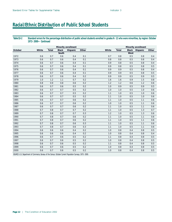### **Racial/Ethnic Distribution of Public School Students**

#### **Table S3-2 Standard errors for the percentage distribution of public school students enrolled in grades K–12 who were minorities, by region: October 1972–2000—Continued**

|         |       |       |              | Minority enrollment |       |       |       |       | Minority enrollment |         |
|---------|-------|-------|--------------|---------------------|-------|-------|-------|-------|---------------------|---------|
| October | White | Total | <b>Black</b> | Hispanic            | Other | White | Total | Black | Hispanic            | Other   |
|         |       |       | South        |                     |       |       |       | West  |                     |         |
| 1972    | 0.6   | 0.7   | 0.6          | 0.4                 | 0.1   | 0.7   | 0.8   | 0.5   | 0.8                 | 0.4     |
| 1973    | 0.6   | 0.7   | 0.6          | 0.4                 | 0.1   | 0.8   | 0.8   | 0.5   | 0.8                 | 0.4     |
| 1974    | 0.6   | 0.7   | 0.6          | 0.4                 | 0.1   | 0.9   | 0.8   | 0.5   | 0.8                 | 0.4     |
| 1975    | 0.6   | 0.7   | 0.6          | 0.4                 | 0.1   | 0.9   | 0.8   | 0.5   | 0.8                 | 0.5     |
| 1976    | 0.6   | 0.7   | 0.6          | 0.4                 | 0.1   | 0.9   | 0.9   | 0.5   | 0.8                 | 0.4     |
| 1977    | 0.6   | 0.7   | 0.6          | 0.4                 | 0.1   | 0.9   | 0.9   | 0.5   | 0.8                 | 0.5     |
| 1978    | 0.6   | 0.7   | 0.6          | 0.4                 | 0.2   | 0.9   | 0.9   | 0.5   | 0.9                 | 0.5     |
| 1979    | 1.0   | 1.2   | 1.1          | 0.7                 | 0.2   | 1.6   | 1.6   | 0.9   | 1.5                 | $0.8\,$ |
| 1980    | 0.8   | 0.9   | 0.8          | 0.6                 | 0.2   | 1.2   | 1.2   | 0.6   | 1.2                 | 0.6     |
| 1981    | 0.6   | 0.7   | 0.6          | 0.5                 | 0.2   | 1.0   | 0.9   | 0.5   | 0.9                 | $0.5\,$ |
| 1982    | 0.6   | 0.7   | 0.7          | 0.5                 | 0.2   | 1.0   | 1.0   | 0.5   | 1.0                 | 0.6     |
| 1983    | 0.6   | 0.7   | 0.7          | 0.5                 | 0.2   | 1.1   | 1.0   | 0.5   | 1.0                 | 0.6     |
| 1984    | 0.6   | 0.7   | 0.7          | 0.5                 | 0.2   | 1.1   | 1.0   | 0.5   | $1.0\,$             | 0.6     |
| 1985    | 0.6   | 0.7   | 0.7          | 0.6                 | 0.2   | 1.1   | 1.0   | 0.5   | 1.1                 | 0.6     |
| 1986    | 0.6   | 0.7   | 0.7          | 0.6                 | 0.2   | 1.0   | 1.0   | 0.5   | 1.1                 | 0.6     |
| 1987    | 0.6   | 0.7   | 0.7          | 0.6                 | 0.2   | 1.1   | 1.0   | 0.5   | 1.1                 | 0.6     |
| 1988    | 0.7   | 0.8   | 0.7          | 0.7                 | 0.2   | 1.1   | 1.0   | 0.5   | 1.3                 | 0.7     |
| 1989    | 0.7   | 0.8   | 0.7          | 0.7                 | 0.3   | 1.2   | 1.0   | 0.5   | 1.3                 | 0.6     |
| 1990    | 0.7   | 0.8   | 0.7          | 0.6                 | 0.2   | 1.1   | 1.0   | 0.5   | 1.1                 | 0.6     |
| 1991    | 0.7   | 0.8   | 0.7          | 0.6                 | 0.2   | 1.1   | 1.0   | 0.5   | 1.1                 | 0.6     |
| 1992    | 0.7   | 0.8   | 0.7          | 0.6                 | 0.3   | 1.1   | 1.0   | 0.5   | 1.1                 | 0.6     |
| 1993    | 0.7   | 0.8   | 0.7          | 0.6                 | 0.3   | 1.1   | 1.0   | 0.5   | 1.1                 | 0.6     |
| 1994    | 0.6   | 0.6   | 0.6          | 0.4                 | 0.2   | 1.0   | 0.8   | 0.4   | 0.8                 | 0.5     |
| 1995    | 0.6   | 0.6   | 0.6          | 0.4                 | 0.2   | 1.0   | 0.8   | 0.4   | 0.8                 | 0.4     |
| 1996    | 0.6   | 0.7   | 0.6          | 0.5                 | 0.2   | 1.1   | 0.8   | 0.4   | 0.8                 | $0.5\,$ |
| 1997    | 0.6   | 0.7   | 0.6          | 0.5                 | 0.2   | 1.0   | 0.8   | 0.4   | 0.8                 | 0.5     |
| 1998    | 0.6   | 0.7   | 0.6          | 0.5                 | 0.2   | 1.1   | 0.8   | 0.4   | 0.8                 | 0.5     |
| 1999    | 0.6   | 0.7   | 0.6          | 0.5                 | 0.2   | 1.0   | 0.8   | 0.4   | 0.8                 | $0.5\,$ |
| 2000    | 0.6   | 0.7   | 0.6          | 0.5                 | 0.2   | 1.0   | 0.8   | 0.4   | 0.8                 | 0.5     |

SOURCE: U.S. Department of Commerce, Bureau of the Census. October Current Population Surveys, 1972–2000.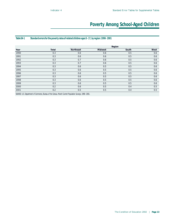### **Poverty Among School-Aged Children**

### **Table S4-1 Standard errors for the poverty rates of related children ages 5–17, by region: 1990–2001**

|      |       |           | Region         |       |      |  |  |  |
|------|-------|-----------|----------------|-------|------|--|--|--|
| Year | Total | Northeast | <b>Midwest</b> | South | West |  |  |  |
| 1990 | 0.3   | 0.6       | 0.6            | 0.5   | 0.6  |  |  |  |
| 1991 | 0.3   | 0.6       | 0.6            | 0.5   | 0.6  |  |  |  |
| 1992 | 0.3   | 0.7       | 0.6            | 0.5   | 0.6  |  |  |  |
| 1993 | 0.3   | 0.7       | 0.6            | 0.5   | 0.6  |  |  |  |
| 1994 | 0.3   | 0.6       | 0.5            | 0.5   | 0.6  |  |  |  |
| 1995 | 0.3   | 0.6       | 0.5            | 0.5   | 0.6  |  |  |  |
| 1996 | 0.3   | 0.6       | 0.5            | 0.5   | 0.6  |  |  |  |
| 1997 | 0.3   | 0.6       | 0.5            | 0.5   | 0.6  |  |  |  |
| 1998 | 0.3   | 0.6       | 0.5            | 0.5   | 0.6  |  |  |  |
| 1999 | 0.3   | 0.6       | 0.5            | 0.5   | 0.6  |  |  |  |
| 2000 | 0.2   | 0.6       | 0.5            | 0.4   | 0.5  |  |  |  |
| 2001 | 0.2   | 0.5       | 0.5            | 0.4   | 0.5  |  |  |  |
|      |       |           |                |       |      |  |  |  |

SOURCE: U.S. Department of Commerce, Bureau of the Census. March Current Population Surveys, 1990–2001.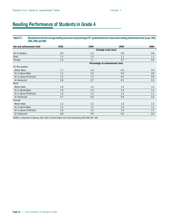# **Reading Performance of Students in Grade 4**

#### Table S7-1 Standard errors for the average reading scale score and percentage of 4<sup>th</sup>-grade students at or above each reading achievement level, by sex: 1992, **1994, 1998, and 2000**

| Sex and achievement level    | 1992                | 1994                            | 1998 | 2000 |  |  |
|------------------------------|---------------------|---------------------------------|------|------|--|--|
|                              | Average scale score |                                 |      |      |  |  |
| All 4 <sup>th</sup> -graders | 0.9                 | 1.0                             | 0.8  | 0.8  |  |  |
| Male                         | 1.2                 | 1.3                             | 1.1  | 1.1  |  |  |
| Female                       | 1.0                 | 1.1                             | 0.7  | 0.9  |  |  |
|                              |                     | Percentage at achievement level |      |      |  |  |
| All 4th-graders              |                     |                                 |      |      |  |  |
| <b>Below Basic</b>           | 1.1                 | 1.0                             | 0.9  | 0.8  |  |  |
| At or above Basic            | 1.1                 | 1.0                             | 0.9  | 0.8  |  |  |
| At or above Proficient       | 1.2                 | 1.1                             | 0.9  | 0.9  |  |  |
| At Advanced                  | 0.6                 | 0.7                             | 0.5  | 0.5  |  |  |
| Male                         |                     |                                 |      |      |  |  |
| <b>Below Basic</b>           | 1.6                 | 1.4                             | 1.4  | 1.2  |  |  |
| At or above Basic            | 1.6                 | 1.4                             | 1.4  | 1.2  |  |  |
| At or above Proficient       | 1.4                 | 1.3                             | 1.2  | 1.1  |  |  |
| At Advanced                  | 0.7                 | 0.8                             | 0.6  | 0.5  |  |  |
| Female                       |                     |                                 |      |      |  |  |
| <b>Below Basic</b>           | 1.3                 | 1.2                             | 1.0  | 1.2  |  |  |
| At or above Basic            | 1.3                 | 1.2                             | 1.0  | 1.2  |  |  |
| At or above Proficient       | 1.4                 | 1.5                             | 1.0  | 1.2  |  |  |
| At Advanced                  | 0.8                 | 0.9                             | 0.6  | 0.8  |  |  |

SOURCE: U.S. Department of Education, NCES. (2001). *The Nation's Report Card: Fourth-Grade Reading 2000* (NCES 2001–499).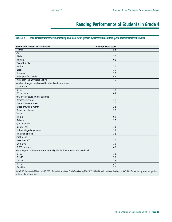### **Reading Performance of Students in Grade 4**

#### Table S7-2 Standard errors for the average reading scale score for 4<sup>th</sup>-graders, by selected student, family, and school characteristics: 2000

| School and student characteristics                                            | Average scale score |  |
|-------------------------------------------------------------------------------|---------------------|--|
| <b>Total</b>                                                                  | 0.8                 |  |
| Sex                                                                           |                     |  |
| Male                                                                          | 1.1                 |  |
| Female                                                                        | 0.9                 |  |
| Race/ethnicity                                                                |                     |  |
| White                                                                         | 1.0                 |  |
| <b>Black</b>                                                                  | 1.7                 |  |
| Hispanic                                                                      | 1.7                 |  |
| Asian/Pacific Islander                                                        | 4.6                 |  |
| American Indian/Alaska Native                                                 | 4.7                 |  |
| Number of pages per day read in school and for homework                       |                     |  |
| 5 or fewer                                                                    | 2.1                 |  |
| $6 - 10$                                                                      | 1.5                 |  |
| 11 or more                                                                    | 0.9                 |  |
| How often discuss studies at home                                             |                     |  |
| Almost every day                                                              | 1.1                 |  |
| Once or twice a week                                                          | 1.2                 |  |
| Once or twice a month                                                         | 3.5                 |  |
| Never/hardly ever                                                             | 1.7                 |  |
| Control                                                                       |                     |  |
| Public                                                                        | 0.9                 |  |
| Private                                                                       | 1.7                 |  |
| Type of location                                                              |                     |  |
| Central city                                                                  | 1.6                 |  |
| Urban fringe/large town                                                       | $\overline{1.8}$    |  |
| Rural/small town                                                              | $\overline{1.8}$    |  |
| Enrollment                                                                    |                     |  |
| Less than 300                                                                 | 2.3                 |  |
| 300-999                                                                       | 1.0                 |  |
| 1,000 or more                                                                 | 4.7                 |  |
| Percentage of students in the school eligible for free or reduced-price lunch |                     |  |
| $0 - 10$                                                                      | 1.6                 |  |
| $11 - 25$                                                                     | 2.0                 |  |
| $26 - 50$                                                                     | 1.8                 |  |
| $51 - 74$                                                                     | 2.4                 |  |
| $76 - 100$                                                                    | 2.1                 |  |

SOURCE: U.S. Department of Education, NCES. (2001). *The Nation's Report Card: Fourth-Grade Reading 2000* (NCES 2001–499), and unpublished data from the NAEP 2000 Grade 4 Reading Assessment, provided by the Educational Testing Service.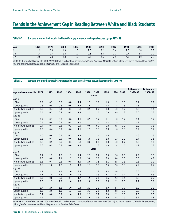### **Trends in the Achievement Gap in Reading Between White and Black Students**

#### **Table S8-1 Standard errors for the trends in the Black-White gap in average reading scale scores, by age: 1971–99**

| Age | 1971 | 1975 | 1980 | 1984 | 1988 | 1990                                    | 1992 | 1994 | 1996        | 1999 |
|-----|------|------|------|------|------|-----------------------------------------|------|------|-------------|------|
| 9   | 1.9  |      |      |      |      | $-1.4$ 1.9 1.3 2.8 3.2 2.4 2.6 2.8      |      |      |             | 2.8  |
| 13  |      |      |      |      |      | 1.4 1.4 1.6 1.1 2.6 2.4 2.7 2.7 2.8 2.7 |      |      |             |      |
| 17  | 2.0  |      |      |      |      | 2.1 2.0 1.3 2.7 2.6 2.5                 |      |      | 4.2 3.0 2.3 |      |

SOURCE: U.S. Department of Education, NCES. (2000). *NAEP 1999 Trends in Academic Progress: Three Decades of Student Performance* (NCES 2000–469) and National Assessment of Educational Progress (NAEP), 1999 Long-Term Trend Assessment, unpublished data produced by the Educational Testing Service.

#### **Table S8-2 Standard errors for the trends in average reading scale scores, by race, age, and score quartile: 1971–99**

|                        |      |      |      |      |         |      |              |      |      |      | <b>Difference</b> | <b>Difference</b> |
|------------------------|------|------|------|------|---------|------|--------------|------|------|------|-------------------|-------------------|
| Age and score quartile | 1971 | 1975 | 1980 | 1984 | 1988    | 1990 | 1992         | 1994 | 1996 | 1999 | 1971-88           | 1988-99           |
|                        |      |      |      |      |         |      | White        |      |      |      |                   |                   |
| Age 9                  |      |      |      |      |         |      |              |      |      |      |                   |                   |
| Total                  | 0.9  | 0.7  | 0.8  | 0.8  | 1.4     | 1.3  | 1.0          | 1.3  | 1.2  | 1.6  | 1.7               | 2.1               |
| Lower quartile         | 0.8  | 0.5  | 0.8  | 0.6  | 1.3     | 1.6  | 1.1          | 1.5  | 1.8  | 1.5  | 1.5               | 2.0               |
| Middle two quartiles   | 0.5  | 0.4  | 0.4  | 0.3  | 0.8     | 0.9  | 0.7          | 0.8  | 1.0  | 1.2  | 1.0               | 1.4               |
| Upper quartile         | 0.5  | 0.7  | 0.9  | 0.5  | 1.9     | 1.3  | 1.0          | 0.9  | 0.9  | 1.2  | 2.0               | 2.2               |
| Age 13                 |      |      |      |      |         |      |              |      |      |      |                   |                   |
| Total                  | 0.7  | 0.7  | 0.7  | 0.6  | 1.1     | 0.9  | 1.2          | 1.1  | 1.0  | 1.2  | 1.4               | 1.7               |
| Lower quartile         | 0.5  | 0.4  | 0.4  | 0.5  | 1.1     | 1.2  | 1.4          | 1.2  | 1.5  | 1.0  | 1.2               | 1.5               |
| Middle two quartiles   | 0.4  | 0.4  | 0.3  | 0.3  | 0.9     | 0.6  | 0.7          | 0.8  | 0.5  | 1.0  | 1.0               | 1.3               |
| Upper quartile         | 0.5  | 0.4  | 0.7  | 0.6  | 1.1     | 1.1  | 1.3          | 0.8  | 1.6  | 1.3  | 1.2               | 1.7               |
| Age 17                 |      |      |      |      |         |      |              |      |      |      |                   |                   |
| Total                  | 1.0  | 0.6  | 0.9  | 0.7  | 1.2     | 1.2  | 1.4          | 1.5  | 1.2  | 1.4  | 1.6               | 1.9               |
| Lower quartile         | 0.8  | 0.7  | 0.9  | 0.6  | 1.2     | 1.8  | 1.3          | 1.8  | 1.3  | 2.2  | 1.4               | 2.5               |
| Middle two quartiles   | 0.6  | 0.5  | 0.5  | 0.3  | $0.8\,$ | 0.6  | 0.8          | 0.8  | 1.0  | 0.7  | 1.0               | 1.0               |
| Upper quartile         | 0.6  | 0.5  | 0.8  | 0.6  | 1.8     | 1.1  | 1.2          | 1.9  | 1.4  | 1.5  | 1.9               | 2.3               |
|                        |      |      |      |      |         |      | <b>Black</b> |      |      |      |                   |                   |
| Age 9                  |      |      |      |      |         |      |              |      |      |      |                   |                   |
| Total                  | 1.7  | 1.2  | 1.8  | 1.1  | 2.4     | 2.9  | 2.2          | 2.3  | 2.6  | 2.3  | 2.9               | 3.3               |
| Lower quartile         | 1.3  | 0.8  | 2.1  | 1.2  | 3.3     | 3.0  | 3.0          | 5.0  | 3.4  | 3.3  | 3.5               | 4.7               |
| Middle two quartiles   | 1.3  | 0.7  | 0.8  | 0.8  | 1.9     | 2.0  | 1.5          | 2.1  | 2.5  | 2.3  | 2.3               | 3.0               |
| Upper quartile         | 1.0  | 1.0  | 1.2  | 1.2  | 1.9     | 1.7  | 1.9          | 2.6  | 2.6  | 1.5  | 2.2               | 2.4               |
| Age 13                 |      |      |      |      |         |      |              |      |      |      |                   |                   |
| Total                  | 1.2  | 1.2  | 1.5  | 1.0  | 2.4     | 2.2  | 2.3          | 2.4  | 2.6  | 2.4  | 2.6               | 3.4               |
| Lower quartile         | 1.1  | 1.4  | 1.8  | 1.0  | 2.6     | 3.2  | 3.5          | 4.1  | 3.2  | 3.4  | 2.8               | 4.3               |
| Middle two quartiles   | 0.7  | 0.8  | 0.9  | 0.7  | 1.7     | 1.9  | 2.6          | 1.5  | 2.3  | 1.4  | 1.8               | 2.2               |
| Upper quartile         | 1.0  | 1.2  | 1.2  | 1.0  | 2.5     | 1.8  | 2.8          | 2.6  | 2.1  | 2.6  | 2.7               | 3.6               |
| Age 17                 |      |      |      |      |         |      |              |      |      |      |                   |                   |
| Total                  | 1.7  | 2.0  | 1.8  | 1.0  | 2.4     | 2.3  | 2.1          | 3.9  | 2.7  | 1.7  | 3.0               | 2.9               |
| Lower quartile         | 1.2  | 2.6  | 1.9  | 1.3  | 2.6     | 3.3  | 2.8          | 4.2  | 3.8  | 3.0  | 2.8               | 4.0               |
| Middle two quartiles   | 0.7  | 0.8  | 0.9  | 1.0  | 1.9     | 2.1  | 2.2          | 2.4  | 2.1  | 1.6  | 2.0               | 2.5               |
| Upper quartile         | 1.5  | 1.2  | 2.2  | 1.2  | 2.9     | 2.6  | 3.3          | 4.9  | 3.8  | 2.5  | 3.2               | 3.8               |

SOURCE: U.S. Department of Education, NCES. (2000). *NAEP 1999 Trends in Academic Progress: Three Decades of Student Performance* (NCES 2000–469) and National Assessment of Educational Progress (NAEP), 1999 Long-Term Trend Assessment, unpublished data produced by the Educational Testing Service.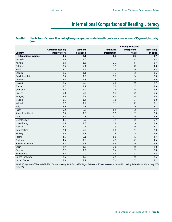### **International Comparisons of Reading Literacy**

#### **Table S9-1 Standard errors for the combined reading literacy average scores, standard deviation, and average subscale scores of 15-year-olds, by country: 2000**

|                       |                  |           |             | Reading subscales |            |
|-----------------------|------------------|-----------|-------------|-------------------|------------|
|                       | Combined reading | Standard  | Retrieving  | Interpreting      | Reflecting |
| Country               | literacy score   | deviation | information | texts             | on texts   |
| International average | 0.6              | 0.4       | 0.7         | 0.6               | 0.7        |
| Australia             | 3.5              | 1.6       | 3.7         | 3.5               | 3.4        |
| Austria               | 2.4              | 1.6       | 2.3         | 2.4               | 2.7        |
| Belgium               | 3.6              | 2.4       | 3.9         | 3.2               | 4.3        |
| <b>Brazil</b>         | 3.1              | 1.9       | 3.4         | 3.0               | 3.3        |
| Canada                | 1.6              | 1.1       | 1.7         | 1.6               | 1.6        |
| Czech Republic        | 2.4              | 1.9       | 2.7         | 2.4               | 2.6        |
| Denmark               | 2.4              | 1.8       | 2.8         | 2.4               | 2.6        |
| Finland               | 2.6              | 2.6       | 2.8         | 2.9               | 2.7        |
| France                | 2.7              | 1.7       | 3.0         | 2.7               | 2.9        |
| Germany               | 2.5              | 1.9       | 2.4         | 2.5               | 2.9        |
| Greece                | 5.0              | 2.7       | 5.4         | 4.5               | 5.6        |
| Hungary               | 4.0              | 2.1       | 4.4         | 3.8               | 4.3        |
| Iceland               | 1.5              | 1.4       | 1.6         | 1.4               | 1.3        |
| Ireland               | 3.2              | 1.7       | 3.3         | 3.3               | 3.1        |
| Italy                 | 2.9              | 2.7       | 3.1         | 2.6               | 3.1        |
| Japan                 | 5.2              | 3.0       | 5.5         | 5.0               | 5.4        |
| Korea, Republic of    | 2.4              | 1.6       | 2.5         | 2.3               | 2.6        |
| Latvia                | 5.3              | 2.3       | 5.7         | 4.9               | 5.9        |
| Liechtenstein         | 4.1              | 3.9       | 4.9         | 4.5               | 5.7        |
| Luxembourg            | 1.6              | 1.5       | 1.6         | 1.6               | 1.9        |
| Mexico                | 3.3              | 2.1       | 3.9         | 2.9               | 3.7        |
| New Zealand           | 2.8              | 2.0       | 2.8         | 2.7               | 2.9        |
| Norway                | 2.8              | 1.7       | 2.9         | 2.8               | 3.0        |
| Poland                | 4.5              | 3.1       | 5.0         | 4.3               | 4.7        |
| Portugal              | 4.5              | 1.8       | 4.9         | 4.3               | 4.5        |
| Russian Federation    | 4.2              | 1.8       | 4.9         | 4.0               | $4.0$      |
| Spain                 | 2.7              | 1.2       | 3.0         | 2.6               | 2.8        |
| Sweden                | 2.2              | 1.2       | 2.4         | 2.1               | 2.3        |
| Switzerland           | 4.2              | 2.0       | 4.4         | 4.2               | 4.8        |
| United Kingdom        | 2.6              | 1.5       | 2.5         | 2.5               | 2.5        |
| <b>United States</b>  | 7.0              | 2.7       | 7.4         | 7.1               | 7.1        |

SOURCE: U.S. Department of Education, NCES. (2001). *Outcomes of Learning: Results from the 2000 Program for International Student Assessment of 15-Year-Olds in Reading, Mathematics, and Science Literacy* (NCES 2002–115).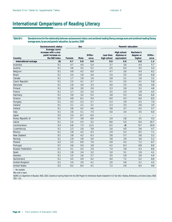# **International Comparisons of Reading Literacy**

#### **Table S9-2 Standard errors for the relationship between socioeconomic status and combined reading literacy average score and combined reading literacy average score, by sex and parents' education, by country: 2000**

|                           | Socioeconomic status                                       |        | Sex  |         |             | Parents' education        |                                |         |  |
|---------------------------|------------------------------------------------------------|--------|------|---------|-------------|---------------------------|--------------------------------|---------|--|
|                           | Average score<br>increase with a one-<br>point increase on |        |      | Differ- | Less than   | High school<br>diploma or | <b>Bachelor's</b><br>degree or | Differ- |  |
| Country                   | the ISEI index                                             | Female | Male | ence    | high school | equivalent                | higher                         | ence    |  |
| International average     | $(\#)$                                                     | 0.7    | 0.8  | 0.9     | 0.9         | 0.8                       | 0.8                            | 1.2     |  |
| Australia                 | 0.1                                                        | 4.7    | 4.0  | 5.4     | 3.7         | 3.6                       | 4.4                            | 5.7     |  |
| Austria                   | 0.1                                                        | 3.6    | 3.2  | 5.2     | 2.5         | 6.4                       | 3.5                            | 4.3     |  |
| Belgium                   | 0.1                                                        | 4.9    | 4.2  | 6.0     | 4.7         | 3.0                       | 4.0                            | 6.2     |  |
| Brazil                    | 0.1                                                        | 3.4    | 3.9  | 4.0     | 3.4         | 3.5                       | 5.9                            | 6.8     |  |
| Canada                    | 0.1                                                        | 1.7    | 1.8  | 1.6     | 2.8         | 2.1                       | 1.6                            | 3.2     |  |
| Czech Republic            | 0.1                                                        | 2.5    | 4.1  | 4.7     | 4.1         | 2.5                       | 4.1                            | 5.8     |  |
| Denmark                   | 0.1                                                        | 2.9    | 3.0  | 3.3     | 4.0         | 3.3                       | 2.6                            | 4.8     |  |
| Finland                   | 0.1                                                        | 2.8    | 3.0  | 2.6     | 3.3         | 3.9                       | 3.2                            | 4.6     |  |
| France                    | 0.1                                                        | 2.7    | 3.5  | 3.4     | 3.5         | 3.3                       | 2.8                            | 4.5     |  |
| Germany                   | 0.1                                                        | 3.9    | 3.2  | 5.2     | 3.8         | 5.3                       | 4.6                            | 6.0     |  |
| Greece                    | 0.2                                                        | 4.6    | 6.1  | 5.0     | 6.0         | 4.3                       | 6.0                            | 8.5     |  |
| Hungary                   | 0.1                                                        | 4.3    | 5.3  | 5.7     | 4.3         | 3.9                       | 5.5                            | 7.0     |  |
| Iceland                   | 0.1                                                        | 2.1    | 2.1  | 3.1     | 2.3         | 3.3                       | 2.6                            | 3.5     |  |
| Ireland                   | 0.1                                                        | 3.6    | 4.2  | 4.6     | 3.8         | 3.7                       | 4.2                            | 5.7     |  |
| Italy                     | 0.1                                                        | 3.6    | 5.1  | 7.0     | 4.0         | 3.4                       | 4.5                            | 6.0     |  |
| Japan                     | 0.2                                                        | 5.4    | 6.7  | 6.4     |             |                           |                                |         |  |
| Korea, Republic of        | 0.1                                                        | 3.7    | 3.8  | 6.0     | 2.9         | 2.8                       | 3.5                            | 4.5     |  |
| Latvia                    | 0.1                                                        | 5.4    | 5.5  | 4.2     | 8.6         | 5.4                       | 6.4                            | 10.7    |  |
| Liechtenstein             | 0.3                                                        | 6.8    | 7.3  | 11.5    | 6.5         | $(\#)$                    | 8.7                            | 10.9    |  |
| Luxembourg                | 0.1                                                        | 2.3    | 2.6  | 3.8     | 3.0         | 4.0                       | 3.6                            | 4.7     |  |
| Mexico                    | 0.1                                                        | 3.8    | 4.2  | 4.3     | 2.9         | 5.2                       | 6.5                            | 7.1     |  |
| New Zealand               | 0.1                                                        | 3.8    | 4.2  | 6.3     | 3.8         | 5.7                       | 3.6                            | 5.2     |  |
| Norway                    | 0.1                                                        | 2.9    | 3.8  | 4.0     | 3.8         | 3.9                       | 3.6                            | 5.2     |  |
| Poland                    | 0.2                                                        | 5.5    | 6.0  | 7.0     | 4.9         | 4.3                       | 7.2                            | 8.7     |  |
| Portugal                  | 0.1                                                        | 4.6    | 5.0  | 3.8     | 4.2         | 6.3                       | 6.8                            | 8.0     |  |
| <b>Russian Federation</b> | 0.1                                                        | 4.1    | 4.5  | 2.9     | 7.4         | 3.9                       | 4.3                            | 8.6     |  |
| Spain                     | 0.1                                                        | 2.8    | 3.4  | 3.2     | 3.0         | 3.1                       | 2.8                            | 4.1     |  |
| Sweden                    | 0.1                                                        | 2.5    | 2.6  | 2.7     | 3.5         | 2.9                       | 2.6                            | 4.4     |  |
| Switzerland               | 0.1                                                        | 4.5    | 4.9  | 4.2     | 4.0         | 7.2                       | 5.2                            | 6.6     |  |
| United Kingdom            | 0.1                                                        | 3.4    | 3.0  | 4.1     | 3.0         | 5.6                       | 3.1                            | 4.3     |  |
| <b>United States</b>      | 0.2                                                        | 6.2    | 8.4  | 4.1     | 7.2         | 4.9                       | 6.4                            | 9.6     |  |
|                           |                                                            |        |      |         |             |                           |                                |         |  |

—Not available.

#Too small to report.

SOURCE: U.S. Department of Education, NCES. (2001). *Outcomes of Learning: Results from the 2000 Program for International Student Assessment of 15-Year-Olds in Reading, Mathematics, and Science Literacy* (NCES 2002–115).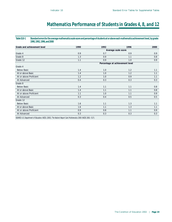#### **Table S10-1 Standard errors for the average mathematics scale score and percentage of students at or above each mathematics achievement level, by grade: 1990, 1992, 1996, and 2000**

| 2000 | 1996                            | 1992 | 1990 | Grade and achievement level |
|------|---------------------------------|------|------|-----------------------------|
|      | Average scale score             |      |      |                             |
| 0.9  | 0.9                             | 0.7  | 0.9  | Grade 4                     |
| 0.8  | 1.1                             | 0.9  | 1.3  | Grade 8                     |
| 0.9  | 1.0                             | 0.9  | 1.1  | Grade 12                    |
|      | Percentage at achievement level |      |      |                             |
|      |                                 |      |      | Grade 4                     |
| 1.1  | 1.2                             | 1.0  | 1.4  | <b>Below Basic</b>          |
| 1.1  | 1.2                             | 1.0  | 1.4  | At or above Basic           |
| 1.1  | 0.9                             | 1.0  | 1.2  | At or above Proficient      |
| 0.3  | 0.3                             | 0.3  | 0.4  | At Advanced                 |
|      |                                 |      |      | Grade 8                     |
| 0.8  | 1.1                             | 1.1  | 1.4  | <b>Below Basic</b>          |
| 0.8  | 1.1                             | 1.1  | 1.4  | At or above Basic           |
| 0.9  | 1.1                             | 1.0  | 1.1  | At or above Proficient      |
| 0.5  | 0.5                             | 0.4  | 0.3  | At Advanced                 |
|      |                                 |      |      | Grade 12                    |
| 1.1  | 1.3                             | 1.1  | 1.6  | <b>Below Basic</b>          |
| 1.1  | 1.3                             | 1.1  | 1.6  | At or above Basic           |
| 0.9  | 1.1                             | 0.8  | 0.9  | At or above Proficient      |
| 0.3  | 0.3                             | 0.3  | 0.3  | At Advanced                 |
|      |                                 |      |      |                             |

SOURCE: U.S. Department of Education, NCES. (2001). *The Nation's Report Card: Mathematics 2000* (NCES 2001–517).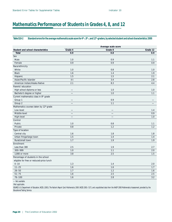#### Table S10-2 Standard errors for the average mathematics scale score for 4<sup>th</sup>-, 8<sup>th</sup>-, and 12<sup>th</sup>-graders, by selected student and school characteristics: 2000

|                                                    | Average scale score |                  |          |  |  |  |  |  |
|----------------------------------------------------|---------------------|------------------|----------|--|--|--|--|--|
| Student and school characteristics                 | Grade 4             | Grade 8          | Grade 12 |  |  |  |  |  |
| <b>Total</b>                                       | 0.9                 | 0.8              | 0.9      |  |  |  |  |  |
| Sex                                                |                     |                  |          |  |  |  |  |  |
| Male                                               | 1.0                 | 0.9              | 1.1      |  |  |  |  |  |
| Female                                             | 0.9                 | 0.9              | 0.9      |  |  |  |  |  |
| Race/ethnicity                                     |                     |                  |          |  |  |  |  |  |
| White                                              | 1.0                 | 0.8              | 1.0      |  |  |  |  |  |
| <b>Black</b>                                       | 1.6                 | 1.4              | 1.9      |  |  |  |  |  |
| Hispanic                                           | 1.5                 | 1.5              | 2.1      |  |  |  |  |  |
| Asian/Pacific Islander                             | (t)                 | 3.4              | 2.8      |  |  |  |  |  |
| American Indian/Alaska Native                      | 2.1                 | 8.3              | 4.4      |  |  |  |  |  |
| Parents' education                                 |                     |                  |          |  |  |  |  |  |
| High school diploma or less                        |                     | 1.0              | 1.0      |  |  |  |  |  |
| Bachelor's degree or higher                        |                     | 1.0              | 1.1      |  |  |  |  |  |
| Current mathematics class in 8 <sup>th</sup> grade |                     |                  |          |  |  |  |  |  |
| Group 1                                            |                     | 0.9              |          |  |  |  |  |  |
| Group 2                                            |                     | 1.1              |          |  |  |  |  |  |
| Mathematics courses taken by 12th grade            |                     |                  |          |  |  |  |  |  |
| Low-level                                          |                     |                  | 1.4      |  |  |  |  |  |
| Middle-level                                       |                     |                  | 0.9      |  |  |  |  |  |
| High-level                                         |                     |                  | 1.0      |  |  |  |  |  |
| Control                                            |                     |                  |          |  |  |  |  |  |
| Public                                             | 1.0                 | 0.8              | 1.1      |  |  |  |  |  |
| Private                                            | 0.8                 | 1.2              | 1.2      |  |  |  |  |  |
| Type of location                                   |                     |                  |          |  |  |  |  |  |
| Central city                                       | 1.6                 | 1.8              | 1.8      |  |  |  |  |  |
| Urban fringe/large town                            | 1.5                 | 1.4              | 1.4      |  |  |  |  |  |
| Rural/small town                                   | 1.7                 | 1.9              | 1.9      |  |  |  |  |  |
| Enrollment                                         |                     |                  |          |  |  |  |  |  |
| Less than 300                                      | 2.5                 | 1.9              | 2.7      |  |  |  |  |  |
| 300-999                                            | 1.0                 | 1.1              | 2.0      |  |  |  |  |  |
| 1,000 or more                                      | 3.8                 | 2.5              | 1.5      |  |  |  |  |  |
| Percentage of students in the school               |                     |                  |          |  |  |  |  |  |
| eligible for free or reduced-price lunch           |                     |                  |          |  |  |  |  |  |
| $0 - 10$                                           | 1.3                 | 1.4              | 2.0      |  |  |  |  |  |
| $11 - 25$                                          | 1.6                 | 1.6              | 1.7      |  |  |  |  |  |
| $26 - 50$                                          | 1.7                 | $\overline{1.2}$ | 1.6      |  |  |  |  |  |
| $51 - 75$                                          | 1.6                 | 2.5              | 2.5      |  |  |  |  |  |
| $76 - 100$                                         | 1.6                 | 2.8              | 3.2      |  |  |  |  |  |

—Not available.

†Not applicable.

SOURCE: U.S. Department of Education, NCES. (2001). The Nation's Report Card: Mathematics 2000 (NCES 2001-517), and unpublished data from the NAEP 2000 Mathematics Assessment, provided by the Educational Testing Service.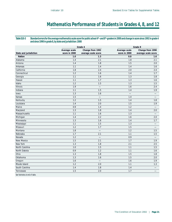#### Table S10-3 Standard errors for the average mathematics scale score for public school 4th- and 8th-graders in 2000 and change in score since 1992 in grade 4 **and since 1990 in grade 8, by state and jurisdiction: 2000**

|                        |               | Grade 4             |                  | Grade 8             |  |  |
|------------------------|---------------|---------------------|------------------|---------------------|--|--|
|                        | Average scale | Change from 1992    | Average scale    | Change from 1990    |  |  |
| State and jurisdiction | score in 2000 | average scale score | score in 2000    | average scale score |  |  |
| Nation                 | 1.0           | 1.3                 | 0.8              | 1.6                 |  |  |
| Alabama                | 1.4           | 2.1                 | 1.8              | 2.1                 |  |  |
| Arizona                | 1.4           | 1.8                 | 1.5              | 2.0                 |  |  |
| Arkansas               | 1.1           | 1.4                 | 1.4              | 1.6                 |  |  |
| California             | 1.8           | 2.4                 | 2.0              | 2.4                 |  |  |
| Connecticut            | 1.2           | 1.6                 | 1.4              | 1.7                 |  |  |
| Georgia                | 1.1           | 1.6                 | 1.3              | 1.8                 |  |  |
| Hawaii                 | 1.1           | 1.7                 | 1.3              | 1.6                 |  |  |
| Idaho                  | 1.2           | 1.5                 | 1.3              | 1.5                 |  |  |
| <b>Illinois</b>        | 1.9           |                     | 1.6              | 2.4                 |  |  |
| Indiana                | 1.1           | 1.5                 | 1.4              | 1.9                 |  |  |
| lowa                   | 1.3           | 1.6                 |                  |                     |  |  |
| Kansas                 | 1.5           |                     | 1.4              |                     |  |  |
| Kentucky               | 1.2           | 1.5                 | 1.4              | 1.8                 |  |  |
| Louisiana              | 1.4           | 2.0                 | 1.5              | 1.9                 |  |  |
| Maine                  | 0.9           | 1.4                 | 1.2              |                     |  |  |
| Maryland               | 1.3           | 1.8                 | 1.4              | 2.0                 |  |  |
| Massachusetts          | 1.1           | 1.6                 | 1.3              |                     |  |  |
| Michigan               | 1.4           | $\overline{2.2}$    | 1.6              | $\overline{2.0}$    |  |  |
| Minnesota              | 1.3           | 1.6                 | 1.4              | 1.7                 |  |  |
| Mississippi            | 1.1           | 1.5                 | 1.3              |                     |  |  |
| Missouri               | 1.2           | 1.7                 | 1.5              |                     |  |  |
| Montana                | 1.8           |                     | 1.2              | 1.5                 |  |  |
| Nebraska               | 1.7           | 2.1                 | 1.1              | 1.5                 |  |  |
| Nevada                 | 1.2           |                     | 0.9              |                     |  |  |
| <b>New Mexico</b>      | 1.5           | 2.1                 | 1.7              | 1.9                 |  |  |
| New York               | 1.3           | $\overline{1.8}$    | $\overline{2.1}$ | 2.5                 |  |  |
| North Carolina         | 1.0           | 1.5                 | 1.1              | 1.5                 |  |  |
| North Dakota           | 0.9           | 1.2                 | 1.1              | 1.6                 |  |  |
| Ohio                   | 1.3           | $\overline{1.8}$    | 1.5              | 1.8                 |  |  |
| Oklahoma               | 1.3           | 1.6                 | 1.5              | 2.0                 |  |  |
| Oregon                 | 1.6           |                     | 1.6              | 1.9                 |  |  |
| Rhode Island           | 1.2           | 2.0                 | 1.1              | 1.3                 |  |  |
| South Carolina         | 1.4           | 1.8                 | 1.4              |                     |  |  |
| Tennessee              | 1.5           | 2.0                 | 1.7              | $\qquad \qquad -$   |  |  |
|                        |               |                     |                  |                     |  |  |

See footnotes at end of table.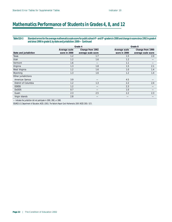#### Table S10-3 Standard errors for the average mathematics scale score for public school 4<sup>th</sup>- and 8<sup>th</sup>-graders in 2000 and change in score since 1992 in grade 4 **and since 1990 in grade 8, by state and jurisdiction: 2000—Continued**

|                        |               | Grade 4             |               | Grade 8             |
|------------------------|---------------|---------------------|---------------|---------------------|
|                        | Average scale | Change from 1992    | Average scale | Change from 1990    |
| State and jurisdiction | score in 2000 | average scale score | score in 2000 | average scale score |
| Texas                  | 1.2           | 1.7                 | 1.5           | 2.0                 |
| Utah                   | 1.2           | 1.6                 | 1.2           |                     |
| Vermont                | 1.6           |                     | 1.1           |                     |
| Virginia               | 1.3           | 1.8                 | 1.5           | 2.1                 |
| West Virginia          | 1.2           | 1.6                 | 1.0           | 1.4                 |
| Wyoming                | 1.3           | 1.6                 | 1.2           | 1.4                 |
| Other jurisdictions    |               |                     |               |                     |
| American Samoa         | 3.9           |                     | 4.5           |                     |
| District of Columbia   | 1.2           | 1.3                 | 2.2           | 2.4                 |
| <b>DDESS</b>           | 1.2           |                     | 2.3           |                     |
| <b>DoDDS</b>           | 0.7           |                     | 1.0           |                     |
| Guam                   | 2.3           | 2.5                 | 2.2           | 2.3                 |
| Virgin Islands         | 2.8           |                     |               |                     |

—Indicates the jurisdiction did not participate in 2000, 1992, or 1990.

SOURCE: U.S. Department of Education, NCES. (2001). *The Nation's Report Card: Mathematics 2000* (NCES 2001–517).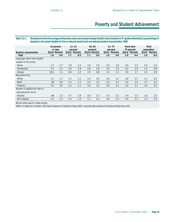### **Poverty and Student Achievement**

**Table S11-1 Standard errors for the average mathematics scale score and percentage of public school students in 4th-grade mathematics, by percentage of students in the school eligible for free or reduced-priced lunch and selected student characteristics: 2000**

|                                 | 10 percent           |     | $11 - 25$     |     | $26 - 50$            |     | $51 - 75$ |         |     | More than     | Total      |         |
|---------------------------------|----------------------|-----|---------------|-----|----------------------|-----|-----------|---------|-----|---------------|------------|---------|
|                                 | or less              |     | percent       |     | percent              |     | percent   |         |     | 75 percent    | population |         |
| Student characteristic          | <b>Score Percent</b> |     | Score Percent |     | <b>Score Percent</b> |     | Score     | Percent |     | Score Percent | Score      | Percent |
| Total                           | 1.8                  | 0.0 | 1.7           | 0.0 | 1.7                  | 0.0 | 1.6       | 0.0     | 1.6 | 0.0           | 1.0        | 0.0     |
| Language other than English     |                      |     |               |     |                      |     |           |         |     |               |            |         |
| spoken in the home              |                      |     |               |     |                      |     |           |         |     |               |            |         |
| <b>Never</b>                    | 1.7                  | 2.7 | 1.8           | 2.3 | 1.8                  | 1.8 | 1.9       | 1.9     | 2.0 | 3.3           | 1.0        | 1.0     |
| Sometimes                       | 3.2                  | 2.1 | 2.0           | 1.9 | 2.9                  | 1.8 | 2.4       | 1.5     | 2.2 | 2.3           | 1.4        | 0.9     |
| Always                          | 10.4                 | 1.1 | 8.4           | 1.0 | 3.3                  | 0.8 | 3.2       | 1.1     | 3.0 | 1.7           | 2.3        | 0.5     |
| Race/ethnicity                  |                      |     |               |     |                      |     |           |         |     |               |            |         |
| White                           | 1.7                  | 1.7 | 1.3           | 2.1 | 1.9                  | 2.5 | 2.0       | 3.1     | 3.8 | 3.7           | 1.1        | 0.4     |
| <b>Black</b>                    | $(\#)$               | 0.8 | 7.3           | 1.5 | 2.4                  | 2.2 | 2.5       | 2.4     | 1.6 | 3.4           | 1.7        | 0.2     |
| Hispanic                        | 5.4                  | 0.9 | 5.2           | 1.1 | 3.4                  | 1.4 | 2.8       | 2.1     | 2.4 | 2.1           | 1.6        | 0.3     |
| Student is eligible for free or |                      |     |               |     |                      |     |           |         |     |               |            |         |
| reduced-price lunch             |                      |     |               |     |                      |     |           |         |     |               |            |         |
| Eligible                        | $(\#)$               | 1.3 | 4.7           | 1.8 | 2.0                  | 2.2 | 1.8       | 2.1     | 1.4 | 2.3           | 1.0        | 1.5     |
| Not eligible                    | 2.2                  | 1.3 | 1.4           | 1.8 | 2.1                  | 2.2 | 1.8       | 2.1     | 5.4 | 2.3           | 1.3        | 1.5     |

#Too few sample cases for a reliable estimate.

SOURCE: U.S. Department of Education, NCES. National Assessment of Educational Progress (NAEP), unpublished data provided by the Educational Testing Service, 2000.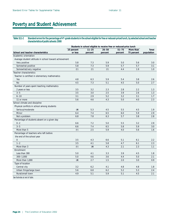# **Poverty and Student Achievement**

### Table S11-2 Standard errors for the percentage of 4<sup>th</sup>-grade students in the school eligible for free or reduced-priced lunch, by selected school and teacher **characteristics of public schools: 2000**

| Students in school eligible to receive free or reduced-price lunch |            |           |           |           |            |            |  |  |  |  |
|--------------------------------------------------------------------|------------|-----------|-----------|-----------|------------|------------|--|--|--|--|
|                                                                    | 10 percent | $11 - 25$ | $26 - 50$ | $51 - 75$ | More than  | Total      |  |  |  |  |
| School and teacher characteristics                                 | or less    | percent   | percent   | percent   | 75 percent | population |  |  |  |  |
| Academic orientation                                               |            |           |           |           |            |            |  |  |  |  |
| Average student attitude in school toward achievement              |            |           |           |           |            |            |  |  |  |  |
| Very positive                                                      | 5.8        | 7.3       | 5.9       | 5.0       | 5.6        | 3.0        |  |  |  |  |
| Somewhat positive                                                  | 5.8        | 7.3       | 5.9       | 5.7       | 5.7        | 3.1        |  |  |  |  |
| Somewhat/very negative                                             | (†)        | (†)       | (†)       | 4.4       | 1.9        | 1.0        |  |  |  |  |
| <b>Teacher characteristics</b>                                     |            |           |           |           |            |            |  |  |  |  |
| Teacher is certified in elementary mathematics                     |            |           |           |           |            |            |  |  |  |  |
| Yes                                                                | 4.8        | 6.3       | 5.9       | 5.4       | 3.8        | 2.6        |  |  |  |  |
| <b>No</b>                                                          | 4.5        | 7.3       | 5.1       | 4.5       | 5.0        | 2.7        |  |  |  |  |
| Number of years spent teaching mathematics                         |            |           |           |           |            |            |  |  |  |  |
| 2 years or less                                                    | 3.5        | 3.2       | 2.3       | 2.8       | 2.2        | 1.3        |  |  |  |  |
| $3 - 5$                                                            | 3.5        | 3.0       | 2.5       | 3.9       | 2.6        | 1.3        |  |  |  |  |
| $6 - 10$                                                           | 3.1        | 2.9       | 5.2       | 3.2       | 3.1        | 1.7        |  |  |  |  |
| 11 or more                                                         | 5.6        | 4.6       | 4.3       | 5.0       | 4.0        | 2.3        |  |  |  |  |
| School climate and discipline                                      |            |           |           |           |            |            |  |  |  |  |
| Physical conflicts in school among students                        |            |           |           |           |            |            |  |  |  |  |
| Serious/moderate                                                   | $(\#)$     | 5.3       | 4.5       | 5.5       | 4.5        | 1.9        |  |  |  |  |
| Minor                                                              | 6.4        | 7.4       | 6.5       | 6.0       | 5.9        | 2.9        |  |  |  |  |
| Not a problem                                                      | 6.8        | 7.8       | 6.3       | 5.7       | 3.8        | 2.8        |  |  |  |  |
| Percentage of students absent on a given day                       |            |           |           |           |            |            |  |  |  |  |
| $0 - 2$                                                            | 6.6        | 7.2       | 5.0       | 5.5       | 3.2        | 2.9        |  |  |  |  |
| $3 - 5$                                                            | 6.6        | 7.4       | 6.5       | 5.8       | 5.9        | 3.0        |  |  |  |  |
| More than 5                                                        | (†)        | 2.5       | 5.9       | 4.0       | 5.6        | 1.6        |  |  |  |  |
| Percentage of teachers who left before                             |            |           |           |           |            |            |  |  |  |  |
| the end of the school year                                         |            |           |           |           |            |            |  |  |  |  |
| $\mathbf 0$                                                        | 3.5        | 4.3       | 6.6       | 5.1       | 6.1        | 2.2        |  |  |  |  |
| $1 - 2$                                                            | 3.5        | 4.1       | 5.8       | 4.7       | 6.1        | 2.3        |  |  |  |  |
| More than 3                                                        | (†)        | $(\#)$    | 4.3       | 2.1       | 2.3        | 1.1        |  |  |  |  |
| Enrollment                                                         |            |           |           |           |            |            |  |  |  |  |
| Less than 300                                                      | 5.0        | 4.1       | 3.3       | 3.9       | 4.5        | 1.8        |  |  |  |  |
| $300 - 1,000$                                                      | 5.0        | 4.6       | 3.6       | 4.4       | 5.0        | 2.1        |  |  |  |  |
| More than 1,000                                                    | $(\#)$     | 2.7       | 1.5       | 2.0       | 3.0        | 0.9        |  |  |  |  |
| Type of location                                                   |            |           |           |           |            |            |  |  |  |  |
| Central city                                                       | 3.2        | 6.2       | 4.1       | 4.8       | 4.8        | 1.8        |  |  |  |  |
| Urban fringe/large town                                            | 5.6        | 6.8       | 6.2       | 5.2       | 5.3        | 2.4        |  |  |  |  |
| Rural/small town                                                   | 4.9        | 5.1       | 5.9       | 5.1       | 4.5        | 2.1        |  |  |  |  |
| $0 \leq r + 1 \leq r + 1$                                          |            |           |           |           |            |            |  |  |  |  |

See footnotes at end of table.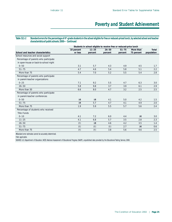### **Poverty and Student Achievement**

#### Table S11-2 Standard errors for the percentage of 4<sup>th</sup>-grade students in the school eligible for free or reduced-priced lunch, by selected school and teacher **characteristics of public schools: 2000—Continued**

|                                       | Students in school eligible to receive free or reduced-price lunch |           |           |           |            |            |  |  |  |
|---------------------------------------|--------------------------------------------------------------------|-----------|-----------|-----------|------------|------------|--|--|--|
|                                       | 10 percent                                                         | $11 - 25$ | $26 - 50$ | $51 - 75$ | More than  | Total      |  |  |  |
| School and teacher characteristics    | or less                                                            | percent   | percent   | percent   | 75 percent | population |  |  |  |
| School resources and social support   |                                                                    |           |           |           |            |            |  |  |  |
| Percentage of parents who participate |                                                                    |           |           |           |            |            |  |  |  |
| in open-house or back-to-school night |                                                                    |           |           |           |            |            |  |  |  |
| $0 - 50$                              | 3.1                                                                | 5.7       | 4.3       | 4.9       | 4.5        | 1.7        |  |  |  |
| $51 - 75$                             | 4.7                                                                | 4.6       | 5.4       | 5.8       | 5.1        | 2.2        |  |  |  |
| More than 75                          | 5.4                                                                | 7.0       | 5.2       | 5.5       | 5.4        | 2.8        |  |  |  |
| Percentage of parents who participate |                                                                    |           |           |           |            |            |  |  |  |
| in parent-teacher organizations       |                                                                    |           |           |           |            |            |  |  |  |
| $0 - 25$                              | 7.1                                                                | 9.2       | 5.5       | 4.7       | 6.3        | 3.0        |  |  |  |
| $26 - 50$                             | 5.8                                                                | 9.8       | 3.7       | 3.9       | 6.1        | 2.9        |  |  |  |
| More than 50                          | 6.6                                                                | 8.0       | 4.7       | 3.2       | 2.5        | 2.5        |  |  |  |
| Percentage of parents who participate |                                                                    |           |           |           |            |            |  |  |  |
| in parent-teacher conferences         |                                                                    |           |           |           |            |            |  |  |  |
| $0 - 50$                              | $(\#)$                                                             | $(\#)$    | 4.1       | 5.0       | 4.2        | 1.5        |  |  |  |
| $51 - 75$                             | $(\#)$                                                             | 5.7       | 4.7       | 4.1       | 4.9        | 2.0        |  |  |  |
| More than 75                          | 1.9                                                                | 5.9       | 5.5       | 5.7       | 5.6        | 2.4        |  |  |  |
| Percentage of students who received   |                                                                    |           |           |           |            |            |  |  |  |
| Title I funds                         |                                                                    |           |           |           |            |            |  |  |  |
| $0 - 10$                              | 4.1                                                                | 7.2       | 6.0       | 4.4       | $(\#)$     | 3.0        |  |  |  |
| $11 - 25$                             | 4.1                                                                | 6.8       | 5.7       | 3.5       | 2.8        | 2.3        |  |  |  |
| $26 - 50$                             | (†)                                                                | $(\#)$    | 4.6       | 4.2       | 3.5        | 1.4        |  |  |  |
| $51 - 75$                             | (†)                                                                | (†)       | (†)       | 2.7       | $(\#)$     | 0.6        |  |  |  |
| More than 75                          | (†)                                                                | (†)       | 3.8       | 5.6       | 4.6        | 2.5        |  |  |  |

#Standard error estimates cannot be accurately determined.

†Not applicable.

SOURCE: U.S. Department of Education, NCES. National Assessment of Educational Progress (NAEP), unpublished data provided by the Educational Testing Service, 2000.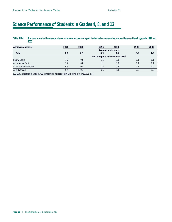#### **Table S12-1 Standard errors for the average science scale score and percentage of students at or above each science achievement level, by grade: 1996 and 2000**

| Achievement level      | 1996                            | 2000 | 1996 | 2000 | 1996 | 2000 |  |  |  |  |
|------------------------|---------------------------------|------|------|------|------|------|--|--|--|--|
|                        | Average scale score             |      |      |      |      |      |  |  |  |  |
| Total                  | 0.8                             | 0.7  | 0.9  | 0.6  | 0.9  | 1.0  |  |  |  |  |
|                        | Percentage at achievement level |      |      |      |      |      |  |  |  |  |
| <b>Below Basic</b>     | 1.2                             | 0.8  | 1.1  | 0.8  |      |      |  |  |  |  |
| At or above Basic      | 1.2                             | 0.8  | 1.1  | 0.8  |      |      |  |  |  |  |
| At or above Proficient | 0.9                             | 0.8  | 1.2  | 0.8  |      | 1.0  |  |  |  |  |
| At Advanced            | 0.4                             | 0.3  | 0.5  | 0.4  | 0.3  | 0.3  |  |  |  |  |

SOURCE: U.S. Department of Education, NCES. (forthcoming). *The Nation's Report Card: Science 2000* (NCES 2002–451).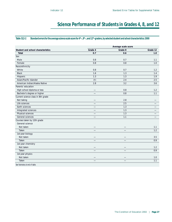### Table S12-2 Standard errors for the average science scale score for 4<sup>th</sup>-, 8<sup>th</sup>-, and 12<sup>th</sup>-graders, by selected student and school characteristics: 2000

|                                    | Average scale score |         |          |
|------------------------------------|---------------------|---------|----------|
| Student and school characteristics | Grade 4             | Grade 8 | Grade 12 |
| Total                              | 0.7                 | 0.6     | 1.0      |
| Sex                                |                     |         |          |
| Male                               | 0.8                 | 0.7     | 1.1      |
| Female                             | 0.8                 | 0.8     | 1.0      |
| Race/ethnicity                     |                     |         |          |
| White                              | 0.8                 | 0.7     | 1.2      |
| <b>Black</b>                       | 1.6                 | 1.3     | 1.4      |
| Hispanic                           | 1.3                 | 1.3     | 1.9      |
| Asian/Pacific Islander             | (†)                 | 2.4     | 2.5      |
| American Indian/Alaska Native      | 2.8                 | 3.2     | 3.6      |
| Parents' education                 |                     |         |          |
| High school diploma or less        |                     | 0.8     | 1.2      |
| Bachelor's degree or higher        |                     | 0.8     | 1.1      |
| Current science class in 8th grade |                     |         |          |
| Not taking                         |                     | 2.8     |          |
| Life sciences                      |                     | 2.5     |          |
| Earth sciences                     |                     | 1.3     |          |
| Integrated sciences                |                     | 1.3     |          |
| Physical sciences                  |                     | 1.3     |          |
| General sciences                   |                     | 1.1     |          |
| Courses taken by 12th grade        |                     |         |          |
| General science                    |                     |         |          |
| Not taken                          |                     |         | 1.1      |
| Taken                              |                     |         | 1.2      |
| 1st-year biology                   |                     |         |          |
| Not taken                          |                     |         | 3.5      |
| Taken                              |                     |         | 0.9      |
| 1st-year chemistry                 |                     |         |          |
| Not taken                          |                     |         | 1.2      |
| Taken                              |                     |         | 0.9      |
| 1st-year physics                   |                     |         |          |
| Not taken                          |                     |         | 1.0      |
| Taken                              |                     |         | 1.1      |
| See footnotes at end of table.     |                     |         |          |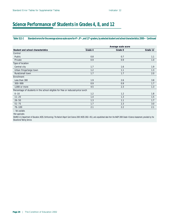### Table S12-2 Standard errors for the average science scale score for 4<sup>th</sup>-, 8<sup>th</sup>-, and 12<sup>th</sup>-graders, by selected student and school characteristics: 2000-Continued

|                                                                               | Average scale score |         |          |
|-------------------------------------------------------------------------------|---------------------|---------|----------|
| Student and school characteristics                                            | Grade 4             | Grade 8 | Grade 12 |
| Control                                                                       |                     |         |          |
| Public                                                                        | 0.8                 | 0.7     | 1.1      |
| Private                                                                       | 0.9                 | 0.9     | 1.0      |
| Type of location                                                              |                     |         |          |
| Central city                                                                  | 1.7                 | 1.6     | 1.9      |
| Urban fringe/large town                                                       | 1.2                 | 1.1     | 1.3      |
| Rural/small town                                                              | 1.7                 | 1.7     | 2.0      |
| Enrollment                                                                    |                     |         |          |
| Less than 300                                                                 | 1.9                 | 2.6     | 3.8      |
| 300-999                                                                       | 0.9                 | 0.9     | 1.7      |
| 1,000 or more                                                                 | 4.5                 | 2.3     | 1.3      |
| Percentage of students in the school eligible for free or reduced-price lunch |                     |         |          |
| $0 - 10$                                                                      | 1.2                 | 1.2     | 1.8      |
| $11 - 25$                                                                     | 1.4                 | 1.3     | 1.5      |
| $26 - 50$                                                                     | 1.3                 | 1.1     | 1.7      |
| $51 - 75$                                                                     | 1.7                 | 2.3     | 3.0      |
| $76 - 100$                                                                    | 2.1                 | 2.2     | 2.1      |

—Not available.

†Not applicable.

SOURCE: U.S. Department of Education, NCES. (forthcoming). *The Nation's Report Card: Science 2000* (NCES 2002-451), and unpublished data from the NAEP 2000 Grade 4 Science Assessment, provided by the Educational Testing Service.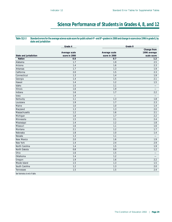#### Table S12-3 Standard errors for the average science scale score for public school 4<sup>th</sup>- and 8<sup>th</sup>-graders in 2000 and change in score since 1996 in grade 8, by **state and jurisdiction**

|                        | Grade 4          | Grade 8          |                          |
|------------------------|------------------|------------------|--------------------------|
|                        |                  |                  | Change from              |
|                        | Average scale    | Average scale    | 1996 average             |
| State and jurisdiction | score in 2000    | score in 2000    | scale score              |
| <b>Nation</b>          | 0.8              | 0.7              | 1.2                      |
| Alabama                | 1.7              | 1.9              | 2.5                      |
| Arizona                | 1.4              | 1.6              | 2.3                      |
| Arkansas               | 1.7              | 1.3              | 1.9                      |
| California             | 2.0              | 1.5              | 2.3                      |
| Connecticut            | 1.3              | 1.4              | 1.9                      |
| Georgia                | 1.4              | 1.5              | 2.1                      |
| Hawaii                 | 1.4              | 1.2              | 1.5                      |
| Idaho                  | 1.5              | 1.1              | $\overline{\phantom{0}}$ |
| Illinois               | 1.6              | 1.9              |                          |
| Indiana                | 1.6              | 1.7              | 2.2                      |
| lowa                   | 1.4              |                  |                          |
| Kentucky               | 1.1              | 1.3              | 1.8                      |
| Louisiana              | 1.9              | 1.7              | 2.3                      |
| Maine                  | 1.0              | 1.0              | 1.4                      |
| Maryland               | 1.3              | 1.3              | 2.0                      |
| Massachusetts          | 1.2              | 1.6              | 2.1                      |
| Michigan               | 1.8              | 1.7              | 2.2                      |
| Minnesota              | 1.5              | 2.1              | 2.4                      |
| Mississippi            | 1.4              | 1.2              | 1.8                      |
| Missouri               | 1.6              | 1.1              | 1.6                      |
| Montana                | 2.1              | 1.2              | 1.7                      |
| Nebraska               | 1.8              | 1.0              | 1.4                      |
| Nevada                 | 1.3              | 1.1              |                          |
| <b>New Mexico</b>      | $\overline{2.0}$ | 1.6              | 1.9                      |
| New York               | 1.4              | 2.4              | 2.9                      |
| North Carolina         | 1.4              | 1.5              | 1.9                      |
| North Dakota           | 0.8              | 0.9              | 1.2                      |
| Ohio                   | 1.6              | 1.5              |                          |
| Oklahoma               | 1.4              | $\overline{1.2}$ |                          |
| Oregon                 | 1.9              | 1.6              | 2.2                      |
| Rhode Island           | 1.5              | 1.3              | 1.5                      |
| South Carolina         | 1.2              | 1.3              | 2.0                      |
| Tennessee              | 1.5              | 1.5              | 2.4                      |

See footnotes at end of table.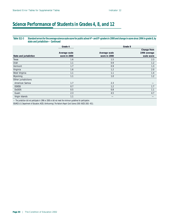#### Table S12-3 Standard errors for the average science scale score for public school 4<sup>th</sup>- and 8<sup>th</sup>-graders in 2000 and change in score since 1996 in grade 8, by **state and jurisdiction—Continued**

|                        | Grade 4       | Grade 8       |              |  |
|------------------------|---------------|---------------|--------------|--|
|                        |               |               | Change from  |  |
|                        | Average scale | Average scale | 1996 average |  |
| State and jurisdiction | score in 2000 | score in 2000 | scale score  |  |
| Texas                  | 1.6           | 1.5           | 2.3          |  |
| Utah                   | 1.1           | 0.9           | 1.2          |  |
| Vermont                | 1.7           | 0.9           | 1.3          |  |
| Virginia               | 1.6           | 1.2           | 2.0          |  |
| West Virginia          | 1.1           | 1.1           | 1.4          |  |
| Wyoming                | 1.1           | 1.0           | 1.2          |  |
| Other jurisdictions    |               |               |              |  |
| American Samoa         | 1.7           | 2.3           |              |  |
| <b>DDESS</b>           | 0.7           | 1.2           | 1.7          |  |
| <b>DoDDS</b>           | 0.5           | 0.8           | 1.1          |  |
| Guam                   | 2.3           | 4.5           | 4.7          |  |
| Virgin Islands         | 1.1           |               |              |  |

—The jurisdiction did not participate in 1996 or 2000 or did not meet the minimum guidelines for participation.

SOURCE: U.S. Department of Education, NCES. (forthcoming). *The Nation's Report Card: Science 2000* (NCES 2002–451).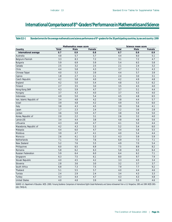### **International Comparisons of 8<sup>th</sup>-Graders' Performance in Mathematics and Science**

#### Table S13-1 Standard errors for the average mathematics and science performance of 8<sup>th</sup>-graders for the 38 participating countries, by sex and country: 1999

|                           | Mathematics: mean score |      | Science: mean score |       |      |        |
|---------------------------|-------------------------|------|---------------------|-------|------|--------|
| Country                   | Total                   | Male | Female              | Total | Male | Female |
| International average     | 0.7                     | 0.9  | 0.8                 | 0.7   | 0.9  | 0.9    |
| Australia                 | 4.8                     | 5.7  | 5.7                 | 4.4   | 6.0  | 5.1    |
| Belgium-Flemish           | 3.3                     | 8.3  | 7.2                 | 3.1   | 7.2  | 4.7    |
| Bulgaria                  | 5.9                     | 6.9  | 5.9                 | 5.4   | 6.5  | 5.8    |
| Canada                    | 2.5                     | 3.2  | 2.5                 | 2.1   | 2.4  | 3.2    |
| Chile                     | 4.4                     | 5.8  | 4.3                 | 3.7   | 5.1  | 4.3    |
| Chinese Taipei            | 4.0                     | 5.3  | 3.9                 | 4.4   | 5.7  | 3.9    |
| Cyprus                    | 1.8                     | 2.7  | 2.1                 | 2.4   | 3.0  | 3.1    |
| Czech Republic            | 4.2                     | 5.8  | 4.0                 | 4.2   | 4.9  | 4.8    |
| England                   | 4.2                     | 5.0  | 5.4                 | 4.8   | 5.3  | 6.2    |
| Finland                   | 2.7                     | 3.5  | 3.0                 | 3.5   | 4.5  | 4.0    |
| Hong Kong SAR             | 4.3                     | 5.9  | 4.7                 | 3.7   | 5.1  | 4.4    |
| Hungary                   | 3.7                     | 4.3  | 4.0                 | 3.7   | 4.5  | 4.0    |
| Indonesia                 | 4.9                     | 5.0  | 5.4                 | 4.5   | 4.8  | 6.5    |
| Iran, Islamic Republic of | 3.4                     | 4.8  | 4.2                 | 3.8   | 4.4  | 5.7    |
| Israel                    | 3.9                     | 4.8  | 4.2                 | 4.9   | 5.5  | 6.0    |
| Italy                     | 3.8                     | 4.3  | 4.5                 | 3.9   | 5.6  | 4.1    |
| Japan                     | 1.7                     | 2.3  | 2.4                 | 2.2   | 3.6  | 2.8    |
| Jordan                    | 3.6                     | 5.9  | 4.7                 | 3.8   | 5.9  | 5.0    |
| Korea, Republic of        | 2.0                     | 2.2  | 3.1                 | 2.6   | 3.2  | 4.0    |
| Latvia-LSS                | 3.4                     | 4.4  | 3.8                 | 4.8   | 4.8  | 5.6    |
| Lithuania                 | 4.3                     | 4.8  | 4.7                 | 4.1   | 5.0  | 4.4    |
| Macedonia, Republic of    | 4.2                     | 4.3  | 5.3                 | 5.2   | 5.4  | 6.0    |
| Malaysia                  | 4.4                     | 6.0  | 4.7                 | 4.4   | 5.8  | 5.5    |
| Moldova                   | 3.9                     | 4.7  | 4.1                 | 4.0   | 5.4  | 4.4    |
| Morocco                   | 2.6                     | 4.1  | 5.3                 | 4.3   | 5.9  | 5.9    |
| Netherlands               | 7.1                     | 7.0  | 7.6                 | 6.9   | 7.3  | 7.1    |
| New Zealand               | $\overline{5.2}$        | 7.6  | 5.5                 | 4.9   | 7.0  | 5.4    |
| Philippines               | 6.0                     | 6.5  | 6.9                 | 7.5   | 8.9  | 8.2    |
| Romania                   | 5.8                     | 6.2  | 6.3                 | 5.8   | 6.5  | 6.4    |
| <b>Russian Federation</b> | 5.9                     | 6.4  | 6.0                 | 6.4   | 6.2  | 7.1    |
| Singapore                 | 6.3                     | 7.5  | 6.1                 | 8.0   | 9.7  | 7.9    |
| Slovak Republic           | 4.0                     | 4.5  | 4.2                 | 3.3   | 4.5  | 3.4    |
| Slovenia                  | 2.8                     | 3.6  | 3.0                 | 3.2   | 3.7  | 3.7    |
| South Africa              | 6.8                     | 7.3  | 7.5                 | 7.9   | 7.7  | 9.2    |
| Thailand                  | 5.1                     | 5.5  | 5.7                 | 4.0   | 4.4  | 4.6    |
| Tunisia                   | 2.4                     | 2.9  | 2.4                 | 3.4   | 4.3  | 3.3    |
| Turkey                    | 4.3                     | 4.4  | 4.7                 | 4.3   | 4.3  | 4.8    |
| <b>United States</b>      | 4.0                     | 4.8  | 3.9                 | 4.6   | 5.5  | 4.6    |

SOURCE: U.S. Department of Education, NCES. (2000). *Pursuing Excellence: Comparisons of International Eighth-Grade Mathematics and Science Achievement from a U.S. Perspective, 1995 and 1999* (NCES 2001– 028) (TIMSS-R).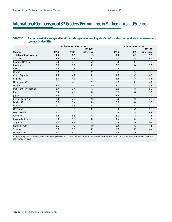### **International Comparisons of 8<sup>th</sup>-Graders' Performance in Mathematics and Science**

#### Table S13-2 Standard errors for the average mathematics and science performance of 8<sup>th</sup>-graders for the 23 countries that participated in both assessments, **by country: 1995 and 1999**

|                           |      | Mathematics: mean score |            | Science: mean score |      |            |
|---------------------------|------|-------------------------|------------|---------------------|------|------------|
|                           |      |                         | 1995-99    |                     |      | 1995-99    |
| Country                   | 1995 | 1999                    | difference | 1995                | 1999 | difference |
| International average     | 0.9  | 0.9                     | 1.3        | 0.9                 | 0.9  | 1.3        |
| Australia                 | 3.8  | 4.8                     | 6.1        | 4.0                 | 4.4  | 6.0        |
| Belgium-Flemish           | 5.9  | 3.3                     | 6.8        | 6.4                 | 3.1  | 7.1        |
| Bulgaria                  | 5.8  | 5.9                     | 8.2        | 5.2                 | 5.4  | 7.5        |
| Canada                    | 2.2  | 2.5                     | 3.2        | 2.6                 | 2.1  | 3.3        |
| Cyprus                    | 2.2  | 1.8                     | 2.9        | 2.1                 | 2.4  | 3.3        |
| Czech Republic            | 4.5  | 4.2                     | 6.1        | 4.5                 | 4.2  | 6.1        |
| England                   | 3.0  | 4.2                     | 5.2        | 3.6                 | 4.8  | 5.8        |
| Hong Kong SAR             | 6.1  | 4.3                     | 7.5        | 5.8                 | 3.7  | 6.8        |
| Hungary                   | 3.2  | 3.7                     | 4.9        | 3.1                 | 3.7  | 4.9        |
| Iran, Islamic Republic of | 3.9  | 3.4                     | 5.2        | 3.6                 | 3.8  | 5.2        |
| Italy                     | 3.4  | 4.8                     | 6.0        | 3.6                 | 4.8  | 5.9        |
| Japan                     | 1.6  | 1.7                     | 2.2        | 1.8                 | 2.2  | 3.0        |
| Korea, Republic of        | 2.0  | 2.0                     | 2.8        | 2.0                 | 2.6  | 3.4        |
| Latvia-LSS                | 3.6  | 3.4                     | 5.0        | 3.3                 | 4.8  | 5.9        |
| Lithuania                 | 4.1  | 4.3                     | 6.1        | 4.0                 | 4.1  | 5.7        |
| <b>Netherlands</b>        | 6.1  | 7.1                     | 9.5        | 6.0                 | 6.9  | 9.1        |
| New Zealand               | 4.7  | 5.2                     | 7.1        | 4.9                 | 4.9  | 6.9        |
| Romania                   | 4.6  | 5.8                     | 7.4        | 5.1                 | 5.8  | 7.8        |
| <b>Russian Federation</b> | 5.3  | 5.9                     | 8.0        | 4.5                 | 6.4  | 7.9        |
| Singapore                 | 4.0  | 6.3                     | 7.4        | 5.5                 | 8.0  | 9.8        |
| Slovak Republic           | 3.1  | 4.0                     | 4.9        | 3.3                 | 3.3  | 4.5        |
| Slovenia                  | 2.8  | 2.8                     | 3.9        | 2.8                 | 3.2  | 4.4        |
| <b>United States</b>      | 4.7  | 4.0                     | 6.2        | 5.6                 | 4.6  | 7.2        |

SOURCE: U.S. Department of Education, NCES. (2000). Pursuing Excellence: Comparisons of International Eighth-Grade Mathematics and Science Achievement from a U.S. Perspective, 1995 and 1999 (NCES 2001– 028) (TIMSS and TIMSS-R).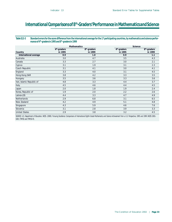### **International Comparisons of 8<sup>th</sup>-Graders' Performance in Mathematics and Science**

#### **Table S13-3 Standard errors for the score difference from the international average for the 17 participating countries, by mathematics and science perfor**mance of 4<sup>th</sup>-graders in 1995 and 8<sup>th</sup>-graders in 1999

|                           | <b>Mathematics</b>       |                          |                          | Science                  |
|---------------------------|--------------------------|--------------------------|--------------------------|--------------------------|
|                           | 4 <sup>th</sup> -graders | 8 <sup>th</sup> -graders | 4 <sup>th</sup> -graders | 8 <sup>th</sup> -graders |
| Country                   | in 1995                  | in 1999                  | in 1995                  | in 1999                  |
| International average     | 0.9                      | 1.0                      | 0.9                      | 1.1                      |
| Australia                 | 3.0                      | 4.7                      | 3.5                      | 4.3                      |
| Canada                    | 3.3                      | 2.7                      | 3.0                      | 2.1                      |
| Cyprus                    | 3.1                      | 1.9                      | 3.1                      | 2.3                      |
| Czech Republic            | 3.1                      | 4.1                      | 3.0                      | 4.1                      |
| England                   | 3.3                      | 4.0                      | 3.1                      | 4.5                      |
| Hong Kong SAR             | 3.8                      | 4.2                      | 3.3                      | 3.5                      |
| Hungary                   | 3.5                      | 3.6                      | 3.3                      | 3.6                      |
| Iran, Islamic Republic of | 4.8                      | 3.3                      | 4.4                      | 3.7                      |
| Italy                     | 4.5                      | 4.6                      | 4.4                      | 4.5                      |
| Japan                     | 2.0                      | 1.8                      | 1.9                      | 2.4                      |
| Korea, Republic of        | 1.9                      | 2.0                      | 2.2                      | 2.6                      |
| Latvia-LSS                | 4.4                      | 3.3                      | 4.7                      | 4.9                      |
| Netherlands               | 2.9                      | 6.8                      | 3.1                      | 6.5                      |
| New Zealand               | 4.2                      | 4.9                      | 5.1                      | 4.8                      |
| Singapore                 | 4.3                      | 5.9                      | 4.6                      | 7.6                      |
| Slovenia                  | 3.1                      | 2.8                      | 3.9                      | 3.3                      |
| <b>United States</b>      | 2.9                      | 3.8                      | 3.2                      | 4.5                      |

SOURCE: U.S. Department of Education, NCES. (2000). Pursuing Excellence: Comparisons of International Eighth-Grade Mathematics and Science Achievement from a U.S. Perspective, 1995 and 1999 (NCES 2001-028) (TIMSS and TIMSS-R).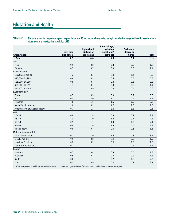### **Education and Health**

#### **Table S14-1 Standard errors for the percentage of the population age 25 and above who reported being in excellent or very good health, by educational attainment and selected characteristics: 1997**

| Characteristic                 | Less than<br>high school | <b>High school</b><br>diploma or<br>equivalent | Some college,<br>including<br>vocational/<br>technical | Bachelor's<br>degree or<br>higher | Total |
|--------------------------------|--------------------------|------------------------------------------------|--------------------------------------------------------|-----------------------------------|-------|
| Total                          | 0.3                      | 0.8                                            | 0.6                                                    | 0.7                               | 1.9   |
| Sex                            |                          |                                                |                                                        |                                   |       |
| Male                           | 0.5                      | 0.8                                            | 0.3                                                    | 0.5                               | 1.6   |
| Female                         | 0.5                      | 0.7                                            | 0.9                                                    | 0.8                               | 2.1   |
| Family income                  |                          |                                                |                                                        |                                   |       |
| Less than \$20,000             | 1.2                      | 0.3                                            | 0.4                                                    | 1.4                               | 0.5   |
| \$20,000-34,999                | 0.6                      | 0.3                                            | 0.5                                                    | 0.3                               | 0.8   |
| \$35,000-54,999                | 0.8                      | 0.4                                            | 0.4                                                    | 0.6                               | 0.8   |
| \$55,000-74,999                | 1.7                      | 0.7                                            | 0.9                                                    | 0.5                               | 1.1   |
| \$75,000 or more               | 3.2                      | 0.9                                            | 0.3                                                    | 0.5                               | 0.6   |
| Race/ethnicity                 |                          |                                                |                                                        |                                   |       |
| White                          | 0.5                      | 0.3                                            | 0.0                                                    | 0.2                               | 0.6   |
| <b>Black</b>                   | 0.3                      | 2.0                                            | 1.1                                                    | 0.5                               | 1.5   |
| Hispanic                       | 1.6                      | 1.6                                            | 1.6                                                    | 1.9                               | 2.6   |
| Asian/Pacific Islander         | 1.0                      | 3.1                                            | 1.7                                                    | 2.0                               | 1.5   |
| American Indian/Alaskan Native | 0.7                      | 1.2                                            | 2.6                                                    | 3.3                               | 0.5   |
| Age                            |                          |                                                |                                                        |                                   |       |
| $25 - 34$                      | 0.9                      | 1.8                                            | 0.8                                                    | 0.7                               | 2.4   |
| $35 - 44$                      | 1.3                      | 1.0                                            | 1.2                                                    | 0.7                               | 2.1   |
| $45 - 54$                      | 0.5                      | 1.1                                            | 1.0                                                    | 1.2                               | 2.4   |
| $55 - 64$                      | 0.8                      | 1.6                                            | 1.5                                                    | 0.5                               | 2.3   |
| 65 and above                   | 0.8                      | 0.7                                            | 0.4                                                    | 0.6                               | 1.3   |
| Metropolitan area status       |                          |                                                |                                                        |                                   |       |
| 2.5 million or more            | 0.7                      | 1.0                                            | 1.6                                                    | 0.8                               | 3.4   |
| $1-2.49$ million               | 0.5                      | 0.8                                            | 0.4                                                    | 0.5                               | 1.5   |
| Less than 1 million            | 0.2                      | 0.7                                            | 0.6                                                    | 1.0                               | 1.8   |
| Nonmetropolitan area           | 0.7                      | 1.1                                            | 0.1                                                    | 0.2                               | 1.1   |
| Region                         |                          |                                                |                                                        |                                   |       |
| Northeast                      | 0.3                      | 0.4                                            | 0.5                                                    | 0.5                               | 1.3   |
| Midwest                        | 0.5                      | 0.7                                            | 0.8                                                    | 0.2                               | 1.1   |
| South                          | 0.6                      | 1.1                                            | 0.7                                                    | 1.3                               | 2.2   |
| West                           | 0.3                      | 0.9                                            | 0.4                                                    | 0.7                               | 2.7   |

SOURCE: U.S. Department of Health and Human Services, Centers for Disease Control, National Center for Health Statistics. National Health Interview Survey, 1997.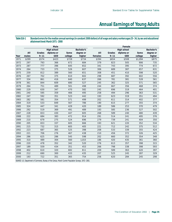### **Annual Earnings of Young Adults**

### **Male Female High school Bachelor's High school Bachelor's All Grades diploma or Some degree or All Grades diploma or Some degree or Year males 9–11 GED college higher females 9–11 GED college higher** 1971 \$299 \$574 \$423 \$728 \$734 \$394 \$654 \$508 \$1,094 \$875 1972 297 793 366 672 684 379 823 505 906 735 1973 287 777 396 645 652 341 743 395 774 672 1974 264 733 375 526 607 306 689 387 657 631 1975 259 812 389 560 651 308 451 410 598 520 1976 267 702 375 610 602 298 687 392 602 556 1977 334 861 416 640 637 266 781 381 528 561 1978 361 844 609 680 527 245 362 325 571 565 1979 264 751 489 501 498 244 667 356 468 374 1980 229 630 347 470 582 245 696 319 464 401 1981 240 595 359 466 495 258 494 296 363 531 1982 247 592 351 523 442 193 623 319 351 494 1983 282 581 354 571 499 202 611 314 402 377 1984 319 533 849 567 786 190 615 277 355 374 1985 324 447 341 429 420 189 586 253 370 479 1986 292 519 369 491 489 193 585 236 527 502 1987 228 653 430 447 605 268 589 240 480 439 1988 222 684 383 472 914 291 514 241 495 376 1989 210 679 275 524 696 279 739 241 404 350 1990 205 653 337 605 666 193 621 220 352 534 1991 215 732 315 605 405 221 712 242 375 512 1992 223 687 365 525 398 208 533 339 355 424 1993 221 706 276 467 438 210 456 372 326 425 1994 286 625 286 545 598 202 660 352 354 348 1995 310 489 304 560 1,015 186 420 435 361 360 1996 220 478 352 342 520 276 613 357 398 315 1997 189 559 434 351 453 266 798 338 398 593 1998 402 610 320 682 811 209 589 363 420 397 1999 212 690 300 433 435 207 525 245 287 329 2000 193 722 351 365 754 256 620 284 245 298

**Table S16-1 Standard errors for the median annual earnings (in constant 2000 dollars) of all wage and salary workers ages 25–34, by sex and educational attainment level: March 1971–2000**

SOURCE: U.S. Department of Commerce, Bureau of the Census. March Current Population Surveys, 1972–2001.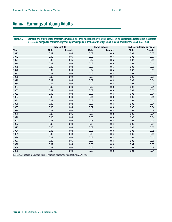### **Annual Earnings of Young Adults**

**Table S16-2 Standard errors for the ratio of median annual earnings of all wage and salary workers ages 25–34 whose highest education level was grades 9–11, some college, or a bachelor's degree or higher, compared with those with a high school diploma or GED, by sex: March 1971–2000**

|      |      | Grades 9-11 |      | Some college |      | Bachelor's degree or higher |  |
|------|------|-------------|------|--------------|------|-----------------------------|--|
| Year | Male | Female      | Male | Female       | Male | Female                      |  |
| 1971 | 0.02 | 0.05        | 0.02 | 0.08         | 0.02 | 0.08                        |  |
| 1972 | 0.02 | 0.05        | 0.02 | 0.07         | 0.02 | 0.07                        |  |
| 1973 | 0.02 | 0.05        | 0.02 | 0.06         | 0.02 | 0.06                        |  |
| 1974 | 0.02 | 0.05        | 0.02 | 0.05         | 0.02 | 0.06                        |  |
| 1975 | 0.03 | 0.03        | 0.02 | 0.05         | 0.02 | 0.06                        |  |
| 1976 | 0.02 | 0.04        | 0.02 | 0.05         | 0.02 | 0.05                        |  |
| 1977 | 0.03 | 0.05        | 0.02 | 0.04         | 0.02 | 0.05                        |  |
| 1978 | 0.03 | 0.02        | 0.03 | 0.04         | 0.03 | 0.05                        |  |
| 1979 | 0.02 | 0.04        | 0.02 | 0.04         | 0.02 | 0.04                        |  |
| 1980 | 0.02 | 0.04        | 0.02 | 0.04         | 0.02 | 0.04                        |  |
| 1981 | 0.02 | 0.03        | 0.02 | 0.03         | 0.02 | 0.04                        |  |
| 1982 | 0.02 | 0.04        | 0.02 | 0.03         | 0.02 | 0.05                        |  |
| 1983 | 0.02 | 0.04        | 0.02 | 0.04         | 0.02 | 0.04                        |  |
| 1984 | 0.03 | 0.04        | 0.04 | 0.03         | 0.05 | 0.04                        |  |
| 1985 | 0.02 | 0.04        | 0.02 | 0.03         | 0.02 | 0.04                        |  |
| 1986 | 0.02 | 0.04        | 0.02 | 0.04         | 0.03 | 0.04                        |  |
| 1987 | 0.03 | 0.04        | 0.02 | 0.03         | 0.03 | 0.04                        |  |
| 1988 | 0.03 | 0.03        | 0.02 | 0.04         | 0.04 | 0.03                        |  |
| 1989 | 0.03 | 0.05        | 0.02 | 0.03         | 0.03 | 0.04                        |  |
| 1990 | 0.03 | 0.04        | 0.03 | 0.03         | 0.03 | 0.04                        |  |
| 1991 | 0.03 | 0.05        | 0.03 | 0.03         | 0.02 | 0.04                        |  |
| 1992 | 0.03 | 0.04        | 0.03 | 0.04         | 0.03 | 0.05                        |  |
| 1993 | 0.03 | 0.03        | 0.02 | 0.04         | 0.03 | 0.06                        |  |
| 1994 | 0.03 | 0.04        | 0.03 | 0.03         | 0.03 | 0.05                        |  |
| 1995 | 0.02 | 0.03        | 0.03 | 0.04         | 0.05 | 0.06                        |  |
| 1996 | 0.02 | 0.04        | 0.02 | 0.04         | 0.03 | 0.05                        |  |
| 1997 | 0.02 | 0.05        | 0.02 | 0.04         | 0.03 | 0.05                        |  |
| 1998 | 0.02 | 0.04        | 0.03 | 0.04         | 0.04 | 0.05                        |  |
| 1999 | 0.03 | 0.03        | 0.02 | 0.03         | 0.02 | 0.03                        |  |
| 2000 | 0.03 | 0.04        | 0.02 | 0.03         | 0.04 | 0.04                        |  |

SOURCE: U.S. Department of Commerce, Bureau of the Census. March Current Population Surveys, 1972–2001.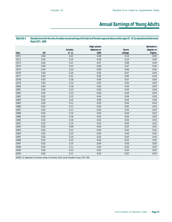# **Annual Earnings of Young Adults**

| Table S16-3 | Standard errors for the ratio of median annual earnings of all male to all female wage and salary workers ages 25-34, by educational attainment:<br>March 1971-2000 |          |                    |         |                   |  |
|-------------|---------------------------------------------------------------------------------------------------------------------------------------------------------------------|----------|--------------------|---------|-------------------|--|
|             |                                                                                                                                                                     |          | <b>High school</b> |         | <b>Bachelor's</b> |  |
|             |                                                                                                                                                                     | Grades   | diploma or         | Some    | degree or         |  |
| Year        | All                                                                                                                                                                 | $9 - 11$ | <b>GED</b>         | college | higher            |  |
| 1971        | 0.06                                                                                                                                                                | 0.21     | 0.08               | 0.14    | 0.05              |  |
| 1972        | 0.05                                                                                                                                                                | 0.25     | 0.08               | 0.10    | 0.05              |  |
| 1973        | 0.05                                                                                                                                                                | 0.21     | 0.07               | 0.08    | 0.04              |  |
| 1974        | 0.04                                                                                                                                                                | 0.23     | 0.06               | 0.07    | 0.04              |  |
| 1975        | 0.04                                                                                                                                                                | 0.14     | 0.06               | 0.06    | 0.04              |  |
| 1976        | 0.04                                                                                                                                                                | 0.20     | 0.05               | 0.07    | 0.04              |  |
| 1977        | 0.03                                                                                                                                                                | 0.21     | 0.05               | 0.05    | 0.04              |  |
| 1978        | 0.03                                                                                                                                                                | 0.16     | 0.06               | 0.07    | 0.04              |  |
| 1979        | 0.03                                                                                                                                                                | 0.14     | 0.05               | 0.05    | 0.03              |  |
| 1980        | 0.03                                                                                                                                                                | 0.16     | 0.04               | 0.04    | 0.03              |  |
| 1981        | 0.03                                                                                                                                                                | 0.13     | 0.04               | 0.04    | 0.04              |  |
| 1982        | 0.02                                                                                                                                                                | 0.13     | 0.04               | 0.04    | 0.03              |  |
| 1983        | 0.02                                                                                                                                                                | 0.12     | 0.04               | 0.04    | 0.03              |  |
| 1984        | 0.02                                                                                                                                                                | 0.14     | 0.06               | 0.04    | 0.04              |  |
| 1985        | 0.02                                                                                                                                                                | 0.11     | 0.03               | 0.04    | 0.03              |  |
| 1986        | 0.02                                                                                                                                                                | 0.11     | 0.03               | 0.05    | 0.03              |  |
| 1987        | 0.02                                                                                                                                                                | 0.11     | 0.03               | 0.04    | 0.03              |  |
| 1988        | 0.02                                                                                                                                                                | 0.14     | 0.03               | 0.04    | 0.03              |  |
| 1989        | 0.02                                                                                                                                                                | 0.16     | 0.03               | 0.04    | 0.03              |  |
| 1990        | 0.02                                                                                                                                                                | 0.16     | 0.03               | 0.04    | 0.03              |  |
| 1991        | 0.02                                                                                                                                                                | 0.14     | 0.03               | 0.04    | 0.03              |  |
| 1992        | 0.02                                                                                                                                                                | 0.09     | 0.04               | 0.03    | 0.02              |  |
| 1993        | 0.02                                                                                                                                                                | 0.12     | 0.04               | 0.03    | 0.02              |  |
| 1994        | 0.02                                                                                                                                                                | 0.14     | 0.04               | 0.04    | 0.02              |  |
| 1995        | 0.02                                                                                                                                                                | 0.10     | 0.05               | 0.04    | 0.04              |  |
| 1996        | 0.02                                                                                                                                                                | 0.12     | 0.04               | 0.03    | 0.02              |  |
| 1997        | 0.02                                                                                                                                                                | 0.15     | 0.04               | 0.03    | 0.03              |  |
| 1998        | 0.02                                                                                                                                                                | 0.11     | 0.04               | 0.04    | 0.03              |  |
| 1999        | 0.02                                                                                                                                                                | 0.12     | 0.03               | 0.03    | 0.02              |  |
| 2000        | 0.02                                                                                                                                                                | 0.11     | 0.03               | 0.02    | 0.03              |  |

SOURCE: U.S. Department of Commerce, Bureau of the Census. March Current Population Surveys, 1972–2001.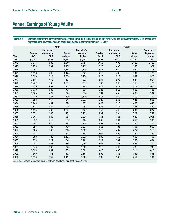## **Annual Earnings of Young Adults**

**Table S16-4 Standard errors for the difference in average annual earnings (in constant 2000 dollars) for all wage and salary workers ages 25–34 between the highest and the lowest quartiles, by sex and educational attainment: March 1971–2000**

|      |          |             | Male    |                   | Female   |             |         |                   |  |
|------|----------|-------------|---------|-------------------|----------|-------------|---------|-------------------|--|
|      |          | High school |         | <b>Bachelor's</b> |          | High school |         | <b>Bachelor's</b> |  |
|      | Grades   | diploma or  | Some    | degree or         | Grades   | diploma or  | Some    | degree or         |  |
| Year | $9 - 11$ | <b>GED</b>  | college | higher            | $9 - 11$ | <b>GED</b>  | college | higher            |  |
| 1971 | \$1,144  | \$668       | \$1,187 | \$1,488           | \$893    | \$549       | \$1,187 | \$1,595           |  |
| 1972 | 1,274    | 580         | 1,049   | 1,458             | 1,053    | 695         | 1,019   | 1,489             |  |
| 1973 | 1,275    | 707         | 1,487   | 1,197             | 920      | 605         | 958     | 1,301             |  |
| 1974 | 1,164    | 740         | 1,185   | 1,139             | 857      | 632         | 1,062   | 1,405             |  |
| 1975 | 1,158    | 698         | 1,124   | 822               | 1,012    | 483         | 794     | 1,176             |  |
| 1976 | 1,290    | 714         | 1,000   | 1,170             | 810      | 526         | 992     | 926               |  |
| 1977 | 1,587    | 670         | 828     | 912               | 834      | 590         | 964     | 914               |  |
| 1978 | 1,467    | 798         | 1,057   | 873               | 792      | 598         | 760     | 1,176             |  |
| 1979 | 1,479    | 661         | 875     | 792               | 915      | 443         | 811     | 1,062             |  |
| 1980 | 1,010    | 533         | 708     | 898               | 926      | 510         | 883     | 785               |  |
| 1981 | 1,104    | 472         | 848     | 834               | 784      | 453         | 695     | 994               |  |
| 1982 | 1,180    | 547         | 850     | 1,176             | 911      | 540         | 800     | 770               |  |
| 1983 | 952      | 654         | 847     | 1,022             | 920      | 545         | 621     | 965               |  |
| 1984 | 1,265    | 601         | 770     | 732               | 1,026    | 515         | 680     | 645               |  |
| 1985 | 1,436    | 554         | 976     | 942               | 888      | 478         | 856     | 830               |  |
| 1986 | 1,055    | 498         | 1,071   | 823               | 745      | 443         | 896     | 827               |  |
| 1987 | 1,072    | 500         | 983     | 1,115             | 807      | 394         | 721     | 742               |  |
| 1988 | 1,167    | 549         | 917     | 1,226             | 755      | 423         | 682     | 1,095             |  |
| 1989 | 927      | 615         | 688     | 804               | 696      | 391         | 656     | 996               |  |
| 1990 | 944      | 616         | 737     | 870               | 867      | 495         | 730     | 772               |  |
| 1991 | 854      | 709         | 760     | 1,325             | 616      | 481         | 795     | 908               |  |
| 1992 | 686      | 703         | 914     | 1,389             | 1,216    | 492         | 622     | 915               |  |
| 1993 | 758      | 779         | 828     | 897               | 1,044    | 495         | 744     | 736               |  |
| 1994 | 888      | 720         | 1.112   | 1,023             | 838      | 463         | 609     | 752               |  |
| 1995 | 915      | 521         | 843     | 1,485             | 917      | 502         | 556     | 654               |  |
| 1996 | 743      | 526         | 650     | 1,453             | 1,031    | 446         | 563     | 702               |  |
| 1997 | 943      | 500         | 774     | 1,982             | 910      | 495         | 483     | 1,248             |  |
| 1998 | 1,095    | 801         | 888     | 1,691             | 1,015    | 638         | 514     | 616               |  |
| 1999 | 869      | 471         | 503     | 1,568             | 802      | 741         | 838     | 855               |  |
| 2000 | 1,153    | 547         | 1,165   | 1,386             | 1,286    | 509         | 664     | 794               |  |

SOURCE: U.S. Department of Commerce, Bureau of the Census. March Current Population Surveys, 1972–2001.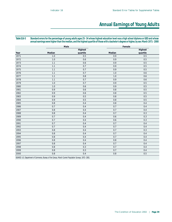### **Annual Earnings of Young Adults**

**Table S16-5 Standard errors for the percentage of young adults ages 25–34 whose highest education level was a high school diploma or GED and whose annual earnings were higher than the median, and the highest quartile of those with a bachelor's degree or higher, by sex: March 1971–2000**

|      |                  | Male             | Female  |                  |  |
|------|------------------|------------------|---------|------------------|--|
|      |                  | Highest          |         | Highest          |  |
| Year | Median           | quartile         | Median  | quartile         |  |
| 1971 | 1.0              | 0.5              | 0.9     | 0.5              |  |
| 1972 | 1.0              | 0.6              | 0.9     | 0.5              |  |
| 1973 | 1.1              | 0.6              | 0.9     | 0.5              |  |
| 1974 | 1.1              | 0.7              | 0.9     | 0.5              |  |
| 1975 | 1.1              | 0.7              | 0.9     | 0.5              |  |
| 1976 | $\overline{1.1}$ | 0.7              | 1.0     | 0.6              |  |
| 1977 | $\overline{1.1}$ | $0.8\,$          | 1.0     | 0.6              |  |
| 1978 | 1.1              | 0.7              | 0.9     | 0.6              |  |
| 1979 | 1.0              | 0.7              | 0.9     | $\overline{0.5}$ |  |
| 1980 | 1.0              | 0.6              | 0.9     | 0.5              |  |
| 1981 | 0.9              | 0.6              | 0.8     | 0.5              |  |
| 1982 | 0.9              | 0.6              | 0.8     | $\overline{0.5}$ |  |
| 1983 | 0.9              | 0.5              | 0.8     | 0.5              |  |
| 1984 | 0.9              | 0.5              | $0.8\,$ | 0.5              |  |
| 1985 | 0.8              | 0.4              | 0.8     | 0.4              |  |
| 1986 | 0.7              | 0.4              | 0.7     | 0.4              |  |
| 1987 | 0.8              | 0.4              | 0.7     | 0.4              |  |
| 1988 | $0.8\,$          | 0.4              | 0.7     | 0.3              |  |
| 1989 | 0.7              | 0.4              | 0.6     | 0.3              |  |
| 1990 | 0.7              | 0.4              | 0.6     | 0.3              |  |
| 1991 | 0.7              | 0.4              | 0.7     | 0.4              |  |
| 1992 | 0.7              | 0.4              | 0.7     | 0.4              |  |
| 1993 | 0.8              | 0.4              | 0.7     | 0.3              |  |
| 1994 | 0.8              | 0.4              | 0.7     | 0.4              |  |
| 1995 | 0.8              | 0.4              | 0.7     | 0.4              |  |
| 1996 | 0.8              | 0.4              | $0.8\,$ | 0.4              |  |
| 1997 | 0.8              | 0.4              | 0.7     | 0.4              |  |
| 1998 | 0.8              | 0.3              | 0.7     | 0.4              |  |
| 1999 | $\overline{0.8}$ | $\overline{0.3}$ | 0.7     | 0.4              |  |
| 2000 | $0.8\,$          | 0.4              | $0.8\,$ | 0.5              |  |
|      |                  |                  |         |                  |  |

SOURCE: U.S. Department of Commerce, Bureau of the Census. March Current Population Surveys, 1972–2001.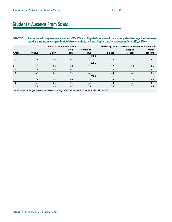### **Students' Absence From School**

Table S17-1 Standard errors for the percentage distributions of 8<sup>th</sup>-, 10<sup>th</sup>-, and 12<sup>th</sup>-grade students according to how many school days they missed in a 4-week **period, and average percentage of their total absences attributed to illness, skipping school, or other reasons: 1983, 1991, and 2000**

|       |        | Total days absent from school |          |           | Percentage of total absences attributed to each reason |         |         |  |
|-------|--------|-------------------------------|----------|-----------|--------------------------------------------------------|---------|---------|--|
|       |        |                               | $2$ to 5 | More than |                                                        | Skipped | Other   |  |
| Grade | 0 days | 1 day                         | days     | 5 days    | <b>Illness</b>                                         | school  | reasons |  |
|       |        |                               |          | 1983      |                                                        |         |         |  |
| 12    | 0.7    | 0.6                           | 0.7      | 0.6       | 0.8                                                    | 0.6     | 0.7     |  |
|       |        |                               |          | 1991      |                                                        |         |         |  |
| 8     | 0.8    | 0.6                           | 0.6      | 0.6       | 0.7                                                    | 0.4     | 0.7     |  |
| 10    | 0.8    | 0.6                           | 0.7      | 0.6       | 0.8                                                    | 0.6     | 0.7     |  |
| 12    | 0.7    | 0.6                           | 0.7      | 0.6       | 0.8                                                    | 0.7     | 0.8     |  |
|       |        |                               |          | 2000      |                                                        |         |         |  |
| 8     | 0.8    | 0.6                           | 0.6      | 0.5       | 0.9                                                    | 0.5     | 0.8     |  |
| 10    | 0.8    | 0.6                           | 0.7      | 0.5       | 0.9                                                    | 0.6     | 0.9     |  |
| 12    | 0.7    | 0.6                           | 0.7      | 0.7       | 0.8                                                    | 0.8     | 0.9     |  |

SOURCE: University of Michigan, Institute for Social Research. Monitoring the Future 8th-, 10th-, and 12th-Grade Studies, 1983, 1991, and 2000.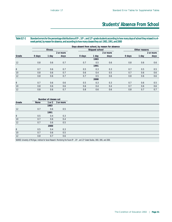### **Students' Absence From School**

Table S17-2 Standard errors for the percentage distributions of 8<sup>th-</sup>, 10<sup>th-</sup>, and 12<sup>th</sup>-grade students according to how many days of school they missed in a 4**week period, by reason for absence, and according to how many classes they cut: 1983, 1991, and 2000**

|       |        | Days absent from school, by reason for absence |           |        |                |           |        |               |           |  |  |  |
|-------|--------|------------------------------------------------|-----------|--------|----------------|-----------|--------|---------------|-----------|--|--|--|
|       |        | <b>Illness</b>                                 |           |        | Skipped school |           |        | Other reasons |           |  |  |  |
|       |        |                                                | 2 or more |        |                | 2 or more |        |               | 2 or more |  |  |  |
| Grade | 0 days | 1 day                                          | days      | 0 days | 1 day          | days      | 0 days | 1 day         | days      |  |  |  |
|       |        |                                                |           |        | 1983           |           |        |               |           |  |  |  |
| 12    | 0.8    | 0.6                                            | 0.7       | 0.7    | 0.5            | 0.6       | 0.8    | 0.6           | 0.6       |  |  |  |
|       |        |                                                |           |        | 1991           |           |        |               |           |  |  |  |
| 8     | 0.7    | 0.6                                            | 0.7       | 0.5    | 0.3            | 0.3       | 0.7    | 0.5           | 0.5       |  |  |  |
| 10    | 0.8    | 0.6                                            | 0.7       | 0.6    | 0.4            | 0.5       | 0.7    | 0.6           | 0.6       |  |  |  |
| 12    | 0.8    | 0.6                                            | 0.7       | 0.7    | 0.5            | 0.6       | 0.8    | 0.6           | 0.6       |  |  |  |
|       |        |                                                |           |        | 2000           |           |        |               |           |  |  |  |
| 8     | 0.7    | 0.6                                            | 0.6       | 0.5    | 0.3            | 0.3       | 0.7    | 0.6           | 0.5       |  |  |  |
| 10    | 0.8    | 0.6                                            | 0.6       | 0.6    | 0.4            | 0.4       | 0.7    | 0.6           | 0.6       |  |  |  |
| 12    | 0.8    | 0.6                                            | 0.7       | 0.8    | 0.6            | 0.6       | 0.8    | 0.7           | 0.7       |  |  |  |

|        |      | Number of classes cut |                  |
|--------|------|-----------------------|------------------|
| Grade  | None |                       | 1 or 2 3 or more |
|        |      | 1983                  |                  |
| 12     | 0.7  | 0.6                   | 0.5              |
|        |      | 1991                  |                  |
| 8      | 0.5  | 0.4                   | 0.3              |
| 10     | 0.7  | 0.6                   | 0.4              |
| 12     | 0.7  | 0.6                   | 0.5              |
|        |      | 2000                  |                  |
| $\, 8$ | 0.5  | 0.4                   | 0.3              |
| 10     | 0.7  | 0.6                   | 0.5              |
| 12     | 0.8  | 0.7                   | 0.6              |

SOURCE: University of Michigan, Institute for Social Research. Monitoring the Future 8th-, 10th-, and 12th-Grade Studies, 1983, 1991, and 2000.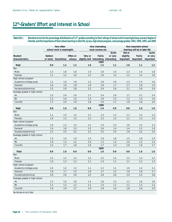### **12th-Graders' Effort and Interest in School**

#### Table S18-1 Standard errors for the percentage distributions of 12<sup>th</sup>-graders according to their ratings of school work's meaningfulness, courses' degree of **interest, and the importance of their school learning in later life, by sex, high school program, and average grades: 1983, 1990, 1995, and 2000**

|                                | How often |                           |          |                                       | How interesting  |         | How important school           |           |           |
|--------------------------------|-----------|---------------------------|----------|---------------------------------------|------------------|---------|--------------------------------|-----------|-----------|
|                                |           | school work is meaningful |          |                                       | most courses are |         | learning will be in later life |           |           |
|                                |           |                           |          |                                       |                  | Quite   | Not or                         |           | Quite     |
| <b>Student</b>                 | Seldom    |                           | Often or | Very or                               | Fairly           | or very | slightly                       | Fairly    | or very   |
| characteristics                |           | or never Sometimes        | always   | slightly dull interesting interesting | 1983             |         | important                      | important | important |
| Total                          | 0.9       | 1.2                       | 1.2      | 1.0                                   | 1.2              | 1.1     | 1.0                            | 1.1       | 1.2       |
| Sex                            |           |                           |          |                                       |                  |         |                                |           |           |
| Male                           | 1.3       | 1.6                       | 1.6      | 1.4                                   | 1.6              | 1.5     | 1.3                            | 1.5       | 1.6       |
| Female                         | 1.1       | 1.5                       | 1.6      | 1.2                                   | 1.6              | 1.5     | 1.2                            | 1.4       | 1.6       |
| High school program            |           |                           |          |                                       |                  |         |                                |           |           |
| Academic/college-prep          | 1.1       | 1.6                       | 1.6      | 1.2                                   | 1.6              | 1.6     | 1.2                            | 1.5       | 1.6       |
| General                        | 1.6       | 1.9                       | 1.8      | 1.6                                   | 1.9              | 1.7     | 1.7                            | 1.8       | 1.9       |
| Vocational/technical           | 2.3       | 2.9                       | 2.8      | 2.2                                   | 2.9              | 2.9     | 2.1                            | 2.6       | 2.9       |
| Average grades in high school  |           |                           |          |                                       |                  |         |                                |           |           |
| A's                            | 1.5       | 2.4                       | 2.4      | 1.7                                   | 2.4              | 2.4     | 1.7                            | 2.1       | 2.4       |
| B's                            | 1.2       | 1.6                       | 1.5      | 1.2                                   | 1.6              | 1.5     | 1.2                            | 1.4       | 1.6       |
| C's or D's                     | 1.7       | 2.0                       | 1.9      | 1.8                                   | 2.0              | 1.7     | 1.8                            | 1.9       | 2.0       |
|                                |           |                           |          |                                       | 1990             |         |                                |           |           |
| Total                          | 0.8       | 1.0                       | 1.0      | 0.9                                   | 1.0              | 0.9     | 0.8                            | 1.0       | 1.0       |
| Sex                            |           |                           |          |                                       |                  |         |                                |           |           |
| Male                           | 1.1       | 1.3                       | 1.2      | 1.1                                   | 1.3              | 1.2     | 1.1                            | 1.2       | 1.3       |
| Female                         | 1.0       | 1.3                       | 1.3      | 1.1                                   | 1.3              | 1.2     | 1.1                            | 1.3       | 1.3       |
| High school program            |           |                           |          |                                       |                  |         |                                |           |           |
| Academic/college-prep          | 1.0       | 1.3                       | 1.2      | 1.1                                   | 1.3              | 1.2     | 1.0                            | 1.2       | 1.3       |
| General                        | 1.4       | 1.6                       | 1.5      | 1.5                                   | 1.6              | 1.4     | 1.4                            | 1.5       | 1.6       |
| Vocational/technical           | 2.2       | 2.5                       | 2.5      | 2.1                                   | 2.5              | 2.5     | 1.9                            | 2.2       | 2.5       |
| Average grades in high school  |           |                           |          |                                       |                  |         |                                |           |           |
| A's                            | 1.5       | 1.9                       | 1.9      | 1.5                                   | 1.9              | 1.8     | 1.5                            | 1.8       | 1.9       |
| B's                            | 1.0       | 1.3                       | 1.2      | 1.0                                   | 1.3              | 1.2     | $1.0$                          | 1.2       | 1.3       |
| C's or D's                     | 1.5       | 1.7                       | 1.6      | 1.6                                   | 1.7              | 1.3     | 1.6                            | 1.6       | 1.7       |
|                                |           |                           |          |                                       | 1995             |         |                                |           |           |
| Total                          | 0.9       | 1.0                       | 0.9      | 0.9                                   | 1.0              | 0.9     | 0.9                            | 1.0       | 1.0       |
| Sex                            |           |                           |          |                                       |                  |         |                                |           |           |
| Male                           | 1.2       | 1.3                       | 1.2      | 1.2                                   | 1.3              | 1.2     | 1.2                            | 1.3       | 1.3       |
| Female                         | 1.0       | 1.3                       | $1.2$    | 1.1                                   | 1.3              | 1.1     | 1.1                            | 1.2       | 1.3       |
| High school program            |           |                           |          |                                       |                  |         |                                |           |           |
| Academic/college-prep          | 1.0       | 1.2                       | 1.2      | 1.1                                   | 1.2              | 1.1     | 1.0                            | 1.2       | 1.2       |
| General                        | 1.6       | 1.7                       | 1.5      | 1.6                                   | 1.7              | 1.2     | 1.6                            | 1.6       | 1.7       |
| Vocational/technical           | 2.6       | 2.8                       | 2.6      | 2.5                                   | 2.8              | 2.6     | 2.4                            | 2.5       | 2.8       |
| Average grades in high school  |           |                           |          |                                       |                  |         |                                |           |           |
| A's                            | 1.3       | 1.6                       | 1.6      | 1.4                                   | 1.6              | 1.5     | 1.3                            | 1.6       | 1.6       |
| B's                            | 1.1       | 1.3                       | 1.2      | 1.2                                   | 1.3              | 1.1     | 1.1                            | 1.2       | 1.3       |
| C's or D's                     | 1.9       | 1.9                       | 1.7      | 1.9                                   | 1.9              | 1.4     | $1.8\,$                        | 1.8       | 1.9       |
| See footnotes at end of table. |           |                           |          |                                       |                  |         |                                |           |           |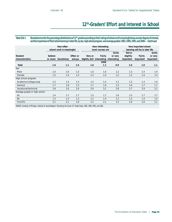### **12th-Graders' Effort and Interest in School**

#### Table S18-1 Standard errors for the percentage distributions of 12<sup>th</sup>-graders according to their ratings of school work's meaningfulness, courses' degree of interest, **and the importance of their school learning in later life, by sex, high school program, and average grades: 1983, 1990, 1995, and 2000—Continued**

|                               |          | How often<br>school work is meaningful |          |         | How interesting<br>most courses are   |         |           | How important school<br>learning will be in later life |           |  |
|-------------------------------|----------|----------------------------------------|----------|---------|---------------------------------------|---------|-----------|--------------------------------------------------------|-----------|--|
|                               |          |                                        |          |         |                                       | Quite   | Not or    |                                                        | Quite     |  |
| Student                       | Seldom   |                                        | Often or | Very or | Fairly                                | or very | slightly  | Fairly                                                 | or very   |  |
| characteristics               | or never | <b>Sometimes</b>                       | always   |         | slightly dull interesting interesting |         | important | important                                              | important |  |
|                               |          |                                        |          |         | 2000                                  |         |           |                                                        |           |  |
| <b>Total</b>                  | 1.0      | 1.1                                    | 1.0      | 1.0     | 1.1                                   | 0.9     | 1.0       | 1.0                                                    | 1.1       |  |
| Sex                           |          |                                        |          |         |                                       |         |           |                                                        |           |  |
| Male                          | 1.4      | 1.4                                    | 1.3      | 1.4     | 1.4                                   | 1.2     | 1.3       | 1.4                                                    | 1.4       |  |
| Female                        | 1.2      | 1.4                                    | 1.3      | 1.3     | 1.4                                   | 1.2     | 1.2       | 1.4                                                    | 1.4       |  |
| High school program           |          |                                        |          |         |                                       |         |           |                                                        |           |  |
| Academic/college-prep         | 1.2      | 1.4                                    | 1.3      | 1.2     | 1.4                                   | 1.2     | 1.2       | 1.3                                                    | 1.4       |  |
| General                       | 1.7      | 1.8                                    | 1.5      | 1.7     | 1.8                                   | 1.3     | 1.6       | 1.7                                                    | 1.7       |  |
| Vocational/technical          | 2.9      | 3.0                                    | 2.9      | 2.9     | 3.1                                   | 2.8     | 2.7       | 2.9                                                    | 3.1       |  |
| Average grades in high school |          |                                        |          |         |                                       |         |           |                                                        |           |  |
| A's                           | 1.4      | 1.7                                    | 1.7      | 1.5     | 1.7                                   | 1.6     | 1.5       | 1.7                                                    | 1.7       |  |
| B's                           | 1.3      | 1.4                                    | 1.3      | 1.3     | 1.4                                   | 1.2     | 1.3       | 1.4                                                    | 1.4       |  |
| $C$ 's or $D$ 's              | 2.1      | 2.1                                    | 1.9      | 2.2     | 2.1                                   | 1.5     | 2.0       | 2.0                                                    | 2.1       |  |

SOURCE: University of Michigan, Institute for Social Research. Monitoring the Future 12<sup>th</sup>-Grade Study: 1983, 1990, 1995, and 2000.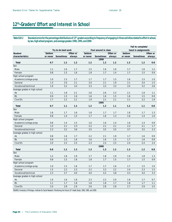### **12th-Graders' Effort and Interest in School**

#### Table S18-2 Standard errors for the percentage distributions of 12<sup>th</sup>-graders according to frequency of engaging in three activities related to effort in school, **by sex, high school program, and average grades: 1990, 1995, and 2000**

|                                      |            |                     |            |            |                      | Fail to complete/ |            |                     |            |
|--------------------------------------|------------|---------------------|------------|------------|----------------------|-------------------|------------|---------------------|------------|
|                                      |            | Try to do best work |            |            | Fool around in class |                   |            | hand in assignments |            |
| <b>Student</b>                       | Seldom     |                     | Often or   | Seldom     |                      | Often or          | Seldom     |                     | Often or   |
| characteristics                      | or never   | Sometimes           | always     | or never   | Sometimes            | always            | or never   | Sometimes           | always     |
|                                      |            |                     |            |            | 1990                 |                   |            |                     |            |
| Total                                | 0.7        | 1.2                 | 1.2        | 1.2        | 1.2                  | 1.2               | 1.3        | 1.2                 | $0.8\,$    |
| Sex                                  |            |                     |            |            |                      |                   |            |                     |            |
| Male                                 | 1.1        | 1.6                 | 1.7        | 1.5        | 1.6                  | 1.6               | 1.7        | 1.6                 | 1.2        |
| Female                               | 0.8        | 1.5                 | 1.6        | 1.8        | 1.7                  | 1.4               | 1.7        | 1.5                 | 0.9        |
| High school program                  |            |                     |            |            |                      |                   |            |                     |            |
| Academic/college-prep<br>General     | 1.0<br>1.3 | 1.5<br>2.0          | 1.7<br>2.1 | 1.7<br>2.0 | 1.7<br>2.1           | 1.5<br>1.9        | 1.6<br>2.1 | 1.5<br>2.0          | 1.0<br>1.5 |
| Vocational/technical                 | 1.9        | 3.2                 |            |            |                      | 3.3               |            | 3.2                 | 2.6        |
|                                      |            |                     | 3.4        | 3.3        | 3.3                  |                   | 3.5        |                     |            |
| Average grades in high school<br>A's | 1.1        | 1.8                 | 2.1        | 2.6        | 2.6                  | 2.3               | 2.1        | 1.9                 | 1.1        |
| B's                                  | 0.9        | 1.5                 | 1.6        | 1.6        | 1.6                  | 1.5               | 1.6        | 1.5                 | 0.9        |
| C's or D's                           | 1.7        | 2.2                 | 2.1        | 1.9        | 2.1                  | 2.1               | 2.1        | 2.2                 | 1.9        |
|                                      |            |                     |            |            | 1995                 |                   |            |                     |            |
| Total                                | 0.7        | 1.1                 | 1.2        | 1.2        | 1.2                  | 1.1               | 1.2        | 1.1                 | 0.8        |
| Sex                                  |            |                     |            |            |                      |                   |            |                     |            |
| Male                                 | 1.6        | 1.7                 | 1.6        | 1.6        | 1.7                  | 1.7               | 1.8        | 1.7                 | 1.3        |
| Female                               | 0.8        | 1.4                 | 1.5        | 1.7        | 1.6                  | 1.3               | 1.6        | 1.4                 | 1.0        |
| High school program                  |            |                     |            |            |                      |                   |            |                     |            |
| Academic/college-prep                | 0.8        | 1.4                 | 1.5        | 1.6        | 1.6                  | 1.4               | 1.6        | 1.4                 | 0.9        |
| General                              | 1.5        | 2.1                 | 2.3        | 2.2        | 2.1                  | 2.1               | 2.3        | 2.1                 | 1.7        |
| Vocational/technical                 | 2.3        | 3.2                 | 3.6        | 3.5        | 3.5                  | 3.5               | 3.7        | 3.5                 | 2.3        |
| Average grades in high school        |            |                     |            |            |                      |                   |            |                     |            |
| A's                                  | 0.8        | 1.6                 | 1.7        | 2.2        | 2.1                  | 1.9               | 1.7        | 1.6                 | 0.9        |
| B's                                  | 0.9        | 1.5                 | 1.6        | 1.6        | 1.6                  | 1.5               | 1.7        | 1.6                 | 0.9        |
| C's or D's                           | 2.0        | 2.5                 | 2.5        | 2.3        | 2.4                  | 2.5               | 2.4        | 2.4                 | 2.4        |
|                                      |            |                     |            |            | 2000                 |                   |            |                     |            |
| Total                                | 0.8        | 1.2                 | 1.3        | 1.3        | 1.3                  | 1.2               | 1.3        | 1.2                 | 0.8        |
| Sex                                  |            |                     |            |            |                      |                   |            |                     |            |
| Male                                 | 1.2        | 1.8                 | 1.9        | 1.7        | 1.8                  | 1.9               | 1.9        | 1.8                 | 1.3        |
| Female                               | 0.8        | 1.5                 | 1.6        | 1.8        | 1.7                  | 1.5               | 1.7        | 1.5                 | 0.9        |
| High school program                  |            |                     |            |            |                      |                   |            |                     |            |
| Academic/college-prep                | 1.0        | 1.5                 | 1.6        | 1.7        | 1.7                  | 1.6               | 1.7        | 1.5                 | 1.0        |
| General                              | 1.5        | 2.2                 | 2.3        | 2.2        | 2.2                  | 2.2               | 2.4        | 2.3                 | 1.5        |
| Vocational/technical                 | 2.3        | 3.7                 | 4.0        | 4.0        | 4.2                  | 3.8               | 4.3        | 4.0                 | 3.3        |
| Average grades in high school        |            |                     |            |            |                      |                   |            |                     |            |
| A's                                  | 1.0        | 1.6                 | 1.8        | 2.3        | 2.2                  | 2.0               | 1.8        | 1.7                 | 0.7        |
| B's                                  | 1.1        | 1.7                 | 1.8        | 1.8        | 1.8                  | 1.7               | 1.8        | 1.7                 | 1.1        |
| C's or D's                           | 2.0        | 2.8                 | 2.9        | 2.6        | 2.8                  | 2.8               | 2.7        | 2.9                 | 2.5        |

SOURCE: University of Michigan, Institute for Social Research. Monitoring the Future 12th-Grade Study: 1990, 1995, and 2000.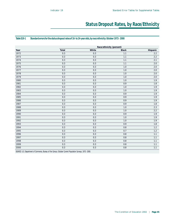## **Status Dropout Rates, by Race/Ethnicity**

#### **Table S19-1 Standard errors for the status dropout rates of 16- to 24-year olds, by race/ethnicity: October 1972–2000**

|      | Race/ethnicity (percent) |       |              |                  |  |  |  |  |  |  |
|------|--------------------------|-------|--------------|------------------|--|--|--|--|--|--|
| Year | Total                    | White | <b>Black</b> | Hispanic         |  |  |  |  |  |  |
| 1972 | 0.3                      | 0.3   | 1.1          | $2.2$            |  |  |  |  |  |  |
| 1973 | 0.3                      | 0.3   | 1.1          | $2.2$            |  |  |  |  |  |  |
| 1974 | 0.3                      | 0.3   | 1.1          | 2.1              |  |  |  |  |  |  |
| 1975 | 0.3                      | 0.3   | 1.1          | $2.0\,$          |  |  |  |  |  |  |
| 1976 | 0.3                      | 0.3   | 1.0          | 2.0              |  |  |  |  |  |  |
| 1977 | 0.3                      | 0.3   | 1.0          | 2.0              |  |  |  |  |  |  |
| 1978 | 0.3                      | 0.3   | 1.0          | 2.0              |  |  |  |  |  |  |
| 1979 | 0.3                      | 0.3   | 1.0          | $2.0$            |  |  |  |  |  |  |
| 1980 | 0.3                      | 0.3   | 1.0          | 1.9              |  |  |  |  |  |  |
| 1981 | 0.3                      | 0.3   | 0.9          | $1.8$            |  |  |  |  |  |  |
| 1982 | 0.3                      | 0.3   | 1.0          | $\overline{1.9}$ |  |  |  |  |  |  |
| 1983 | 0.3                      | 0.3   | 1.0          | 1.9              |  |  |  |  |  |  |
| 1984 | 0.3                      | 0.3   | 0.9          | 1.9              |  |  |  |  |  |  |
| 1985 | 0.3                      | 0.3   | 0.9          | $1.9$            |  |  |  |  |  |  |
| 1986 | 0.3                      | 0.3   | 0.9          | 1.9              |  |  |  |  |  |  |
| 1987 | 0.3                      | 0.3   | 0.9          | $1.8$            |  |  |  |  |  |  |
| 1988 | 0.3                      | 0.3   | 1.0          | 2.3              |  |  |  |  |  |  |
| 1989 | 0.3                      | 0.3   | 1.0          | 2.2              |  |  |  |  |  |  |
| 1990 | 0.3                      | 0.3   | 0.9          | $1.9$            |  |  |  |  |  |  |
| 1991 | 0.3                      | 0.3   | 1.0          | 1.9              |  |  |  |  |  |  |
| 1992 | 0.3                      | 0.3   | 1.0          | 1.9              |  |  |  |  |  |  |
| 1993 | 0.3                      | 0.3   | 0.9          | $1.8\,$          |  |  |  |  |  |  |
| 1994 | 0.3                      | 0.3   | 0.8          | 1.2              |  |  |  |  |  |  |
| 1995 | 0.3                      | 0.3   | 0.7          | 1.2              |  |  |  |  |  |  |
| 1996 | 0.3                      | 0.3   | 0.8          | 1.1              |  |  |  |  |  |  |
| 1997 | 0.3                      | 0.3   | 0.8          | 1.1              |  |  |  |  |  |  |
| 1998 | 0.3                      | 0.3   | 0.8          | 1.1              |  |  |  |  |  |  |
| 1999 | 0.3                      | 0.3   | 0.8          | 1.1              |  |  |  |  |  |  |
| 2000 | 0.3                      | 0.3   | 0.8          | $1.1$            |  |  |  |  |  |  |
|      |                          |       |              |                  |  |  |  |  |  |  |

SOURCE: U.S. Department of Commerce, Bureau of the Census. October Current Population Surveys, 1972–2000.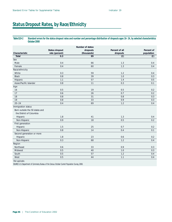## **Status Dropout Rates, by Race/Ethnicity**

#### **Table S19-2 Standard errors for the status dropout rates and number and percentage distribution of dropouts ages 16–24, by selected characteristics: October 2000**

|                                |                | Number of status |                |            |
|--------------------------------|----------------|------------------|----------------|------------|
|                                | Status dropout | dropouts         | Percent of all | Percent of |
| Characteristic                 | rate (percent) | (thousands)      | dropouts       | population |
| Total                          | 0.3            | 89               | (t)            | (t)        |
| Sex                            |                |                  |                |            |
| Male                           | 0.4            | 66               | 1.3            | 0.4        |
| Female                         | 0.4            | 60               | 1.3            | 0.4        |
| Race/ethnicity                 |                |                  |                |            |
| White                          | 0.3            | 59               | 1.2            | 0.4        |
| <b>Black</b>                   | 0.8            | 39               | 1.0            | 0.3        |
| Hispanic                       | 1.1            | 57               | 1.4            | 0.5        |
| Asian/Pacific Islander         | 0.8            | 11               | 0.3            | 0.1        |
| Age                            |                |                  |                |            |
| 16                             | 0.5            | 19               | 0.5            | 0.2        |
| 17                             | 0.6            | 26               | 0.7            | 0.2        |
| 18                             | 0.8            | 31               | 0.8            | 0.3        |
| 19                             | 0.8            | 33               | 0.9            | 0.3        |
| $20 - 24$                      | 0.4            | 69               | 1.2            | 0.4        |
| Immigration status             |                |                  |                |            |
| Born outside the 50 states and |                |                  |                |            |
| the District of Columbia       |                |                  |                |            |
| Hispanic                       | 1.8            | 41               | 1.3            | 0.4        |
| Non-Hispanic                   | 0.9            | 18               | 0.5            | 0.2        |
| First generation               |                |                  |                |            |
| Hispanic                       | 1.5            | 25               | 0.7            | 0.2        |
| Non-Hispanic                   | 0.8            | 14               | 0.4            | 0.1        |
| Second generation or more      |                |                  |                |            |
| Hispanic                       | 1.8            | 23               | 0.6            | 0.2        |
| Non-Hispanic                   | 0.3            | 68               | 1.2            | 0.4        |
| Region                         |                |                  |                |            |
| Northeast                      | 0.6            | 33               | 0.9            | 0.3        |
| Midwest                        | 0.5            | 40               | 1.0            | 0.3        |
| South                          | 0.5            | 57               | 1.2            | 0.4        |
| West                           | 0.5            | 44               | 1.1            | 0.4        |
|                                |                |                  |                |            |

†Not applicable.

SOURCE: U.S. Department of Commerce, Bureau of the Census. October Current Population Survey, 2000.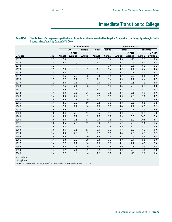## **Immediate Transition to College**

#### **Table S20-1 Standard errors for the percentage of high school completers who were enrolled in college the October after completing high school, by family income and race/ethnicity: October 1972–2000**

|         |       |        | Family income |               |             | Race/ethnicity |        |              |          |         |
|---------|-------|--------|---------------|---------------|-------------|----------------|--------|--------------|----------|---------|
|         |       |        | Low           | <b>Middle</b> | <b>High</b> | White          |        | <b>Black</b> | Hispanic |         |
|         |       |        | 3-year        |               |             |                |        | 3-year       |          | 3-year  |
| October | Total | Annual | average       | Annual        | Annual      | Annual         | Annual | average      | Annual   | average |
| 1972    | 1.3   | 3.4    | (†)           | 1.7           | 2.2         | 1.4            | 4.6    | (†)          | 9.7      | (†)     |
| 1973    | 1.3   | 3.2    | (†)           | 1.7           | 2.1         | 1.4            | 4.3    | 2.6          | 9.0      | 5.3     |
| 1974    | 1.3   | —      |               |               |             | 1.4            | 4.6    | 2.6          | 8.9      | 5.1     |
| 1975    | 1.3   | 3.6    | (†)           | 1.7           | 2.1         | 1.4            | 4.7    | 2.7          | 8.4      | 4.9     |
| 1976    | 1.3   | 4.2    | 2.2           | 1.8           | 2.1         | 1.4            | 4.8    | 2.7          | 8.0      | 4.7     |
| 1977    | 1.3   | 3.5    | 2.2           | 1.8           | 2.0         | 1.4            | 4.7    | 2.7          | 8.0      | 4.7     |
| 1978    | 1.3   | 3.7    | 2.1           | 1.7           | 2.1         | 1.4            | 4.5    | 2.7          | 8.4      | 4.7     |
| 1979    | 1.3   | 3.8    | 2.1           | 1.7           | 2.0         | 1.4            | 4.7    | 2.6          | 7.9      | 4.8     |
| 1980    | 1.3   | 3.5    | 2.1           | 1.8           | 2.1         | 1.4            | 4.4    | 2.6          | 8.7      | 4.8     |
| 1981    | 1.3   | 3.9    | 2.1           | 1.7           | 2.1         | 1.4            | 4.4    | 2.5          | 8.2      | 4.7     |
| 1982    | 1.4   | 3.8    | 2.3           | 1.8           | 2.1         | 1.5            | 4.3    | 2.6          | 8.0      | 4.9     |
| 1983    | 1.4   | 4.0    | 2.2           | 1.9           | 2.2         | 1.6            | 4.3    | 2.5          | 9.0      | 4.7     |
| 1984    | 1.4   | 3.6    | 2.3           | 1.9           | 2.1         | 1.5            | 4.1    | 2.5          | 7.7      | 4.9     |
| 1985    | 1.4   | 4.1    | 2.2           | 2.0           | 2.2         | 1.6            | 4.8    | 2.5          | 9.8      | 5.2     |
| 1986    | 1.4   | 3.6    | 2.2           | 2.0           | 2.3         | 1.6            | 4.4    | 2.7          | 8.9      | 5.2     |
| 1987    | 1.5   | 3.9    | 2.2           | 2.1           | 2.2         | 1.7            | 4.8    | 2.7          | 8.3      | 5.0     |
| 1988    | 1.6   | 4.4    | 2.5           | 2.1           | 2.5         | 1.8            | 4.9    | 3.0          | 10.1     | 6.0     |
| 1989    | 1.6   | 4.6    | 2.7           | 2.3           | 2.6         | 1.9            | 5.3    | 3.0          | 10.5     | 6.3     |
| 1990    | 1.6   | 4.8    | 2.6           | 2.1           | 2.5         | 1.8            | 5.1    | 3.0          | 10.8     | 5.7     |
| 1991    | 1.6   | 4.5    | 2.6           | 2.2           | 2.4         | 1.8            | 5.2    | 2.9          | 9.6      | $5.5\,$ |
| 1992    | 1.6   | 4.4    | 2.6           | 2.2           | 2.3         | 1.8            | 4.9    | 3.0          | 8.5      | 5.0     |
| 1993    | 1.6   | 4.6    | 2.6           | 2.1           | 2.5         | 1.9            | 5.3    | 3.0          | 8.2      | 5.0     |
| 1994    | 1.4   | 4.0    | 2.3           | 1.9           | 2.2         | 1.6            | 4.4    | 2.5          | 6.3      | 3.2     |
| 1995    | 1.4   | 3.6    | 2.2           | 2.0           | 1.9         | 1.6            | 4.2    | 2.4          | 4.9      | 3.2     |
| 1996    | 1.4   | 3.8    | 2.2           | 1.9           | 2.3         | 1.7            | 4.0    | 2.4          | 5.8      | 3.0     |
| 1997    | 1.4   | 3.7    | 2.1           | 2.0           | 2.0         | 1.6            | 4.1    | 2.4          | 4.5      | 2.9     |
| 1998    | 1.4   | 3.6    | 2.1           | 1.9           | 2.2         | 1.6            | 4.0    | 2.3          | 4.9      | 2.8     |
| 1999    | 1.4   | 3.7    | 2.1           | 1.9           | 2.2         | 1.6            | 3.9    | 2.3          | 4.8      | 2.8     |
| 2000    | 1.4   | 3.7    | (†)           | 2.0           | 2.2         | 1.7            | 4.1    | (†)          | 5.0      | (†)     |

—Not available.

†Not applicable.

SOURCE: U.S. Department of Commerce, Bureau of the Census. October Current Population Surveys, 1972–2000.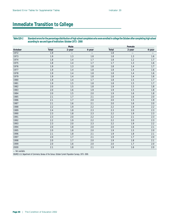## **Immediate Transition to College**

#### **Table S20-2 Standard errors for the percentage distribution of high school completers who were enrolled in college the October after completing high school according to sex and type of institution: October 1972–2000**

|         |                  | Male             |        |       |        |         |
|---------|------------------|------------------|--------|-------|--------|---------|
| October | Total            | 2-year           | 4-year | Total | 2-year | 4-year  |
| 1972    | 1.9              |                  |        | 1.8   |        |         |
| 1973    | 1.9              | 1.3              | 1.8    | 1.8   | 1.3    | 1.6     |
| 1974    | 1.8              | 1.4              | 1.7    | 1.8   | 1.2    | 1.7     |
| 1975    | 1.8              | 1.4              | 1.7    | 1.7   | 1.3    | 1.6     |
| 1976    | 1.9              | 1.3              | 1.8    | 1.8   | 1.4    | 1.7     |
| 1977    | 1.9              | 1.4              | 1.8    | 1.8   | 1.4    | 1.6     |
| 1978    | 1.9              | 1.4              | 1.8    | 1.8   | 1.4    | 1.6     |
| 1979    | $\overline{1.9}$ | 1.4              | 1.8    | 1.8   | 1.4    | 1.6     |
| 1980    | 1.9              | 1.4              | 1.7    | 1.8   | 1.5    | 1.7     |
| 1981    | 1.9              | 1.5              | 1.8    | 1.8   | 1.5    | 1.7     |
| 1982    | 2.0              | 1.5              | 1.8    | 1.9   | 1.5    | $1.8\,$ |
| 1983    | 2.0              | 1.6              | 1.9    | 1.9   | 1.5    | $1.8\,$ |
| 1984    | 2.0              | $\overline{1.5}$ | 2.0    | 1.9   | 1.6    | 1.8     |
| 1985    | 2.1              | 1.7              | 2.1    | 2.0   | 1.6    | 2.0     |
| 1986    | 2.1              | 1.7              | 2.0    | 2.0   | 1.5    | 1.9     |
| 1987    | 2.1              | 1.6              | 2.1    | 2.0   | 1.6    | 2.0     |
| 1988    | 2.2              | 1.9              | 2.2    | 2.2   | 1.9    | 2.2     |
| 1989    | 2.4              | 1.8              | 2.3    | 2.3   | 2.0    | 2.3     |
| 1990    | 2.3              | 1.8              | 2.3    | 2.2   | 1.9    | 2.3     |
| 1991    | 2.3              | 2.0              | 2.2    | 2.2   | 2.1    | 2.3     |
| 1992    | 2.2              | 1.9              | 2.2    | 2.2   | 2.0    | 2.3     |
| 1993    | 2.3              | 2.0              | 2.3    | 2.2   | 1.9    | 2.2     |
| 1994    | 2.0              | 1.8              | 2.0    | 2.0   | 1.6    | 2.1     |
| 1995    | 2.0              | 1.8              | 2.0    | 1.9   | 1.5    | 2.0     |
| 1996    | 2.1              | 1.8              | 2.1    | 1.9   | 1.8    | 2.1     |
| 1997    | 2.0              | 1.7              | 2.1    | 1.9   | 1.7    | 2.0     |
| 1998    | 2.0              | 1.7              | 2.0    | 1.9   | 1.8    | 2.1     |
| 1999    | 2.0              | 1.6              | 2.0    | 2.0   | 1.7    | 2.0     |
| 2000    | 2.1              | 1.8              | 2.1    | 1.9   | 1.6    | 2.0     |

—Not available.

SOURCE: U.S. Department of Commerce, Bureau of the Census. October Current Population Surveys, 1972–2000.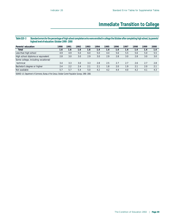## **Immediate Transition to College**

#### **Table S20 -3 Standard errors for the percentage of high school completers who were enrolled in college the October after completing high school, by parents' highest level of education: October 1990–2000**

| Parents' education                  | 1990 | 1991 | 1992 | 1993 | 1994 | 1995 | 1996 | 1997 | 1998 | 1999 | 2000 |
|-------------------------------------|------|------|------|------|------|------|------|------|------|------|------|
| <b>Total</b>                        | 1.6  | 1.6  | 1.6  | 1.6  | 1.4  | 1.4  | 1.4  | l.4  | 1.4  | 1.4  | 1.4  |
| Less than high school               | 4.9  | 4.9  | 5.0  | 6.0  | 5.0  | 4.4  | 5.6  | 5.5  | 5.6  | 5.0  | 5.5  |
| High school diploma or equivalent   | 2.8  | 3.0  | 3.0  | 2.9  | 3.0  | 2.9  | 2.8  | 3.0  | 2.8  | 3.0  | 3.0  |
| Some college, including vocational/ |      |      |      |      |      |      |      |      |      |      |      |
| technical                           | 3.4  | 3.3  | 3.0  | 3.3  | 2.8  | 2.5  | 2.7  | 2.7  | 2.6  | 2.7  | 2.8  |
| Bachelor's degree or higher         | 2.4  | 2.2  | 2.4  | 2.1  | 2.1  | . .8 | 2.0  | .9   |      | 2.0  | 2.1  |
| Not available                       | 5.7  | 5.7  | 5.4  | 5.0  | 4.2  | 4.2  | 4.4  | 4.0  | 4.2  | 4.1  | 4.3  |

SOURCE: U.S. Department of Commerce, Bureau of the Census. October Current Population Surveys, 1990–2000.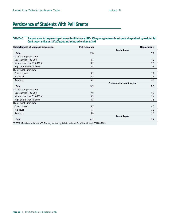### **Persistence of Students With Pell Grants**

**Table S24-1 Standard errors for the percentage of low- and middle-income 1995–96 beginning postsecondary students who persisted, by receipt of Pell Grant, type of institution, SAT/ACT scores, and high school curriculum: 1998**

| Characteristics of academic preparation | Pell recipients |                               | Nonrecipients |
|-----------------------------------------|-----------------|-------------------------------|---------------|
|                                         |                 | Public 4-year                 |               |
| Total                                   | 2.0             |                               | 1.7           |
| SAT/ACT composite score                 |                 |                               |               |
| Low quartile (400-700)                  | 4.1             |                               | 4.2           |
| Middle quartiles (710-1020)             | 3.1             |                               | 2.1           |
| High quartile (1030-1600)               | 3.4             |                               | 3.9           |
| High school curriculum                  |                 |                               |               |
| Core or lower                           | 3.5             |                               | 3.0           |
| Mid-level                               | 3.1             |                               | 2.5           |
| Rigorous                                | 5.3             |                               | 4.1           |
|                                         |                 | Private not-for-profit 4-year |               |
| <b>Total</b>                            | 3.2             |                               | 2.1           |
| SAT/ACT composite score                 |                 |                               |               |
| Low quartile (400-700)                  | 7.9             |                               | 6.3           |
| Middle quartiles (710-1020)             | 4.7             |                               | 3.4           |
| High quartile (1030-1600)               | 4.2             |                               | 2.5           |
| High school curriculum                  |                 |                               |               |
| Core or lower                           | 6.3             |                               | 4.3           |
| Mid-level                               | 5.7             |                               | 3.3           |
| Rigorous                                | 3.8             |                               | 3.3           |
|                                         |                 | Public 2-year                 |               |
| <b>Total</b>                            | 4.1             |                               | 2.8           |

SOURCE: U.S. Department of Education, NCES. Beginning Postsecondary Students Longitudinal Study, " First Follow-up" (BPS:1996/1998).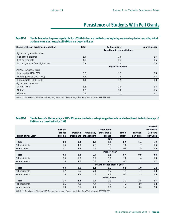### **Persistence of Students With Pell Grants**

#### **Table S24-2 Standard errors for the percentage distribution of 1995–96 low- and middle-income beginning postsecondary students according to their academic preparation, by receipt of Pell Grant and type of institution**

| Characteristics of academic preparation | Total | Pell recipients               | <b>Nonrecipients</b> |
|-----------------------------------------|-------|-------------------------------|----------------------|
|                                         |       | Less-than-4-year institutions |                      |
| High school graduation status           |       |                               |                      |
| High school diploma                     | 1.4   | 2.6                           | 1.7                  |
| <b>GED</b> or certificate               | 1.3   | 2.4                           | 1.5                  |
| Did not graduate from high school       | 0.7   | 1.4                           | 0.8                  |
|                                         |       | 4-year institutions           |                      |
| SAT/ACT composite score                 |       |                               |                      |
| Low quartile (400-700)                  | 0.8   | 1.7                           | 0.8                  |
| Middle quartiles (710-1020)             | 1.1   | 1.9                           | 1.4                  |
| High quartile (1030-1600)               | 1.1   | 1.5                           | 1.3                  |
| High school curriculum                  |       |                               |                      |
| Core or lower                           | 1.1   | 2.0                           | 1.3                  |
| Mid-level                               | 1.2   | 2.0                           | 1.5                  |
| Rigorous                                | 0.9   | 1.2                           | 1.1                  |
|                                         |       |                               |                      |

SOURCE: U.S. Department of Education, NCES. Beginning Postsecondary Students Longitudinal Study, "First Follow-up" (BPS:1996/1998).

#### **Table S24-3 Standard errors for the percentage of 1995–96 low- and middle-income beginning postsecondary students with each risk factor, by receipt of Pell Grant and type of institution: 1998**

|                              | No high |            |             | <b>Dependents</b>             |        |           | Worked<br>more than |
|------------------------------|---------|------------|-------------|-------------------------------|--------|-----------|---------------------|
|                              | school  | Delayed    | Financially | other than a                  | Single | Enrolled  | 35 hours            |
| <b>Receipt of Pell Grant</b> | diploma | enrollment | independent | spouse                        | parent | part time | per week            |
|                              |         |            |             | Total                         |        |           |                     |
| Total                        | 0.9     | 1.3        | 1.2         | 1.0                           | 0.9    | 1.4       | 1.2                 |
| Pell recipients              | 1.6     | 1.9        | 2.0         | 1.9                           | 1.8    | 1.7       | 1.6                 |
| Nonrecipients                | 1.1     | 1.8        | 1.5         | 1.1                           | 0.8    | 1.9       | 1.6                 |
|                              |         |            |             | Public 4-year                 |        |           |                     |
| Total                        | 0.4     | 1.3        | 0.7         | 0.5                           | 0.4    | 0.9       | 0.8                 |
| Pell recipients              | 0.6     | 2.0        | 1.2         | 1.1                           | 1.0    | 1.4       | 1.3                 |
| Nonrecipients                | 0.6     | 1.6        | 0.8         | 0.4                           | 0.2    | 1.1       | 1.1                 |
|                              |         |            |             | Private not-for-profit 4-year |        |           |                     |
| Total                        | 0.8     | 1.6        | 1.1         | 0.7                           | 0.5    | 1.0       | 1.2                 |
| Pell recipients              | 1.7     | 2.5        | 2.1         | 1.2                           | 1.1    | 1.7       | 1.8                 |
| Nonrecipients                | 0.6     | 1.9        | 1.3         | 0.8                           | 0.5    | 1.3       | 1.6                 |
|                              |         |            |             | Public 2-year                 |        |           |                     |
| Total                        | 1.7     | 2.5        | 2.4         | 2.0                           | 1.7    | 2.5       | 2.3                 |
| Pell recipients              | 3.6     | 4.0        | 4.4         | 4.2                           | 4.2    | 3.9       | 3.8                 |
| Nonrecipients                | 1.8     | 3.1        | 2.7         | 2.0                           | 1.4    | 3.0       | 2.8                 |

SOURCE: U.S. Department of Education, NCES. Beginning Postsecondary Students Longitudinal Study, "First Follow-up" (BPS:1996/1998).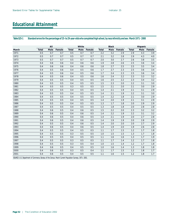# **Educational Attainment**

| Table S25-1 | Standard errors for the percentage of 25-to 29-year-olds who completed high school, by race/ethnicity and sex: March 1971-2000 |      |         |       |       |        |       |              |        |              |                  |         |
|-------------|--------------------------------------------------------------------------------------------------------------------------------|------|---------|-------|-------|--------|-------|--------------|--------|--------------|------------------|---------|
|             |                                                                                                                                | All  |         |       | White |        |       | <b>Black</b> |        |              | Hispanic         |         |
| March       | Total                                                                                                                          | Male | Female  | Total | Male  | Female | Total | Male         | Female | <b>Total</b> | Male             | Female  |
| 1971        | 0.5                                                                                                                            | 0.7  | 0.7     | 0.5   | 0.7   | 0.7    | 2.2   | 3.2          | 2.9    | 2.9          | 4.3              | 3.9     |
| 1972        | 0.5                                                                                                                            | 0.7  | 0.7     | 0.5   | 0.7   | 0.7    | 2.1   | 3.2          | 2.8    | 2.9          | 4.3              | 4.0     |
| 1973        | 0.5                                                                                                                            | 0.7  | 0.7     | 0.5   | 0.7   | 0.7    | 2.0   | 3.0          | 2.7    | 2.6          | 3.8              | 3.5     |
| 1974        | 0.4                                                                                                                            | 0.6  | 0.6     | 0.4   | 0.6   | 0.6    | 1.9   | 2.8          | 2.6    | 2.5          | 3.6              | 3.4     |
| 1975        | 0.4                                                                                                                            | 0.6  | 0.6     | 0.4   | 0.6   | 0.6    | 1.8   | 2.7          | 2.5    | 2.5          | 3.5              | 3.4     |
| 1976        | 0.4                                                                                                                            | 0.5  | 0.6     | 0.4   | 0.5   | 0.6    | 1.7   | 2.7          | 2.3    | 2.5          | 3.6              | 3.4     |
| 1977        | 0.4                                                                                                                            | 0.5  | 0.6     | 0.4   | 0.5   | 0.6    | 1.7   | 2.4          | 2.3    | 2.5          | 3.6              | 3.4     |
| 1978        | 0.4                                                                                                                            | 0.5  | 0.6     | 0.4   | 0.5   | 0.6    | 1.6   | 2.4          | 2.2    | 2.3          | 3.3              | 3.2     |
| 1979        | 0.4                                                                                                                            | 0.5  | 0.5     | 0.4   | 0.5   | 0.5    | 1.6   | 2.5          | 2.2    | 2.3          | 3.4              | 3.2     |
| 1980        | 0.4                                                                                                                            | 0.5  | $0.5\,$ | 0.4   | 0.5   | 0.5    | 1.5   | 2.3          | 2.0    | 2.2          | 3.1              | $3.0\,$ |
| 1981        | 0.4                                                                                                                            | 0.5  | 0.5     | 0.3   | 0.5   | 0.5    | 1.5   | 2.1          | 2.0    | 2.1          | 3.0              | 2.9     |
| 1982        | 0.4                                                                                                                            | 0.5  | 0.5     | 0.4   | 0.5   | 0.5    | 1.4   | 2.1          | 1.9    | 2.1          | 3.1              | 2.9     |
| 1983        | 0.4                                                                                                                            | 0.5  | 0.5     | 0.4   | 0.5   | 0.5    | 1.4   | 2.1          | 1.9    | 2.2          | 3.1              | $3.0\,$ |
| 1984        | 0.4                                                                                                                            | 0.5  | 0.5     | 0.4   | 0.5   | 0.5    | 1.4   | 2.2          | 1.8    | 2.1          | 3.0              | 2.9     |
| 1985        | 0.4                                                                                                                            | 0.5  | 0.5     | 0.4   | 0.5   | 0.5    | 1.4   | 2.0          | 1.9    | 2.1          | 3.1              | 2.9     |
| 1986        | 0.4                                                                                                                            | 0.5  | 0.5     | 0.4   | 0.5   | 0.5    | 1.3   | 1.7          | 1.8    | 2.0          | 2.9              | 2.9     |
| 1987        | 0.4                                                                                                                            | 0.5  | 0.5     | 0.4   | 0.5   | 0.5    | 1.3   | 1.8          | 1.8    | 2.0          | 2.8              | 2.8     |
| 1988        | 0.4                                                                                                                            | 0.6  | 0.5     | 0.4   | 0.6   | 0.5    | 1.5   | 2.2          | 2.0    | 2.3          | 3.2              | 3.2     |
| 1989        | 0.4                                                                                                                            | 0.6  | 0.5     | 0.4   | 0.6   | 0.5    | 1.4   | 2.2          | 1.9    | 2.2          | 3.1              | 3.2     |
| 1990        | 0.4                                                                                                                            | 0.6  | 0.5     | 0.4   | 0.6   | 0.5    | 1.4   | 2.1          | 1.9    | 2.0          | 2.7              | $2.8\,$ |
| 1991        | 0.4                                                                                                                            | 0.6  | 0.5     | 0.4   | 0.6   | 0.5    | 1.4   | 1.9          | 1.9    | 2.0          | 2.8              | 2.9     |
| 1992        | 0.4                                                                                                                            | 0.5  | 0.5     | 0.4   | 0.6   | 0.5    | 1.4   | 2.0          | 2.0    | 2.0          | 2.7              | 2.9     |
| 1993        | 0.4                                                                                                                            | 0.6  | 0.5     | 0.4   | 0.6   | 0.5    | 1.4   | 1.9          | 2.0    | 1.9          | 2.6              | $2.8$   |
| 1994        | 0.4                                                                                                                            | 0.5  | 0.5     | 0.4   | 0.5   | 0.5    | 1.1   | 1.7          | 1.5    | 1.2          | 1.7              | 1.8     |
| 1995        | 0.4                                                                                                                            | 0.5  | 0.5     | 0.3   | 0.5   | 0.5    | 1.0   | 1.5          | 1.5    | 1.3          | 1.7              | 1.8     |
| 1996        | 0.4                                                                                                                            | 0.5  | 0.5     | 0.4   | 0.5   | 0.5    | 1.1   | 1.6          | 1.6    | 1.3          | 1.7              | 1.9     |
| 1997        | 0.4                                                                                                                            | 0.5  | 0.5     | 0.3   | 0.5   | 0.5    | 1.1   | 1.7          | 1.4    | 1.2          | 1.7              | 1.8     |
| 1998        | 0.4                                                                                                                            | 0.5  | 0.5     | 0.3   | 0.5   | 0.4    | 1.0   | 1.5          | 1.4    | 1.2          | 1.7              | 1.8     |
| 1999        | 0.4                                                                                                                            | 0.6  | 0.5     | 0.4   | 0.5   | 0.5    | 1.0   | 1.6          | 1.4    | 1.3          | $\overline{1.8}$ | $1.8\,$ |
| 2000        | 0.4                                                                                                                            | 0.6  | 0.5     | 0.3   | 0.5   | 0.4    | 1.1   | 1.7          | 1.5    | 1.2          | $1.8\,$          | 1.7     |
| 2001        | 0.4                                                                                                                            | 0.6  | 0.5     | 0.4   | 0.5   | 0.5    | 1.1   | 1.6          | 1.5    | 1.2          | 1.8              | 1.7     |

SOURCE: U.S. Department of Commerce, Bureau of the Census. March Current Population Surveys, 1971–2001.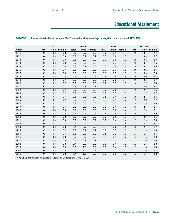# **Educational Attainment**

#### **Table S25-2 Standard errors for the percentage of 25- to 29-year-olds with some college, by race/ethnicity and sex: March 1971–2000**

|       |       | All     |         |       | White   |        |              | <b>Black</b> |        |       | Hispanic |        |
|-------|-------|---------|---------|-------|---------|--------|--------------|--------------|--------|-------|----------|--------|
| March | Total | Male    | Female  | Total | Male    | Female | <b>Total</b> | Male         | Female | Total | Male     | Female |
| 1971  | 0.6   | 0.8     | 0.8     | 0.6   | 0.9     | 0.9    | 1.7          | 2.4          | 2.4    | 2.0   | 3.4      | 2.4    |
| 1972  | 0.6   | 0.8     | 0.8     | 0.6   | 0.9     | 0.9    | 1.8          | 2.6          | 2.5    | 2.1   | 3.3      | 2.7    |
| 1973  | 0.6   | 0.8     | 0.8     | 0.6   | 0.9     | 0.9    | 1.7          | 2.6          | 2.3    | 1.9   | 3.1      | 2.3    |
| 1974  | 0.6   | 0.8     | 0.8     | 0.6   | 0.9     | 0.9    | 1.8          | 2.7          | 2.3    | 2.0   | 3.1      | 2.6    |
| 1975  | 0.5   | 0.8     | 0.8     | 0.6   | 0.9     | 0.8    | 1.8          | 2.8          | 2.4    | 2.0   | 3.1      | 2.6    |
| 1976  | 0.5   | 0.8     | 0.7     | 0.6   | 0.8     | 0.8    | 1.8          | 2.7          | 2.3    | 2.0   | 3.2      | 2.7    |
| 1977  | 0.5   | 0.8     | 0.8     | 0.6   | 0.9     | 0.8    | 1.8          | 2.7          | 2.3    | 2.2   | 3.3      | 2.8    |
| 1978  | 0.5   | 0.8     | 0.8     | 0.6   | 0.9     | 0.9    | 1.8          | 2.8          | 2.4    | 2.0   | 3.0      | 2.7    |
| 1979  | 0.5   | 0.8     | 0.7     | 0.6   | 0.8     | 0.8    | 1.7          | 2.6          | 2.4    | 2.0   | 3.1      | 2.7    |
| 1980  | 0.5   | 0.7     | 0.7     | 0.6   | 0.8     | 0.8    | 1.7          | 2.5          | 2.3    | 1.8   | 2.7      | 2.5    |
| 1981  | 0.5   | 0.7     | 0.7     | 0.6   | 0.8     | 0.8    | 1.6          | 2.5          | 2.2    | 1.8   | 2.6      | 2.4    |
| 1982  | 0.5   | 0.8     | 0.7     | 0.6   | 0.8     | 0.8    | 1.7          | 2.6          | 2.4    | 1.9   | 2.7      | 2.6    |
| 1983  | 0.5   | 0.7     | 0.7     | 0.6   | 0.8     | 0.8    | 1.7          | 2.5          | 2.3    | 1.9   | 2.7      | 2.7    |
| 1984  | 0.5   | 0.7     | 0.7     | 0.6   | $0.8\,$ | 0.8    | 1.6          | 2.4          | 2.3    | 1.9   | 2.7      | 2.6    |
| 1985  | 0.5   | 0.7     | 0.7     | 0.6   | 0.8     | 0.8    | 1.6          | 2.4          | 2.2    | 1.9   | 2.8      | 2.7    |
| 1986  | 0.5   | 0.7     | 0.7     | 0.6   | 0.8     | 0.8    | 1.7          | 2.4          | 2.3    | 1.8   | 2.5      | 2.6    |
| 1987  | 0.5   | 0.7     | 0.7     | 0.6   | 0.8     | 0.8    | 1.6          | 2.4          | 2.3    | 1.8   | 2.5      | 2.5    |
| 1988  | 0.6   | $0.8\,$ | $0.8\,$ | 0.6   | 0.9     | 0.9    | 1.8          | 2.6          | 2.4    | 2.1   | 2.9      | 3.1    |
| 1989  | 0.6   | 0.8     | 0.8     | 0.6   | 0.9     | 0.9    | 1.8          | 2.6          | 2.4    | 2.0   | 2.8      | 2.9    |
| 1990  | 0.5   | $0.8\,$ | 0.8     | 0.6   | 0.9     | 0.9    | 1.7          | 2.5          | 2.3    | 1.7   | 2.3      | 2.5    |
| 1991  | 0.5   | $0.8\,$ | 0.8     | 0.6   | 0.9     | 0.9    | 1.7          | 2.4          | 2.4    | 1.7   | 2.3      | 2.5    |
| 1992  | 0.6   | $0.8\,$ | $0.8\,$ | 0.7   | 0.9     | 0.9    | 1.7          | 2.5          | 2.4    | 1.8   | 2.4      | 2.7    |
| 1993  | 0.6   | 0.8     | 0.8     | 0.7   | 0.9     | 0.9    | 1.8          | 2.6          | 2.5    | 1.8   | 2.4      | 2.7    |
| 1994  | 0.5   | 0.7     | 0.7     | 0.6   | 0.9     | 0.9    | 1.5          | 2.3          | 2.1    | 1.2   | 1.5      | 1.8    |
| 1995  | 0.5   | 0.7     | 0.7     | 0.6   | 0.9     | 0.9    | 1.5          | 2.3          | 2.1    | 1.1   | 1.6      | 1.7    |
| 1996  | 0.5   | 0.8     | 0.8     | 0.6   | 0.9     | 0.9    | 1.6          | 2.4          | 2.2    | 1.2   | 1.6      | 1.9    |
| 1997  | 0.5   | 0.8     | 0.8     | 0.7   | 0.9     | 0.9    | 1.6          | 2.4          | 2.2    | 1.2   | 1.6      | 1.8    |
| 1998  | 0.6   | 0.8     | 0.8     | 0.7   | 0.9     | 0.9    | 1.6          | 2.4          | 2.2    | 1.2   | 1.6      | 1.8    |
| 1999  | 0.6   | 0.8     | 0.8     | 0.7   | 1.0     | 0.9    | 1.6          | 2.4          | 2.2    | 1.2   | 1.6      | 1.8    |
| 2000  | 0.6   | $0.8\,$ | $0.8\,$ | 0.7   | 1.0     | 0.9    | 1.7          | 2.5          | 2.2    | 1.2   | 1.6      | 1.7    |
| 2001  | 0.6   | 0.8     | 0.8     | 0.7   | 1.0     | 0.9    | 1.7          | 2.5          | 2.2    | 1.2   | 1.6      | 1.8    |

SOURCE: U.S. Department of Commerce, Bureau of the Census. March Current Population Surveys, 1971–2001.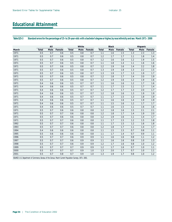# **Educational Attainment**

| Table S25-3 | Standard errors for the percentage of 25-to 29-year-olds with a bachelor's degree or higher, by race/ethnicity and sex: March 1971-2000 |      |        |       |       |         |       |              |                  |              |          |         |
|-------------|-----------------------------------------------------------------------------------------------------------------------------------------|------|--------|-------|-------|---------|-------|--------------|------------------|--------------|----------|---------|
|             |                                                                                                                                         | All  |        |       | White |         |       | <b>Black</b> |                  |              | Hispanic |         |
| March       | Total                                                                                                                                   | Male | Female | Total | Male  | Female  | Total | Male         | Female           | <b>Total</b> | Male     | Female  |
| 1971        | 0.5                                                                                                                                     | 0.7  | 0.6    | 0.5   | 0.8   | 0.7     | 1.1   | 1.6          | 1.5              | 1.3          | 2.3      | 1.3     |
| 1971        | 0.5                                                                                                                                     | 0.7  | 0.6    | 0.5   | 0.8   | 0.7     | 1.2   | 1.7          | 1.7              | 1.1          | 1.8      | 1.4     |
| 1971        | 0.5                                                                                                                                     | 0.7  | 0.6    | 0.5   | 0.8   | 0.7     | 1.2   | 1.6          | 1.6              | 1.2          | 1.9      | 1.5     |
| 1971        | 0.5                                                                                                                                     | 0.7  | 0.6    | 0.5   | 0.8   | 0.7     | 1.1   | 1.8          | 1.4              | 1.1          | 1.6      | 1.6     |
| 1971        | 0.5                                                                                                                                     | 0.7  | 0.6    | 0.5   | 0.8   | 0.7     | 1.2   | 1.9          | 1.6              | 1.4          | 2.2      | 1.8     |
| 1971        | 0.5                                                                                                                                     | 0.7  | 0.6    | 0.5   | 0.8   | 0.7     | 1.3   | 1.9          | 1.8              | 1.3          | 2.2      | 1.5     |
| 1971        | 0.5                                                                                                                                     | 0.7  | 0.6    | 0.5   | 0.8   | 0.7     | 1.3   | 1.9          | 1.7              | 1.3          | 1.9      | 1.7     |
| 1971        | 0.5                                                                                                                                     | 0.7  | 0.6    | 0.5   | 0.8   | 0.7     | 1.2   | 1.8          | 1.7              | 1.4          | 2.0      | 1.9     |
| 1971        | 0.5                                                                                                                                     | 0.7  | 0.6    | 0.5   | 0.8   | 0.7     | 1.2   | 1.9          | 1.6              | 1.2          | 1.9      | 1.6     |
| 1971        | 0.4                                                                                                                                     | 0.6  | 0.6    | 0.5   | 0.7   | $0.7$   | 1.1   | 1.6          | 1.6              | 1.2          | $1.7$    | 1.6     |
| 1971        | 0.4                                                                                                                                     | 0.6  | 0.6    | 0.5   | 0.7   | 0.7     | 1.1   | 1.7          | 1.5              | 1.1          | 1.7      | 1.4     |
| 1971        | 0.4                                                                                                                                     | 0.6  | 0.6    | 0.5   | 0.7   | 0.7     | 1.2   | 1.7          | 1.7              | 1.3          | 2.0      | 1.7     |
| 1971        | 0.4                                                                                                                                     | 0.6  | 0.6    | 0.5   | 0.7   | 0.7     | 1.2   | 1.8          | 1.6              | 1.3          | 1.9      | 1.9     |
| 1971        | 0.4                                                                                                                                     | 0.6  | 0.6    | 0.5   | 0.7   | 0.7     | 1.1   | 1.7          | 1.5              | 1.3          | 1.8      | 1.9     |
| 1971        | 0.4                                                                                                                                     | 0.6  | 0.6    | 0.5   | 0.7   | 0.7     | 1.1   | 1.6          | 1.6              | 1.4          | 1.9      | 1.9     |
| 1971        | 0.4                                                                                                                                     | 0.6  | 0.6    | 0.5   | 0.7   | 0.7     | 1.1   | 1.5          | 1.6              | 1.2          | 1.7      | 1.7     |
| 1971        | 0.4                                                                                                                                     | 0.6  | 0.6    | 0.5   | 0.7   | 0.7     | 1.1   | 1.6          | 1.5              | 1.1          | 1.6      | 1.6     |
| 1971        | 0.5                                                                                                                                     | 0.7  | 0.6    | 0.6   | 0.8   | 0.8     | 1.2   | 1.8          | $1.\overline{6}$ | 1.5          | 2.1      | 2.1     |
| 1971        | 0.5                                                                                                                                     | 0.7  | 0.7    | 0.6   | 0.8   | 0.8     | 1.2   | 1.8          | 1.7              | 1.4          | 1.9      | 2.0     |
| 1971        | 0.5                                                                                                                                     | 0.7  | 0.6    | 0.6   | 0.8   | 0.8     | 1.2   | 1.9          | 1.6              | 1.1          | 1.4      | 1.7     |
| 1971        | 0.5                                                                                                                                     | 0.7  | 0.7    | 0.6   | 0.8   | 0.8     | 1.1   | 1.7          | 1.5              | 1.2          | 1.5      | 1.8     |
| 1992        | 0.5                                                                                                                                     | 0.7  | 0.7    | 0.6   | 0.8   | 0.8     | 1.1   | 1.7          | 1.5              | 1.2          | 1.6      | 1.8     |
| 1993        | 0.5                                                                                                                                     | 0.7  | 0.7    | 0.6   | 0.8   | 0.8     | 1.2   | 1.8          | 1.7              | 1.1          | 1.4      | $1.7$   |
| 1994        | 0.4                                                                                                                                     | 0.6  | 0.6    | 0.6   | 0.8   | 0.8     | 1.1   | 1.5          | 1.5              | 0.7          | 0.8      | 1.1     |
| 1995        | 0.5                                                                                                                                     | 0.6  | 0.6    | 0.6   | 0.8   | 0.8     | 1.1   | 1.7          | 1.4              | 0.7          | 0.9      | 1.1     |
| 1996        | 0.5                                                                                                                                     | 0.7  | 0.7    | 0.6   | 0.9   | 0.9     | 1.1   | 1.6          | 1.6              | 0.8          | 1.1      | 1.2     |
| 1997        | 0.5                                                                                                                                     | 0.7  | 0.7    | 0.6   | 0.9   | 0.9     | 1.1   | 1.6          | 1.6              | 0.8          | 1.0      | 1.3     |
| 1998        | 0.5                                                                                                                                     | 0.7  | 0.7    | 0.6   | 0.9   | 0.9     | 1.2   | 1.7          | 1.6              | 0.8          | 1.0      | $1.2\,$ |
| 1999        | 0.5                                                                                                                                     | 0.7  | 0.7    | 0.7   | 0.9   | 0.9     | 1.2   | 1.7          | 1.6              | 0.7          | 1.0      | 1.1     |
| 2000        | 0.5                                                                                                                                     | 0.7  | 0.7    | $0.7$ | 0.9   | $1.0\,$ | 1.3   | 2.0          | 1.7              | 0.7          | $1.0$    | $1.1\,$ |
| 2001        | 0.5                                                                                                                                     | 0.7  | 0.8    | 0.7   | 0.9   | 1.0     | 1.3   | 1.9          | 1.7              | 0.8          | 1.0      | $1.2$   |

SOURCE: U.S. Department of Commerce, Bureau of the Census. March Current Population Surveys, 1971–2001.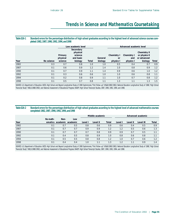### **Trends in Science and Mathematics Coursetaking**

#### **Table S26-1 Standard errors for the percentage distribution of high school graduates according to the highest level of advanced science courses completed: 1982, 1987, 1990, 1992, 1994, and 1998**

|      |            | Low academic level<br>Secondary |                                             |       |                    | Advanced academic level               |                                 |                                                         |       |  |  |
|------|------------|---------------------------------|---------------------------------------------|-------|--------------------|---------------------------------------|---------------------------------|---------------------------------------------------------|-------|--|--|
| Year | No science | Primary<br>physical<br>science  | physical<br>science<br>and basic<br>biology | Total | General<br>biology | Chemistry I<br><b>or</b><br>physics I | Chemistry I<br>and<br>physics I | Chemistry II<br>or physics II<br>or advanced<br>biology | Total |  |  |
| 1982 | 0.3        | 0.7                             | 0.8                                         | 1.0   | 1.0                | 0.5                                   | 0.4                             | 0.7                                                     | 0.9   |  |  |
| 1987 | 0.1        | 0.6                             | 0.9                                         | 1.2   | 1.4                | 1.0                                   | 0.8                             | 0.9                                                     | 1.2   |  |  |
| 1990 | 0.1        | 0.7                             | 0.9                                         | 1.1   | 1.4                | 0.9                                   | 0.6                             | 1.0                                                     | 1.2   |  |  |
| 1992 | 0.1        | 0.3                             | 0.6                                         | 0.6   | 1.0                | 1.0                                   | 0.6                             | 0.8                                                     | 1.1   |  |  |
| 1994 | 0.1        | 0.2                             | 0.8                                         | 0.9   | 1.1                | 1.0                                   | 0.7                             | 0.8                                                     | 1.2   |  |  |
| 1998 | 0.1        | 0.5                             | 0.7                                         | 0.8   | 1.1                | 1.3                                   | 1.1                             | 1.3                                                     | 1.5   |  |  |

SOURCE: U.S. Department of Education, NCES. High School and Beyond Longitudinal Study of 1980 Sophomores, "First Follow-up" (HS&B:1980/1982); National Education Longitudinal Study of 1988, "High School Transcript Study" (NELS:1988/1992); and National Assessment of Educational Progress (NAEP) High School Transcript Studies, 1987, 1990, 1992, 1994, and 1998.

#### **Table S26-2 Standard errors for the percentage distribution of high school graduates according to the highest level of advanced mathematics courses completed: 1982, 1987, 1990, 1992, 1994, and 1998**

|      |          |                           |     |         | Middle academic |       | Advanced academic |          |           |       |
|------|----------|---------------------------|-----|---------|-----------------|-------|-------------------|----------|-----------|-------|
|      | No math- | Non-                      | Low |         |                 |       |                   |          |           |       |
| Year |          | ematics academic academic |     | Level I | Level II        | Total | Level I           | Level II | Level III | Total |
| 1982 | 0.1      | 0.7                       | 0.5 | 0.8     | 0.6             | 0.9   | 0.6               | 0.4      | 0.5       | 0.9   |
| 1987 | 0.1      | 0.7                       | 0.7 | 0.9     | 0.9             | 1.2   | 1.2               | 0.5      | 0.6       | 1.3   |
| 1990 | 0.1      | 0.7                       | 0.7 | 0.7     | 0.8             | 0.9   | 0.9               | 0.7      | 0.5       | 1.1   |
| 1992 | 0.1      | 0.4                       | 0.5 | 0.8     | 0.9             | 1.0   | 0.8               | 0.6      | 0.8       | 1.1   |
| 1994 | 0.1      | 0.5                       | 0.5 | 0.8     | 0.8             | 1.2   | 1.0               | 0.7      | 0.6       | 1.2   |
| 1998 | 0.1      | 0.4                       | 0.4 | 1.0     |                 |       | l.2               |          | 0.9       | 1.4   |

SOURCE: U.S. Department of Education, NCES. High School and Beyond Longitudinal Study of 1980 Sophomores, "First Follow-up" (HS&B:1980/1982); National Education Longitudinal Study of 1988, "High School Transcript Study" (NELS:1988/1992); and National Assessment of Educational Progress (NAEP) High School Transcript Studies, 1987, 1990, 1992, 1994, and 1998.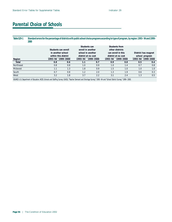### **Parental Choice of Schools**

#### **Table S29-1 Standard errors for the percentage of districts with public school choice programs according to type of program, by region: 1993–94 and 1999– 2000**

|           | Students can enroll<br>in another school<br>within this district |           |         | Students can<br>enroll in another<br>school in another<br>district at no cost |         | Students from<br>other districts<br>can enroll in this<br>district at no cost |         | District has magnet<br>school program |  |  |
|-----------|------------------------------------------------------------------|-----------|---------|-------------------------------------------------------------------------------|---------|-------------------------------------------------------------------------------|---------|---------------------------------------|--|--|
| Region    | 1993–94                                                          | 1999-2000 | 1993–94 | 1999-2000                                                                     | 1993-94 | 1999-2000                                                                     | 1993–94 | 1999-2000                             |  |  |
| Total     | 0.8                                                              | 0.6       | 1.1     | 0.7                                                                           | 0.9     | 0.8                                                                           | 0.5     | 0.4                                   |  |  |
| Northeast | 0.8                                                              | 0.8       | 1.0     | 0.9                                                                           | 1.0     | 1.4                                                                           | 0.7     | 0.8                                   |  |  |
| Midwest   | 1.1                                                              | 1.3       | 1.8     | 0.9                                                                           | 1.5     | 1.0                                                                           | 1.0     | 1.0                                   |  |  |
| South     | 0.7                                                              | 0.8       | 1.2     | 2.0                                                                           | 1.3     | 1.9                                                                           | 0.6     | 0.3                                   |  |  |
| West      | 3.2                                                              | l.8       | 3.7     | 2.2                                                                           | 3.1     | 2.4                                                                           | 1.3     | 0.5                                   |  |  |

SOURCE: U.S. Department of Education, NCES. Schools and Staffing Survey (SASS), "Teacher Demand and Shortage Survey," 1993–94 and "School District Survey," 1999–2000.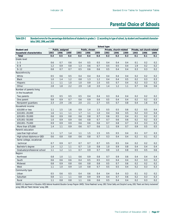### **Parental Choice of Schools**

#### **Table S29-2 Standard errors for the percentage distributions of students in grades 1–12 according to type of school, by student and household characteristics: 1993, 1996, and 1999**

|                              |      |                  |         |      |                |      | School type |                         |      |      |                             |      |
|------------------------------|------|------------------|---------|------|----------------|------|-------------|-------------------------|------|------|-----------------------------|------|
| Student and                  |      | Public, assigned |         |      | Public, chosen |      |             | Private, church-related |      |      | Private, not church-related |      |
| household characteristics    | 1993 | 1996             | 1999    | 1993 | 1996           | 1999 | 1993        | 1996                    | 1999 | 1993 | 1996                        | 1999 |
| <b>Total</b>                 | 0.4  | 0.5              | 0.4     | 0.4  | 0.4            | 0.4  | 0.3         | 0.3                     | 0.3  | 0.1  | 0.1                         | 0.1  |
| Grade level                  |      |                  |         |      |                |      |             |                         |      |      |                             |      |
| $1 - 5$                      | 0.6  | 0.7              | 0.6     | 0.4  | 0.5            | 0.5  | 0.4         | 0.4                     | 0.4  | 0.1  | 0.2                         | 0.2  |
| $6 - 8$                      | 1.2  | 0.9              | 0.8     | 1.3  | 0.6            | 0.7  | 0.5         | 0.5                     | 0.4  | 1.9  | 0.2                         | 0.2  |
| $9 - 12$                     | 0.8  | 0.7              | 0.7     | 0.5  | 0.6            | 0.6  | 0.5         | 0.4                     | 0.4  | 0.3  | 0.3                         | 0.2  |
| Race/ethnicity               |      |                  |         |      |                |      |             |                         |      |      |                             |      |
| White                        | 0.5  | 0.6              | 0.5     | 0.4  | 0.4            | 0.4  | 0.4         | 0.4                     | 0.4  | 0.2  | 0.2                         | 0.2  |
| <b>Black</b>                 | 1.0  | 1.4              | 1.2     | 0.8  | 1.3            | 1.2  | 0.4         | 0.4                     | 0.5  | 0.2  | 0.3                         | 0.3  |
| Hispanic                     | 1.1  | 1.1              | 1.0     | 1.0  | 0.9            | 1.0  | 0.5         | 0.7                     | 0.4  | 0.2  | 0.3                         | 0.2  |
| Other                        | 2.8  | 1.8              | 2.2     | 2.9  | 1.8            | 2.0  | 1.4         | 1.2                     | 1.1  | 0.7  | 0.6                         | 0.6  |
| Number of parents living     |      |                  |         |      |                |      |             |                         |      |      |                             |      |
| in the household             |      |                  |         |      |                |      |             |                         |      |      |                             |      |
| Two parents                  | 0.5  | 0.5              | 0.5     | 0.5  | 0.4            | 0.4  | 0.3         | 0.4                     | 0.4  | 0.2  | 0.2                         | 0.2  |
| One parent                   | 0.8  | 0.9              | 0.7     | 0.6  | 0.9            | 0.6  | 0.5         | 0.4                     | 0.4  | 0.2  | 0.2                         | 0.3  |
| Nonparent guardians          | 2.3  | 2.9              | 2.6     | 2.0  | 2.1            | 2.7  | 0.5         | 0.7                     | 0.8  | 0.4  | 1.6                         | 0.4  |
| Household income             |      |                  |         |      |                |      |             |                         |      |      |                             |      |
| \$10,000 or less             | 1.1  | 1.5              | 1.6     | 0.9  | 1.4            | 1.5  | 0.5         | 0.5                     | 0.6  | 0.2  | 0.5                         | 0.4  |
| \$10,001-20,000              | 1.6  | 1.1              | 1.1     | 1.7  | 1.1            | 1.0  | 0.4         | 0.6                     | 0.5  | 0.2  | 0.3                         | 0.4  |
| $$20,001-35,000$             | 0.6  | 0.9              | 0.8     | 0.6  | 0.8            | 0.7  | 0.6         | 0.5                     | 0.4  | 0.1  | 0.2                         | 0.2  |
| \$35,001-50,000              | 1.0  | 0.9              | 0.9     | 0.6  | 0.8            | 0.7  | 0.7         | 0.6                     | 0.6  | 0.2  | 0.2                         | 0.3  |
| \$50,001-75,000              | 0.9  | 0.9              | 0.9     | 0.6  | 0.6            | 0.6  | 0.7         | 0.8                     | 0.7  | 0.3  | 0.3                         | 0.3  |
| More than \$75,000           | 1.4  | 1.1              | 0.9     | 0.6  | 0.7            | 0.6  | 1.1         | 0.9                     | 0.7  | 0.9  | 0.5                         | 0.5  |
| Parent's education           |      |                  |         |      |                |      |             |                         |      |      |                             |      |
| Less than high school        | 1.1  | 1.7              | 1.4     | 1.1  | 1.5            | 1.5  | 0.5         | 0.5                     | 0.4  | 0.1  | 0.7                         | 0.3  |
| High school diploma or GED   | 0.6  | 0.8              | 0.8     | 0.6  | 0.8            | 0.7  | 0.3         | 0.4                     | 0.4  | 0.2  | 0.1                         | 0.2  |
| Some college, vocational/    |      |                  |         |      |                |      |             |                         |      |      |                             |      |
| technical                    | 0.7  | 0.9              | 0.7     | 0.7  | 0.7            | 0.7  | 0.5         | 0.5                     | 0.4  | 0.2  | 0.2                         | 0.2  |
| Bachelor's degree            | 1.4  | 1.2              | 1.1     | 0.7  | 1.0            | 0.8  | 1.0         | 0.9                     | 0.8  | 0.4  | 0.4                         | 0.4  |
| Graduate/professional school | 1.1  | 1.2              | 1.1     | 0.7  | 0.9            | 0.7  | 0.9         | 1.0                     | 0.8  | 0.5  | 0.5                         | 0.6  |
| Region                       |      |                  |         |      |                |      |             |                         |      |      |                             |      |
| Northeast                    | 0.8  | 1.0              | 1.1     | 0.6  | 0.9            | 0.8  | 0.7         | 0.9                     | 0.6  | 0.4  | 0.4                         | 0.4  |
| South                        | 0.6  | 0.6              | 0.6     | 0.4  | 0.5            | 0.5  | 0.3         | 0.4                     | 0.4  | 0.2  | 0.3                         | 0.2  |
| Midwest                      | 0.8  | 0.9              | $0.8\,$ | 0.6  | 0.8            | 0.8  | 0.5         | 0.7                     | 0.6  | 0.2  | 0.2                         | 0.2  |
| West                         | 1.1  | 1.0              | 0.9     | 1.0  | 0.8            | 0.7  | 0.5         | 0.5                     | 0.4  | 0.2  | 0.3                         | 0.3  |
| Community type               |      |                  |         |      |                |      |             |                         |      |      |                             |      |
| Urban                        | 0.5  | 0.6              | 0.5     | 0.4  | 0.6            | 0.4  | 0.4         | 0.4                     | 0.3  | 0.1  | 0.2                         | 0.2  |
| Suburban                     | 0.8  | 1.1              | 1.1     | 0.8  | 0.9            | 0.9  | 0.4         | 0.7                     | 0.6  | 0.2  | 0.3                         | 0.3  |
| Rural                        | 1.1  | 0.8              | 0.8     | 1.1  | 0.6            | 0.6  | 0.5         | 0.4                     | 0.4  | 0.2  | 0.3                         | 0.2  |

SOURCE: U.S. Department of Education, NCES. National Household Education Surveys Program (NHES), "School Readiness" survey, 1993; "School Safety and Discipline" survey, 1993; "Parent and Family Involvement" survey, 1996; and "Parent Interview" survey, 1999.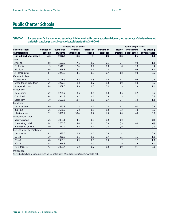#### **Table S30-1 Standard errors for the number and percentage distribution of public charter schools and students, and percentage of charter schools and students by school origin status, by selected school characteristics: 1999–2000**

|                             |           |           | Schools and students |            | School origin status |         |               |                |
|-----------------------------|-----------|-----------|----------------------|------------|----------------------|---------|---------------|----------------|
| Selected school             | Number of | Number of | Average              | Percent of | Percent of           | Newly   | Pre-existing  | Pre-existing   |
| characteristics             | schools   | students  | enrollment           | schools    | students             | created | public school | private school |
| All public charter schools  | 4.3       | 3957.0    | 3.6                  | (t)        | (t)                  | 0.6     | 0.4           | 0.4            |
| State                       |           |           |                      |            |                      |         |               |                |
| Arizona                     | 2.8       | 1593.8    | 7.1                  | 0.2        | 0.5                  | 1.4     | 0.8           | 1.3            |
| California                  | 1.3       | 2540.8    | 17.4                 | 0.1        | 0.8                  | 1.8     | 1.8           | 0.4            |
| Michigan                    | 0.6       | 698.8     | 5.1                  | 0.1        | 0.3                  | 1.2     | 0.6           | 1.0            |
| All other states            | 3.7       | 2243.9    | 4.1                  | 0.3        | 0.7                  | 0.8     | 0.6           | 0.6            |
| Community type              |           |           |                      |            |                      |         |               |                |
| Central city                | 8.2       | 3148.5    | 4.8                  | 0.8        | 1.0                  | 0.7     | 0.6           | 0.6            |
| Urban fringe/large town     | 6.9       | 3272.5    | 8.3                  | 0.7        | 1.0                  | 0.9     | 0.8           | 0.6            |
| Rural/small town            | 5.8       | 1039.6    | 4.9                  | 0.6        | 0.4                  | 1.9     | 1.6           | 1.1            |
| School level                |           |           |                      |            |                      |         |               |                |
| Elementary                  | 5.9       | 2238.7    | 3.6                  | 0.6        | 0.9                  | 0.6     | 0.5           | 0.5            |
| Combined                    | 6.4       | 2951.8    | 9.7                  | 0.6        | 0.9                  | 1.5     | 1.3           | 0.6            |
| Secondary                   | 5.0       | 2191.5    | 10.7                 | 0.5        | 0.7                  | 1.4     | 1.0           | 1.2            |
| Enrollment                  |           |           |                      |            |                      |         |               |                |
| Less than 300               | 6.9       | 1425.3    | 1.3                  | 0.7        | 0.8                  | 0.7     | 0.5           | 0.5            |
| 300-999                     | 6.6       | 3568.7    | 5.3                  | 0.6        | 1.0                  | 1.2     | 1.0           | 0.6            |
| 1,000 or more               | 2.1       | 3090.2    | 38.4                 | 0.2        | 1.0                  | 4.0     | 4.0           | 0.0            |
| School origin status        |           |           |                      |            |                      |         |               |                |
| Newly created               | 6.6       | 3483.1    | 4.1                  | 0.6        | 0.9                  | 0.0     | (†)           | (†)            |
| Pre-existing public         | 4.4       | 2760.3    | 14.6                 | 0.4        | 0.9                  | (†)     | 0.0           | (†)            |
| Pre-existing private        | 4.0       | 871.2     | 5.5                  | 0.4        | 0.4                  | (†)     | (†)           | 0.0            |
| Percent minority enrollment |           |           |                      |            |                      |         |               |                |
| Less than 10                | 5.3       | 1583.6    | 7.6                  | 0.5        | 0.6                  | 1.4     | 1.2           | 0.9            |
| $10 - 24$                   | 6.0       | 1956.7    | 8.6                  | 0.6        | 0.7                  | 1.5     | 1.3           | 1.0            |
| $25 - 49$                   | 5.8       | 2491.0    | 14.9                 | 0.6        | 0.9                  | 1.7     | 1.1           | 1.3            |
| $50 - 75$                   | 4.8       | 1976.3    | 11.1                 | 0.5        | 0.7                  | 1.9     | 1.6           | 1.1            |
| More than 75                | 7.2       | 2939.4    | 6.2                  | 0.7        | 1.0                  | 0.9     | 0.7           | 0.8            |

†Not applicable.

SOURCE: U.S. Department of Education, NCES. Schools and Staffing Survey (SASS), "Public Charter School Survey," 1999–2000.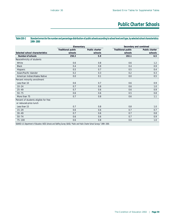#### **Table S30-2 Standard errors for the number and percentage distribution of public schools according to school level and type, by selected school characteristics: 1999–2000**

|                                       | Elementary                |                | Secondary and combined    |                |  |
|---------------------------------------|---------------------------|----------------|---------------------------|----------------|--|
|                                       | <b>Traditional public</b> | Public charter | <b>Traditional public</b> | Public charter |  |
| Selected school characteristics       | schools                   | schools        | schools                   | schools        |  |
| Number of schools                     | 250.3                     | 5.9            | 192.1                     | 6.5            |  |
| Race/ethnicity of students            |                           |                |                           |                |  |
| White                                 | 0.6                       | 0.8            | 0.6                       | 1.2            |  |
| <b>Black</b>                          | 0.4                       | 0.8            | 0.4                       | 0.9            |  |
| Hispanic                              | 0.5                       | 0.7            | 0.5                       | 0.4            |  |
| Asian/Pacific Islander                | 0.2                       | 0.3            | 0.2                       | 0.3            |  |
| American Indian/Alaska Native         | 0.0                       | 0.1            | 0.0                       | 0.5            |  |
| Percent minority enrollment           |                           |                |                           |                |  |
| Less than 10                          | 0.6                       | 0.7            | 0.6                       | 0.9            |  |
| $10 - 24$                             | 0.7                       | 0.8            | 0.6                       | 1.0            |  |
| $25 - 49$                             | 0.7                       | 0.6            | 0.6                       | 0.9            |  |
| $50 - 75$                             | 0.6                       | 0.6            | 0.5                       | $0.8\,$        |  |
| More than 75                          | 0.7                       | 0.8            | 0.6                       | 1.1            |  |
| Percent of students eligible for free |                           |                |                           |                |  |
| or reduced-price lunch                |                           |                |                           |                |  |
| Less than 15                          | 0.7                       | 0.8            | 0.8                       | 1.0            |  |
| $15 - 29$                             | 0.6                       | 0.6            | 0.7                       | 0.7            |  |
| $30 - 49$                             | 0.7                       | 0.6            | 0.7                       | 0.8            |  |
| $50 - 74$                             | 0.6                       | 0.6            | 0.7                       | 0.9            |  |
| $75 - 100$                            | 0.6                       | 0.8            | 0.6                       | 1.0            |  |

SOURCE: U.S. Department of Education, NCES. Schools and Staffing Survey (SASS), "Public and Public Charter School Surveys," 1999–2000.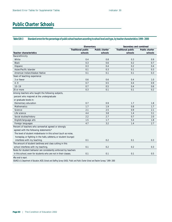#### **Table S30-3 Standard errors for the percentage of public school teachers according to school level and type, by teacher characteristics: 1999–2000**

|                                                                    | Elementary                |                | Secondary and combined    |                |  |  |
|--------------------------------------------------------------------|---------------------------|----------------|---------------------------|----------------|--|--|
|                                                                    | <b>Traditional public</b> | Public charter | <b>Traditional public</b> | Public charter |  |  |
| <b>Teacher characteristics</b>                                     | schools                   | schools        | schools                   | schools        |  |  |
| Race/ethnicity                                                     |                           |                |                           |                |  |  |
| White                                                              | 0.4                       | 0.8            | 0.3                       | 0.9            |  |  |
| <b>Black</b>                                                       | 0.3                       | 0.6            | 0.2                       | 0.7            |  |  |
| Hispanic                                                           | 0.3                       | 0.4            | 0.2                       | 0.4            |  |  |
| Asian/Pacific Islander                                             | 0.1                       | 0.3            | 0.1                       | 0.3            |  |  |
| American Indian/Alaskan Native                                     | 0.1                       | 0.1            | 0.1                       | 0.3            |  |  |
| Years of teaching experience                                       |                           |                |                           |                |  |  |
| 3 or fewer                                                         | 0.6                       | 0.6            | 0.4                       | 1.0            |  |  |
| $4 - 9$                                                            | 0.7                       | 0.5            | 0.4                       | 0.9            |  |  |
| $10 - 19$                                                          | 0.7                       | 0.5            | 0.4                       | 0.6            |  |  |
| 20 or more                                                         | 0.3                       | 0.1            | 0.1                       | 0.2            |  |  |
| Among teachers who taught the following subjects,                  |                           |                |                           |                |  |  |
| percent who majored at the undergraduate                           |                           |                |                           |                |  |  |
| or graduate levels in:                                             |                           |                |                           |                |  |  |
| Elementary education                                               | 0.7                       | 0.9            | 1.7                       | 1.8            |  |  |
| Mathematics                                                        | 1.7                       | 1.9            | 0.8                       | 1.7            |  |  |
| Science                                                            | 2.1                       | 2.5            | 0.9                       | 2.1            |  |  |
| Life science                                                       | 4.4                       | 3.8            | 1.4                       | 3.1            |  |  |
| Social studies/history                                             | 2.2                       | 2.7            | 0.7                       | 2.0            |  |  |
| English/language arts                                              | 1.5                       | 1.7            | 5.4                       | 1.8            |  |  |
| Foreign languages                                                  | 4.7                       | 3.2            | 1.4                       | 2.7            |  |  |
| Percent of teachers who somewhat agreed or strongly                |                           |                |                           |                |  |  |
| agreed with the following statements:*                             |                           |                |                           |                |  |  |
| The level of student misbehavior in this school (such as noise,    |                           |                |                           |                |  |  |
| horseplay, or fighting in the halls, cafeteria, or student lounge) |                           |                |                           |                |  |  |
| interferes with my teaching.                                       | 0.1                       | 0.2            | 0.1                       | 0.3            |  |  |
| The amount of student tardiness and class cutting in this          |                           |                |                           |                |  |  |
| school interferes with my teaching.                                | 0.1                       | 0.2            | 0.2                       | 0.3            |  |  |
| Rules for student behavior are consistently enforced by teachers   |                           |                |                           |                |  |  |
| in this school, even for students who are not in their classes.    | 0.1                       | 0.1            | 0.1                       | 0.5            |  |  |
|                                                                    |                           |                |                           |                |  |  |

#Too small to report.

SOURCE: U.S. Department of Education, NCES. Schools and Staffing Survey (SASS), "Public and Public Charter School and Teacher Surveys," 1999–2000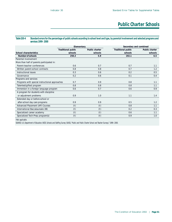#### **Table S30-4 Standard errors for the percentage of public schools according to school level and type, by parental involvement and selected programs and services: 1999–2000**

|                                                |                           | Elementary     |                           | Secondary and combined |  |  |
|------------------------------------------------|---------------------------|----------------|---------------------------|------------------------|--|--|
|                                                | <b>Traditional public</b> | Public charter | <b>Traditional public</b> | Public charter         |  |  |
| School characteristics                         | schools                   | schools        | schools                   | schools                |  |  |
| Number of schools                              | 250.3                     | 5.9            | 192.1                     | 6.5                    |  |  |
| Parental involvement                           |                           |                |                           |                        |  |  |
| More than half of parents participated in:     |                           |                |                           |                        |  |  |
| Parent-teacher conferences                     | 0.6                       | 0.7            | 0.7                       | 1.1                    |  |  |
| Written parent-school contracts                | 0.8                       | 0.8            | 0.7                       | 1.2                    |  |  |
| Instructional issues                           | 0.3                       | 0.6            | 0.2                       | 0.5                    |  |  |
| Governance                                     | 0.2                       | 0.6            | 0.1                       | 0.4                    |  |  |
| Programs and services                          |                           |                |                           |                        |  |  |
| Programs with special instructional approaches | 0.7                       | 0.9            | 0.8                       | 1.1                    |  |  |
| Talented/gifted program                        | 0.8                       | 0.8            | 0.8                       | 1.1                    |  |  |
| Immersion in a foreign language program        | 0.6                       | 0.7            | 0.6                       | 0.9                    |  |  |
| A program for students with discipline         |                           |                |                           |                        |  |  |
| or adjustment problems                         | 0.9                       | 1.0            | 1.1                       | 1.4                    |  |  |
| Extended day or before-school or               |                           |                |                           |                        |  |  |
| after-school day care programs                 | 0.9                       | 0.9            | 0.5                       | 1.2                    |  |  |
| Advanced Placement (AP) Courses                | (†)                       | (t)            | 0.8                       | 1.1                    |  |  |
| International Baccalaureate (IB)               | (†)                       | (†)            | 0.2                       | 0.3                    |  |  |
| Specialized career academy                     | (t)                       | (†)            | 0.6                       | 1.1                    |  |  |
| Specialized Tech-Prep program(s)               | (†)                       | (†)            | 0.9                       | 1.0                    |  |  |

†Not applicable.

SOURCE: U.S. Department of Education, NCES. Schools and Staffing Survey (SASS), "Public and Public Charter School and Teacher Surveys," 1999–2000.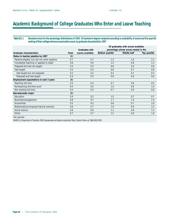### **Academic Background of College Graduates Who Enter and Leave Teaching**

#### **Table S31-1 Standard errors for the percentage distributions of 1992–93 bachelor's degree recipients according to availability of scores and the quartile ranking of their college entrance examination score, by graduate characteristics: 1997**

|                                               |       |                       | Of graduates with scores available,   |             |              |  |  |
|-----------------------------------------------|-------|-----------------------|---------------------------------------|-------------|--------------|--|--|
|                                               |       | <b>Graduates with</b> | percentage whose scores ranked in the |             |              |  |  |
| Graduate characteristics                      | Total | scores available      | Bottom quartile                       | Middle half | Top quartile |  |  |
| Status in teacher pipeline by 1997            | (t)   |                       |                                       |             |              |  |  |
| Pipeline-eligible, but did not enter pipeline | 0.7   | 0.7                   | 1.5                                   | 1.0         | 1.4          |  |  |
| Considered teaching or applied to teach       | 0.6   | 0.6                   | 1.4                                   | 0.8         | 1.2          |  |  |
| Prepared but had not taught                   | 0.3   | 0.3                   | 0.8                                   | 0.4         | 0.6          |  |  |
| Had taught                                    | 0.5   | 0.5                   | 0.8                                   | 0.7         | 0.8          |  |  |
| Had taught but not prepared                   | 0.2   | 0.2                   | 0.4                                   | 0.2         | 0.5          |  |  |
| Prepared and had taught                       | 0.4   | 0.5                   | 0.8                                   | 0.6         | 0.6          |  |  |
| Employment expectations in next 3 years       | (t)   |                       |                                       |             |              |  |  |
| Teaching full time                            | 0.3   | 0.4                   | 0.7                                   | 0.6         | 0.5          |  |  |
| Nonteaching full-time work                    | 0.5   | 0.5                   | 1.0                                   | 0.8         | 1.0          |  |  |
| Not working full time                         | 0.4   | 0.4                   | 0.7                                   | 0.6         | 0.8          |  |  |
| Baccalaureate major                           | (t)   |                       |                                       |             |              |  |  |
| Education                                     | 0.4   | 0.5                   | 1.0                                   | 0.7         | 0.7          |  |  |
| Business/management                           | 0.8   | 0.7                   | 1.7                                   | 1.0         | 1.4          |  |  |
| <b>Humanities</b>                             | 0.5   | 0.5                   | 0.8                                   | 0.7         | 1.0          |  |  |
| Mathematics/computer/natural sciences         | 0.6   | 0.7                   | 1.0                                   | 0.9         | 1.5          |  |  |
| Social science                                | 0.6   | 0.6                   | 1.1                                   | 0.8         | 1.2          |  |  |
| Other                                         | 0.7   | 0.7                   | 1.5                                   | 0.9         | 1.0          |  |  |

†Not applicable.

SOURCE: U.S. Department of Education, NCES. Baccalaureate and Beyond Longitudinal Study, "Second Follow-up" (B&B:1993/1997).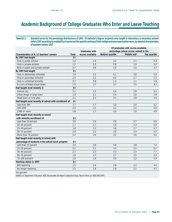### **Academic Background of College Graduates Who Enter and Leave Teaching**

**Table S31-2 Standard errors for the percentage distributions of 1992–93 bachelor's degree recipients who taught in elementary or secondary schools before 1997 according to availability of scores and the quartile ranking of their college entrance examination score, by selected characteristics of teachers' careers: 1997**

|                                                       |       |                  | Of graduates with scores available,   |             |              |  |  |  |
|-------------------------------------------------------|-------|------------------|---------------------------------------|-------------|--------------|--|--|--|
|                                                       |       | Graduates with   | percentage whose scores ranked in the |             |              |  |  |  |
| Characteristics of K-12 teachers' careers             | Total | scores available | Bottom quartile                       | Middle half | Top quartile |  |  |  |
| By 1997 had taught                                    | (t)   |                  |                                       |             |              |  |  |  |
| Only in public schools                                | 1.4   | 1.6              | 3.2                                   | 2.1         | 5.3          |  |  |  |
| Only in private schools                               | 1.2   | 1.5              | 2.8                                   | 1.9         | 5.2          |  |  |  |
| Both in public and private schools                    | 0.7   | 0.8              | 2.0                                   | 1.0         | 1.7          |  |  |  |
| By 1997 had taught                                    | (t)   |                  |                                       |             |              |  |  |  |
| Only in elementary school(s)                          | 1.9   | 2.2              | 4.1                                   | 3.0         | 5.0          |  |  |  |
| Only in secondary school(s)                           | 2.0   | 2.2              | 4.0                                   | 2.7         | 5.5          |  |  |  |
| Only in combined school(s)                            | 0.7   | 0.8              | 1.4                                   | 1.1         | 1.8          |  |  |  |
| In a mix of these school levels                       | 1.5   | 1.7              | 2.7                                   | 2.5         | 4.1          |  |  |  |
| Had taught most recently in                           | (t)   |                  |                                       |             |              |  |  |  |
| Central city                                          | 2.1   | 2.2              | 4.4                                   | 2.8         | 5.2          |  |  |  |
| Urban fringe or large town                            | 1.9   | 2.1              | 3.4                                   | 2.8         | 3.8          |  |  |  |
| Small town or rural area                              | 2.1   | 2.3              | 4.1                                   | 2.8         | 5.5          |  |  |  |
| Had taught most recently at school with enrollment of | (t)   |                  |                                       |             |              |  |  |  |
| Less than 300                                         | 1.7   | 1.7              | 3.0                                   | 2.0         | 4.2          |  |  |  |
| 300-999                                               | 2.0   | 2.1              | 4.2                                   | 2.4         | 4.9          |  |  |  |
| 1,000 or more                                         | 1.6   | 1.7              | 3.4                                   | 1.9         | 4.9          |  |  |  |
| Had taught most recently at school                    |       |                  |                                       |             |              |  |  |  |
| with minority enrollment of                           | (t)   |                  |                                       |             |              |  |  |  |
| Less than 10 percent                                  | 2.6   | 2.6              | 3.6                                   | 3.7         | 6.0          |  |  |  |
| 10-24 percent                                         | 1.7   | 1.7              | 2.9                                   | 2.3         | 5.0          |  |  |  |
| 25-49 percent                                         | 1.8   | 2.2              | 3.6                                   | 2.7         | 4.7          |  |  |  |
| 50-75 percent                                         | 1.9   | 2.2              | 3.8                                   | 3.3         | 2.7          |  |  |  |
| More than 75 percent                                  | 2.2   | 2.4              | 3.2                                   | 3.0         | 4.2          |  |  |  |
| Had taught most recently at school with               |       |                  |                                       |             |              |  |  |  |
| percentage of students in the school lunch program    | (t)   |                  |                                       |             |              |  |  |  |
| Less than 15 percent                                  | 2.4   | 2.6              | 4.8                                   | 3.8         | 7.4          |  |  |  |
| 15-29 percent                                         | 2.1   | 2.1              | 3.4                                   | 3.1         | 5.7          |  |  |  |
| 30-49 percent                                         | 2.2   | 2.3              | 4.3                                   | 2.4         | 7.7          |  |  |  |
| 50-74 percent                                         | 1.9   | 2.3              | 3.7                                   | 3.5         | 2.4          |  |  |  |
| 75-100 percent                                        | 1.9   | 1.9              | 4.0                                   | 2.2         | 2.9          |  |  |  |
| Teaching status in 1997                               | (t)   |                  |                                       |             |              |  |  |  |
| Still teaching                                        | 1.5   | 1.6              | 2.8                                   | 2.1         | 4.1          |  |  |  |
| No longer teaching                                    | 1.5   | 1.6              | 2.8                                   | 2.1         | 4.1          |  |  |  |

†Not applicable.

SOURCE: U.S. Department of Education, NCES. Baccalaureate and Beyond Longitudinal Study, "Second Follow-up" (B&B:1993/1997).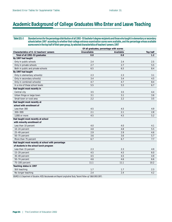### **Academic Background of College Graduates Who Enter and Leave Teaching**

**Table S31-3 Standard errors for the percentage distribution of all 1992–93 bachelor's degree recipients and those who taught in elementary or secondary schools before 1997 according to whether their college entrance examination scores were available, and the percentage whose available scores were in the top half of their peer group, by selected characteristics of teachers' careers: 1997**

|                                                    | Of all graduates, percentage with scores |           |          |
|----------------------------------------------------|------------------------------------------|-----------|----------|
| Characteristics of K-12 teachers' careers          | Unavailable                              | Available | Top half |
| Total of all 1992-93 graduates                     | 0.8                                      | 0.8       | 1.2      |
| By 1997 had taught                                 |                                          |           |          |
| Only in public schools                             | 2.4                                      | 2.4       | 2.5      |
| Only in private schools                            | 2.7                                      | 2.7       | 5.5      |
| Both in public and private schools                 | 6.5                                      | 6.5       | 8.4      |
| By 1997 had taught                                 |                                          |           |          |
| Only in elementary school(s)                       | 2.3                                      | 2.3       | 3.1      |
| Only in secondary school(s)                        | 3.4                                      | 3.4       | 4.5      |
| Only in combined school(s)                         | 4.7                                      | 4.7       | 8.4      |
| In a mix of these school levels                    | 5.5                                      | 5.5       | 6.7      |
| Had taught most recently in                        |                                          |           |          |
| Central city                                       | 3.5                                      | 3.5       | 4.4      |
| Urban fringe or large town                         | 3.1                                      | 3.1       | 3.6      |
| Small town or rural area                           | 2.2                                      | 2.2       | 3.5      |
| Had taught most recently at                        |                                          |           |          |
| school with enrollment of                          |                                          |           |          |
| Less than 300                                      | 4.5                                      | 4.5       | 4.9      |
| $300 - 999$                                        | 2.1                                      | 2.1       | 2.8      |
| 1,000 or more                                      | 4.5                                      | 4.5       | 5.2      |
| Had taught most recently at school                 |                                          |           |          |
| with minority enrollment of                        |                                          |           |          |
| Less than 10 percent                               | 4.0                                      | 4.0       | 4.1      |
| 10-24 percent                                      | 4.8                                      | 4.8       | 5.5      |
| 25-49 percent                                      | 2.9                                      | 2.9       | 4.6      |
| 50-75 percent                                      | 3.6                                      | 3.6       | 5.7      |
| More than 75 percent                               | 6.7                                      | 6.7       | 7.7      |
| Had taught most recently at school with percentage |                                          |           |          |
| of students in the school lunch program            |                                          |           |          |
| Less than 15 percent                               | 2.3                                      | 2.3       | 4.9      |
| 15-29 percent                                      | 4.5                                      | 4.5       | 6.0      |
| 30-49 percent                                      | 4.5                                      | 4.5       | 4.9      |
| 50-74 percent                                      | 4.6                                      | 4.6       | 6.6      |
| 75-100 percent                                     | 11.1                                     | 11.1      | 10.2     |
| Teaching status in 1997                            |                                          |           |          |
| Still teaching                                     | 1.7                                      | 1.7       | 2.3      |
| No longer teaching                                 | 2.4                                      | 2.4       | 4.2      |
|                                                    |                                          |           |          |

SOURCE: U.S. Department of Education, NCES. Baccalaureate and Beyond Longitudinal Study, "Second Follow-up" (B&B:1993/1997).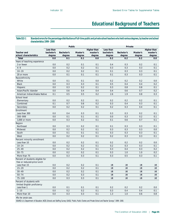## **Educational Background of Teachers**

#### **Table S32-1 Standard errors for the percentage distributions of full-time public and private school teachers who held various degrees, by teacher and school characteristics: 1999–2000**

|                                            |            | Public            |            |                    | Private             |                   |                   |                   |
|--------------------------------------------|------------|-------------------|------------|--------------------|---------------------|-------------------|-------------------|-------------------|
|                                            | Less than  |                   |            | <b>Higher than</b> | Less than           |                   |                   | Higher than       |
| Teacher and                                | bachelor's | <b>Bachelor's</b> | Master's   | master's           | bachelor's          | Bachelor's        | Master's          | master's          |
| school characteristics                     | degree     | degree            | degree     | degree             | degree              | degree            | degree            | degree            |
| Total                                      | 0.0        | 0.1               | 0.1        | 0.0                | 0.2                 | 0.2               | 0.2               | 0.0               |
| Years of teaching experience<br>3 or fewer | 0.0        |                   |            |                    |                     |                   |                   |                   |
| $4 - 9$                                    | 0.0        | 0.2<br>0.2        | 0.1<br>0.2 | 0.1<br>0.1         | 0.4<br>0.3          | 0.3<br>0.3        | 0.2<br>0.3        | 0.1<br>0.1        |
| $10 - 19$                                  |            | 0.2               | 0.2        | 0.1                |                     | 0.3               | 0.3               |                   |
|                                            | 0.0        |                   |            |                    | 0.1                 |                   |                   | 0.1               |
| 20 or more                                 | 0.0        | 0.1               | 0.1        | 0.1                | 0.1                 | 0.3               | 0.3               | 0.1               |
| Race/ethnicity<br>White                    | 0.0        | 0.1               | 0.1        | 0.0                | 0.2                 | 0.2               | 0.2               | 0.0               |
| <b>Black</b>                               | 0.0        | 0.3               | 0.3        | 0.1                | 0.5                 | 0.4               | 0.4               | 0.2               |
| Hispanic                                   | 0.0        | 0.3               | 0.2        | 0.1                | 0.3                 | 0.8               | 0.8               | 0.1               |
| Asian/Pacific Islander                     | 0.0        | 0.6               | 0.4        | 0.4                | 0.4                 | 0.6               | 0.7               | 0.2               |
| American Indian/Alaska Native              | 0.1        | 0.5               | 0.5        | 0.2                | 2.6                 | 1.9               | 0.8               | 0.3               |
| School level                               |            |                   |            |                    |                     |                   |                   |                   |
| Elementary                                 | 0.0        | 0.2               | 0.2        | 0.1                | 0.2                 | 0.2               | 0.2               | 0.1               |
| Combined                                   | 0.1        | 0.7               | 0.6        | 0.2                | 0.3                 | 0.4               | 0.3               | 0.1               |
| Secondary                                  | 0.0        | 0.2               | 0.2        | 0.1                | 0.2                 | 0.3               | 0.4               | 0.1               |
| Enrollment                                 |            |                   |            |                    |                     |                   |                   |                   |
| Less than 300                              | 0.0        | 0.4               | 0.3        | 0.1                | 0.3                 | 0.3               | 0.2               | 0.1               |
| 300-999                                    | 0.0        | 0.1               | 0.1        | 0.1                | 0.0                 | 0.3               | 0.2               | 0.1               |
| 1,000 or more                              | 0.0        | 0.3               | 0.2        | 0.1                | 0.1                 | 0.6               | 0.7               | 0.1               |
| Region                                     |            |                   |            |                    |                     |                   |                   |                   |
| Northeast                                  | 0.0        | 0.3               | 0.2        | 0.1                | 0.1                 | 0.3               | 0.3               | 0.1               |
| Midwest                                    | 0.0        | 0.2               | 0.2        | 0.1                | 0.3                 | 0.3               | 0.3               | 0.0               |
| South                                      | 0.0        | 0.1               | 0.1        | 0.1                | 0.3                 | 0.3               | 0.3               | 0.1               |
| West                                       | 0.0        | 0.2               | 0.2        | 0.1                | 0.2                 | 0.3               | 0.3               | 0.1               |
| Percent minority enrollment                |            |                   |            |                    |                     |                   |                   |                   |
| Less than 10                               | 0.0        | 0.2               | 0.2        | 0.1                | 0.2                 | 0.2               | 0.2               | 0.0               |
| $10 - 24$                                  | 0.0        | 0.2               | 0.2        | 0.1                | 0.2                 | 0.3               | 0.3               | 0.1               |
| $25 - 49$                                  | 0.0        | 0.2               | 0.2        | 0.1                | 0.3                 | 0.4               | 0.3               | 0.2               |
| $50 - 75$                                  | 0.0        | 0.2               | 0.2        | 0.1                | 0.3                 | 1.0               | $1.0$             | 0.2               |
| More than 75                               | 0.0        | 0.3               | 0.3        | 0.1                | 0.3                 | 0.5               | 0.3               | 0.1               |
| Percent of students eligible for           |            |                   |            |                    |                     |                   |                   |                   |
| free or reduced-price lunch                |            |                   |            |                    |                     |                   |                   |                   |
| Less than 15                               | 0.0        | 0.2               | 0.2        | 0.1                | $(\#)$              | $(\#)$            | $(\#)$            | $(\#)$            |
| $15 - 29$                                  | 0.0        | 0.2               | 0.2        | 0.1                | $(\#)$              | $\overline{(\#)}$ | $\overline{(\#)}$ | $(\#)$            |
| 30–49                                      | 0.0        | 0.2               | 0.2        | 0.1                | $(\#)$              | $(\#)$            | $(\#)$            | $(\#)$            |
| $50 - 74$                                  | 0.0        | 0.2               | 0.3        | 0.1                | $\left( \# \right)$ | $\overline{(\#)}$ | $(\#)$            | $\overline{(\#)}$ |
| $75 - 100$                                 | $0.0\,$    | 0.3               | 0.3        | 0.1                | $\overline{(\#)}$   | $\overline{(\#)}$ | $\overline{(\#)}$ | $(\#)$            |
| Percent of students with                   |            |                   |            |                    |                     |                   |                   |                   |
| limited English proficiency                |            |                   |            |                    |                     |                   |                   |                   |
| Less than 1                                | 0.0        | 0.1               | 0.1        | 0.1                | 0.2                 | 0.2               | 0.2               | 0.0               |
| $1 - 10$                                   | $0.0\,$    | 0.2               | 0.2        | 0.1                | 0.3                 | 0.4               | 0.4               | 0.1               |
| More than 10                               | $0.0\,$    | 0.3               | 0.3        | 0.1                | $1.3$               | 1.0               | 0.6               | 0.8               |

#Too few sample cases.

SOURCE: U.S. Department of Education, NCES. Schools and Staffing Survey (SASS), "Public, Public Charter, and Private School and Teacher Surveys," 1999–2000.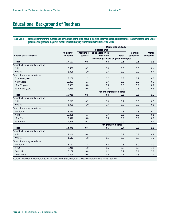## **Educational Background of Teachers**

#### **Table S32-2 Standard errors for the number and percentage distribution of full-time elementary public and private school teachers according to undergraduate and graduate majors in various fields of study, by teacher characteristics: 1999–2000**

|                                 |           | Major field of study     |                                             |       |           |           |
|---------------------------------|-----------|--------------------------|---------------------------------------------|-------|-----------|-----------|
|                                 |           |                          | Subject area                                |       |           |           |
|                                 | Number of | Academic                 | Specialization in                           |       | General   | Other     |
| Teacher characteristics         | teachers  | subject                  | education                                   | Total | education | education |
| Total                           | 17,102    | 0.5                      | For undergraduate or graduate degree<br>0.4 | 0.6   | 0.6       | 0.3       |
|                                 |           |                          |                                             |       |           |           |
| School where currently teaching |           |                          |                                             |       |           |           |
| Public                          | 16,402    | 0.5                      | 0.4                                         | 0.6   | 0.6       | 0.4       |
| Private                         | 3,006     | 1.0                      | 0.7                                         | 1.0   | 0.9       | 0.4       |
| Years of teaching experience    |           |                          |                                             |       |           |           |
| 3 or fewer years                | 8,208     | 1.2                      | 0.7                                         | 1.3   | 1.2       | 0.7       |
| 4 to 9 years                    | 10.301    | 1.1                      | 0.7                                         | 1.2   | 1.2       | 0.7       |
| 10 to 19 years                  | 9,463     | 0.8                      | 0.8                                         | 1.0   | 0.9       | 0.7       |
| 20 or more years                | 12,355    | 0.6                      | 0.8                                         | 0.9   | 0.8       | 0.6       |
|                                 |           | For undergraduate degree |                                             |       |           |           |
| <b>Total</b>                    | 16,936    | 0.5                      | 0.4                                         | 0.6   | 0.6       | 0.2       |
| School where currently teaching |           |                          |                                             |       |           |           |
| Public                          | 16,245    | 0.5                      | 0.4                                         | 0.7   | 0.6       | 0.3       |
| Private                         | 3,009     | 1.0                      | 0.7                                         | 0.9   | 0.9       | 0.3       |
| Years of teaching experience    |           |                          |                                             |       |           |           |
| 3 or fewer                      | 8,213     | 1.2                      | 0.7                                         | 1.3   | 1.3       | 0.7       |
| 4 to 9                          | 10,305    | 1.1                      | 0.7                                         | 1.3   | 1.2       | 0.5       |
| 10 to 19                        | 9,476     | 0.8                      | 0.8                                         | 0.9   | 0.9       | 0.6       |
| 20 or more                      | 12,326    | 0.7                      | 0.7                                         | 0.9   | 0.9       | 0.4       |
|                                 |           |                          | For graduate degree                         |       |           |           |
| <b>Total</b>                    | 13,370    | 0.4                      | 0.6                                         | 0.7   | 0.8       | 0.8       |
| School where currently teaching |           |                          |                                             |       |           |           |
| Public                          | 13,040    | 0.4                      | 0.7                                         | 0.8   | 0.9       | 0.8       |
| Private                         | 1,612     | 1.8                      | 1.1                                         | 1.9   | 1.8       | 1.7       |
| Years of teaching experience    |           |                          |                                             |       |           |           |
| 3 or fewer                      | 3,157     | 1.8                      | 2.2                                         | 2.8   | 3.0       | 3.0       |
| $4$ to $9$                      | 6,216     | 1.0                      | 1.5                                         | 1.8   | 1.8       | 1.8       |
| 10 to 19                        | 6,159     | 0.8                      | 1.2                                         | 1.2   | 1.4       | 1.6       |
| 20 or more                      | 9,394     | 0.6                      | 1.0                                         | 1.1   | 1.3       | 1.1       |

SOURCE: U.S. Department of Education, NCES. Schools and Staffing Survey (SASS), "Public, Public Charter, and Private School Teacher Surveys," 1999–2000.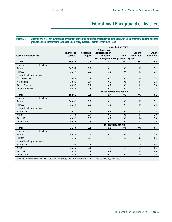## **Educational Background of Teachers**

**Table S32-3 Standard errors for the number and percentage distribution of full-time secondary public and private school teachers according to undergraduate and graduate majors in various fields of study, by teacher characteristics: 1999–2000**

| Major field of study            |           |                          |                                      |       |           |           |  |
|---------------------------------|-----------|--------------------------|--------------------------------------|-------|-----------|-----------|--|
|                                 |           |                          | Subject area                         |       |           |           |  |
|                                 | Number of | Academic                 | Specialization in                    |       | General   | Other     |  |
| <b>Teacher characteristics</b>  | teachers  | subject                  | education                            | Total | education | education |  |
|                                 |           |                          | For undergraduate or graduate degree |       |           |           |  |
| Total                           | 10,972    | 0.4                      | 0.4                                  | 0.2   | 0.2       | 0.2       |  |
| School where currently teaching |           |                          |                                      |       |           |           |  |
| Public                          | 10.766    | 0.4                      | 0.4                                  | 0.3   | 0.2       | 0.2       |  |
| Private                         | 2,277     | 1.2                      | 1.1                                  | 0.6   | 0.5       | 0.5       |  |
| Years of teaching experience    |           |                          |                                      |       |           |           |  |
| 3 or fewer years                | 3,044     | 0.9                      | 0.8                                  | 0.5   | 0.4       | 0.4       |  |
| 4 to 9 years                    | 3.806     | 0.7                      | 0.7                                  | 0.5   | 0.4       | 0.4       |  |
| 10 to 19 years                  | 4,087     | 0.7                      | 0.7                                  | 0.5   | 0.3       | 0.4       |  |
| 20 or more years                | 6,038     | 0.6                      | 0.7                                  | 0.4   | 0.3       | 0.3       |  |
|                                 |           | For undergraduate degree |                                      |       |           |           |  |
| Total                           | 10,881    | 0.4                      | 0.4                                  | 0.2   | 0.2       | 0.1       |  |
| School where currently teaching |           |                          |                                      |       |           |           |  |
| Public                          | 10,662    | 0.4                      | 0.4                                  | 0.3   | 0.2       | 0.1       |  |
| Private                         | 2,285     | 1.2                      | 1.1                                  | 0.7   | 0.6       | 0.4       |  |
| Years of teaching experience    |           |                          |                                      |       |           |           |  |
| 3 or fewer                      | 3.027     | 0.8                      | 0.8                                  | 0.5   | 0.4       | 0.3       |  |
| 4 to 9                          | 3,753     | 0.7                      | 0.7                                  | 0.5   | 0.4       | 0.3       |  |
| 10 to 19                        | 4,032     | 0.6                      | 0.7                                  | 0.5   | 0.4       | 0.3       |  |
| 20 or more                      | 6,012     | 0.6                      | 0.7                                  | 0.4   | 0.4       | 0.2       |  |
|                                 |           |                          | For graduate degree                  |       |           |           |  |
| <b>Total</b>                    | 7,140     | 0.4                      | 0.5                                  | 0.5   | 0.5       | 0.5       |  |
| School where currently teaching |           |                          |                                      |       |           |           |  |
| Public                          | 6,973     | 0.4                      | 0.5                                  | 0.5   | 0.5       | 0.5       |  |
| Private                         | 1,325     | 1.8                      | 1.8                                  | 1.3   | 0.8       | 1.1       |  |
| Years of teaching experience    |           |                          |                                      |       |           |           |  |
| 3 or fewer                      | 1,368     | 1.8                      | 1.9                                  | 1.7   | 1.6       | 1.4       |  |
| 4 to 9                          | 2,225     | 1.1                      | 1.2                                  | 1.1   | 1.0       | 1.1       |  |
| 10 to 19                        | 2,476     | 0.9                      | 0.9                                  | 1.1   | 0.8       | 1.0       |  |
| 20 or more                      | 4,828     | 0.6                      | 0.7                                  | 0.7   | 0.6       | 0.8       |  |

SOURCE: U.S. Department of Education, NCES. Schools and Staffing Survey (SASS), "Public, Public Charter, and Private School Teacher Surveys," 1999–2000.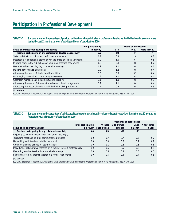### **Participation in Professional Development**

#### **Table S33-1 Standard errors for the percentage of public school teachers who participated in professional development activities in various content areas during the past 12 months, by focus of activity and hours of participation: 2000**

|                                                                         | Total participating |         | Hours of participation |              |
|-------------------------------------------------------------------------|---------------------|---------|------------------------|--------------|
| Focus of professional development activity                              | in activity         | $1 - 8$ | $9 - 32$               | More than 32 |
| Teachers participating in any professional development activity         | 0.2                 | (t)     | (t)                    | (t)          |
| State or district curriculum and performance standards                  | 0.7                 | 0.9     | 1.0                    | 0.7          |
| Integration of educational technology in the grade or subject you teach | 0.9                 | 1.0     | 0.7                    | 0.5          |
| In-depth study in the subject area of your main teaching assignment     | 0.8                 | 0.8     | 0.8                    | 0.7          |
| New methods of teaching (e.g., cooperative learning)                    | 0.9                 | 1.1     | 0.8                    | 0.6          |
| Student performance assessment                                          | 1.0                 | 1.2     | 0.8                    | 0.4          |
| Addressing the needs of students with disabilities                      | 1.0                 | 0.9     | 0.5                    | 0.4          |
| Encouraging parental and community involvement                          | 1.2                 | 1.1     | 0.5                    | 0.4          |
| Classroom management, including student discipline                      | 1.1                 | 1.0     | 0.5                    | 0.3          |
| Addressing the needs of students from diverse cultural backgrounds      | 1.1                 | 1.1     | 0.6                    | 0.4          |
| Addressing the needs of students with limited English proficiency       |                     | 0.9     | 0.4                    | 0.3          |
|                                                                         |                     |         |                        |              |

†Not applicable.

SOURCE: U.S. Department of Education, NCES. Fast Response Survey System (FRSS), "Survey on Professional Development and Training in U.S. Public Schools," FRSS 74, 1999–2000.

#### **Table S33-2 Standard errors for the percentage of public school teachers who participated in various collaborative activities during the past 12 months, by focus of activity and frequency of participation: 2000**

|                                                                            |                     | Frequency of participation |              |         |             |  |
|----------------------------------------------------------------------------|---------------------|----------------------------|--------------|---------|-------------|--|
|                                                                            | Total participating | At least                   | 2 to 3 times | Once    | A few times |  |
| Focus of collaborative activity                                            | in activity         | once a week                | a month      | a month | a year      |  |
| Teachers participating in any collaborative activity                       | 0.4                 | (t)                        |              | (t)     | (t)         |  |
| Regularly scheduled collaboration with other teacher(s),                   |                     |                            |              |         |             |  |
| excluding meetings held for administrative purposes                        | 1.0                 | 0.7                        | 0.7          | 0.7     | 0.7         |  |
| Networking with teachers outside the school                                | 0.8                 | 0.4                        | 0.5          | 0.7     | 0.9         |  |
| Common planning periods for team teachers                                  | 0.9                 | 1.1                        | 0.6          | 0.5     | 0.6         |  |
| Individual or collaborative research on a topic of interest professionally | 1.0                 | 0.5                        | 0.5          | 0.6     | 0.9         |  |
| Mentoring another teacher in a formal relationship                         | 0.8                 | 0.6                        | 0.4          | 0.3     | 0.5         |  |
| Being mentored by another teacher in a formal relationship                 | 0.9                 | 0.5                        | 0.3          | 0.4     | 0.5         |  |

†Not applicable.

SOURCE: U.S. Department of Education, NCES. Fast Response Survey System (FRSS), "Survey on Professional Development and Training in U.S. Public Schools," FRSS 74, 1999–2000.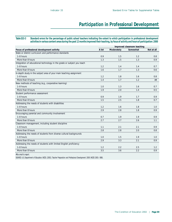### **Participation in Professional Development**

**Table S33-3 Standard errors for the percentage of public school teachers indicating the extent to which participation in professional development activities in various content areas during the past 12 months improved their teaching, by focus of activity and hours of participation: 2000**

|                                                                         | Improved classroom teaching |            |          |            |  |  |
|-------------------------------------------------------------------------|-----------------------------|------------|----------|------------|--|--|
| Focus of professional development activity                              | A lot                       | Moderately | Somewhat | Not at all |  |  |
| State or district curriculum and performance standards                  |                             |            |          |            |  |  |
| 1-8 hours                                                               | 0.9                         | 1.5        | 1.2      | 0.8        |  |  |
| More than 8 hours                                                       | 1.3                         | 1.5        | 1.3      | 0.9        |  |  |
| Integration of educational technology in the grade or subject you teach |                             |            |          |            |  |  |
| 1-8 hours                                                               | 1.2                         | 1.4        | 1.4      | 0.7        |  |  |
| More than 8 hours                                                       | 1.6                         | 1.7        | 1.3      | 0.6        |  |  |
| In-depth study in the subject area of your main teaching assignment     |                             |            |          |            |  |  |
| $1-8$ hours                                                             | 1.2                         | 1.8        | 1.6      | 0.8        |  |  |
| More than 8 hours                                                       | 1.4                         | 1.7        | 1.2      | $(\#)$     |  |  |
| New methods of teaching (e.g., cooperative learning)                    |                             |            |          |            |  |  |
| $1-8$ hours                                                             | 1.0                         | 1.3        | 1.6      | 0.7        |  |  |
| More than 8 hours                                                       | 1.9                         | 2.0        | 1.4      | 0.5        |  |  |
| Student performance assessment                                          |                             |            |          |            |  |  |
| 1-8 hours                                                               | 0.9                         | 1.9        | 1.7      | 0.9        |  |  |
| More than 8 hours                                                       | 1.5                         | 2.5        | 1.8      | 0.7        |  |  |
| Addressing the needs of students with disabilities                      |                             |            |          |            |  |  |
| 1-8 hours                                                               | 1.2                         | 1.6        | 1.8      | 1.0        |  |  |
| More than 8 hours                                                       | 2.9                         | 2.8        | 1.8      | 0.9        |  |  |
| Encouraging parental and community involvement                          |                             |            |          |            |  |  |
| $1-8$ hours                                                             | 0.7                         | 1.9        | 1.9      | 0.9        |  |  |
| More than 8 hours                                                       | 2.7                         | 2.7        | 2.6      | 1.1        |  |  |
| Classroom management, including student discipline                      |                             |            |          |            |  |  |
| $1-8$ hours                                                             | 1.1                         | 2.1        | 2.1      | 0.9        |  |  |
| More than 8 hours                                                       | 2.8                         | 2.8        | 2.0      | 0.8        |  |  |
| Addressing the needs of students from diverse cultural backgrounds      |                             |            |          |            |  |  |
| 1-8 hours                                                               | 1.0                         | 1.5        | 1.9      | 1.0        |  |  |
| More than 8 hours                                                       | 2.9                         | 3.3        | 2.1      | 0.9        |  |  |
| Addressing the needs of students with limited English proficiency       |                             |            |          |            |  |  |
| $1-8$ hours                                                             | 1.2                         | 2.2        | 2.5      | 1.2        |  |  |
| More than 8 hours                                                       | 3.5                         | 3.6        | 2.2      | 0.9        |  |  |
| a consisting a consistent                                               |                             |            |          |            |  |  |

 $#$ loo small to report.

SOURCE: U.S. Department of Education, NCES. (2001). *Teacher Preparation and Professional Development: 2000* (NCES 2001–088).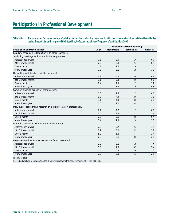## **Participation in Professional Development**

**Table S33-4 Standard errors for the percentage of public school teachers indicating the extent to which participation in various collaborative activities during the past 12 months improved their teaching, by focus of activity and frequency of participation: 2000**

|                                                                            | Improved classroom teaching |            |          |            |
|----------------------------------------------------------------------------|-----------------------------|------------|----------|------------|
| Focus of collaborative activity                                            | A lot                       | Moderately | Somewhat | Not at all |
| Regularly scheduled collaboration with other teacher(s),                   |                             |            |          |            |
| excluding meetings held for administrative purposes                        |                             |            |          |            |
| At least once a week                                                       | 1.8                         | 2.0        | 1.6      | 0.7        |
| 2 to 3 times a month                                                       | 2.5                         | 2.8        | 2.3      | 0.9        |
| Once a month                                                               | 1.7                         | 2.6        | 2.6      | 1.0        |
| A few times a year                                                         | 1.2                         | 2.1        | 1.9      | 1.3        |
| Networking with teachers outside the school                                |                             |            |          |            |
| At least once a week                                                       | 3.9                         | 4.2        | 3.0      | 0.8        |
| 2 to 3 times a month                                                       | 3.1                         | 3.3        | 2.6      | 0.6        |
| Once a month                                                               | 2.4                         | 2.9        | 2.5      | 1.2        |
| A few times a year                                                         | 1.0                         | 1.4        | 1.6      | 0.8        |
| Common planning periods for team teachers                                  |                             |            |          |            |
| At least once a week                                                       | 1.5                         | 1.5        | 1.3      | 0.6        |
| 2 to 3 times a month                                                       | 3.9                         | 4.4        | 2.6      | 1.3        |
| Once a month                                                               | 4.1                         | 4.3        | 3.6      | 2.0        |
| A few times a year                                                         | 2.6                         | 2.7        | 3.9      | 2.4        |
| Individual or collaborative research on a topic of interest professionally |                             |            |          |            |
| At least once a week                                                       | 2.7                         | 2.7        | 1.7      | 0.6        |
| 2 to 3 times a month                                                       | 3.0                         | 3.4        | 2.1      | $(\#)$     |
| Once a month                                                               | 2.8                         | 2.6        | 2.8      | 0.4        |
| A few times a year                                                         | 1.4                         | 1.9        | 2.0      | 1.0        |
| Mentoring another teacher in a formal relationship                         |                             |            |          |            |
| At least once a week                                                       | 2.3                         | 2.7        | 2.3      | 1.5        |
| 2 to 3 times a month                                                       | 2.9                         | 5.0        | 4.5      | 3.2        |
| Once a month                                                               | 5.2                         | 5.6        | 5.7      | 3.4        |
| A few times a year                                                         | 2.0                         | 3.1        | 3.6      | 2.8        |
| Being mentored by another teacher in a formal relationship                 |                             |            |          |            |
| At least once a week                                                       | 3.2                         | 3.1        | 1.9      | $(\#)$     |
| 2 to 3 times a month                                                       | 5.8                         | 4.9        | 4.2      | 2.4        |
| Once a month                                                               | 5.6                         | 6.8        | 4.6      | 2.2        |
| A few times a year                                                         | 2.2                         | 3.0        | 4.3      | 2.5        |
|                                                                            |                             |            |          |            |

#Too small to report.

SOURCE: U.S. Department of Education, NCES. (2001). *Teacher Preparation and Professional Development: 2000* (NCES 2001–088).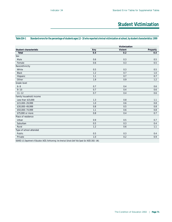### **Student Victimization**

#### **Table S34-1 Standard errors for the percentage of students ages 12–18 who reported criminal victimization at school, by student characteristics: 1999**

|                         |       | Victimization |          |
|-------------------------|-------|---------------|----------|
| Student characteristic  | Any   | Violent       | Property |
| Total                   | 0.4   | 0.2           | 0.4      |
| Sex                     |       |               |          |
| Male                    | 0.6   | 0.3           | 0.5      |
| Female                  | 0.6   | 0.3           | 0.5      |
| Race/ethnicity          |       |               |          |
| White                   | 0.5   | 0.3           | 0.5      |
| <b>Black</b>            | 1.2   | 0.7           | 1.0      |
| Hispanic                | 1.1   | 0.7           | 0.7      |
| Other                   | 1.9   | 0.9           | 1.2      |
| Grade level             |       |               |          |
| $6 - 8$                 | 0.7   | 0.4           | 0.6      |
| $9 - 10$                | 0.7   | 0.4           | 0.6      |
| $11 - 12$               | 0.7   | 0.4           | 0.6      |
| Family household income |       |               |          |
| Less than \$15,000      | 1.3   | 0.8           | 1.1      |
| \$15,000-29,999         | 1.0   | 0.6           | 0.8      |
| \$30,000-49,999         | 0.8   | 0.5           | 0.8      |
| \$50,000-74,999         | 1.1   | 0.6           | 0.8      |
| \$75,000 or more        | 0.8   | 0.4           | 0.7      |
| Place of residence      |       |               |          |
| Urban                   | 0.9   | 0.5           | 0.7      |
| Suburban                | 0.5   | 0.3           | 0.4      |
| Rural                   | 1.2   | 0.6           | 1.1      |
| Type of school attended |       |               |          |
| Public                  | 0.5   | 0.3           | 0.4      |
| Private                 | $1.0$ | 0.2           | 0.9      |

SOURCE: U.S. Department of Education, NCES. (forthcoming). *Are America's Schools Safe? Kids Speak Out* (NCES 2002–146)*.*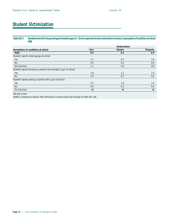## **Student Victimization**

#### **Table S34-2 Standard errors for the percentage of students ages 12–18 who reported criminal victimization at school, by perception of conditions at school: 1999**

|                                                                                            |        | Victimization  |          |  |
|--------------------------------------------------------------------------------------------|--------|----------------|----------|--|
| Perceptions of conditions at school                                                        | Any    | <b>Violent</b> | Property |  |
| Total                                                                                      | 0.4    | 0.2            | 0.4      |  |
| Student reports street gangs at school                                                     |        |                |          |  |
| Yes                                                                                        | 1.2    | 0.7            | 1.0      |  |
| <b>No</b>                                                                                  | 0.5    | 0.2            | 0.4      |  |
| Do not know                                                                                | 1.1    | 0.6            | 0.8      |  |
| Student reports knowing a student who brought a gun to school                              |        |                |          |  |
| Yes                                                                                        | 1.8    | 1.2            | 1.4      |  |
| No                                                                                         | 0.4    | 0.2            | 0.4      |  |
| Student reports seeing a student with a gun at school                                      |        |                |          |  |
| Yes                                                                                        | 3.0    | 1.9            | 2.4      |  |
| No                                                                                         | 0.4    | 0.2            | 0.4      |  |
| Do not know                                                                                | $(\#)$ | $(\#)$         | $(\#)$   |  |
| comment of the contract of the contract of the contract of the contract of the contract of |        |                |          |  |

#Too small to report.

SOURCE: U.S. Department of Education, NCES. (forthcoming). *Are America's Schools Safe? Kids Speak Out* (NCES 2002–146)*.*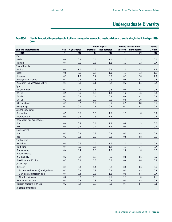# **Undergraduate Diversity**

#### **Table S35-1 Standard errors for the percentage distribution of undergraduates according to selected student characteristics, by institution type: 1999– 2000**

|                                    | Public 4-year |              |          | Private not-for-profit | Public   |             |        |
|------------------------------------|---------------|--------------|----------|------------------------|----------|-------------|--------|
| Student characteristics            | Total         | 4-year total | Doctoral | Nondoctoral            | Doctoral | Nondoctoral | 2-year |
| Total                              | (t)           | (t)          | (t)      | (t)                    | (t)      | (t)         | (t)    |
| Sex                                |               |              |          |                        |          |             |        |
| Male                               | 0.4           | 0.5          | 0.5      | 1.1                    | 1.3      | 1.3         | 0.7    |
| Female                             | 0.4           | 0.5          | 0.5      | 1.1                    | 1.3      | 1.3         | 0.7    |
| Race/ethnicity                     |               |              |          |                        |          |             |        |
| White                              | 0.8           | 1.0          | 0.9      | 2.9                    | 1.5      | 2.3         | 1.6    |
| <b>Black</b>                       | 0.6           | 0.6          | 0.6      | 1.9                    | 1.3      | 1.3         | 1.1    |
| Hispanic                           | 0.7           | 1.0          | 0.7      | 3.0                    | 0.7      | 2.8         | 1.0    |
| Asian/Pacific Islander             | 0.2           | 0.2          | 0.3      | 0.6                    | 0.6      | 0.3         | 0.4    |
| American Indian/Alaska Native      | 0.1           | 0.1          | 0.1      | 0.2                    | 0.2      | 0.4         | 0.2    |
| Age                                |               |              |          |                        |          |             |        |
| 18 and under                       | 0.2           | 0.2          | 0.3      | 0.6                    | 0.8      | 0.5         | 0.4    |
| $19 - 23$                          | 0.5           | 0.5          | 0.5      | 1.3                    | 1.2      | 1.6         | 0.8    |
| $24 - 29$                          | 0.3           | 0.3          | 0.4      | 0.8                    | 0.6      | 0.7         | 0.5    |
| $30 - 39$                          | 0.3           | 0.3          | 0.3      | 0.6                    | 0.6      | $1.0$       | 0.6    |
| 40 and above                       | 0.3           | 0.2          | 0.2      | 0.5                    | 0.5      | 0.8         | 0.6    |
| Average age                        | 0.1           | 0.1          | 0.1      | 0.2                    | 0.2      | 0.3         | 0.2    |
| Dependency status                  |               |              |          |                        |          |             |        |
| Dependent                          | 0.5           | 0.6          | 0.5      | 1.5                    | 1.1      | 1.8         | 0.9    |
| Independent                        | 0.5           | 0.6          | 0.5      | 1.5                    | 1.1      | 1.8         | 0.9    |
| Respondent has dependents          |               |              |          |                        |          |             |        |
| No                                 | 0.4           | 0.4          | 0.4      | 1.2                    | 0.8      | 1.3         | 0.7    |
| Yes                                | 0.4           | 0.4          | 0.4      | 1.2                    | 0.8      | 1.3         | 0.7    |
| Single parent                      |               |              |          |                        |          |             |        |
| No                                 | 0.3           | 0.3          | 0.3      | 0.9                    | 0.5      | 0.8         | 0.5    |
| Yes                                | 0.3           | 0.3          | 0.3      | 0.9                    | 0.5      | 0.8         | 0.5    |
| Employment                         |               |              |          |                        |          |             |        |
| Full-time                          | 0.5           | 0.6          | 0.6      | 1.6                    | 1.3      | 1.8         | 0.8    |
| Part-time                          | 0.4           | 0.6          | 0.7      | 1.2                    | 1.3      | 1.7         | 0.7    |
| Not working                        | 0.4           | 0.4          | 0.6      | 1.0                    | 1.0      | 1.0         | 0.7    |
| Disability status                  |               |              |          |                        |          |             |        |
| No disability                      | 0.2           | 0.2          | 0.3      | 0.5                    | 0.6      | 0.6         | 0.5    |
| Disability or difficulty           | 0.2           | 0.2          | 0.3      | 0.5                    | 0.6      | 0.6         | 0.5    |
| Citizenship                        |               |              |          |                        |          |             |        |
| Citizens                           | 0.3           | 0.3          | 0.4      | 0.8                    | 0.8      | 0.6         | 0.6    |
| Student and parent(s) foreign-born | 0.2           | 0.2          | 0.2      | 0.5                    | 0.5      | 0.3         | 0.4    |
| Only parent(s) foreign-born        | 0.4           | 0.4          | 0.5      | 1.3                    | 0.9      | 0.7         | 0.7    |
| All other citizens                 | 0.6           | 0.7          | 0.8      | 2.1                    | 1.3      | 1.0         | 1.1    |
| Permanent residents                | 0.3           | 0.3          | 0.3      | 0.7                    | 0.5      | 0.5         | 0.5    |
| Foreign students with visa         | 0.2           | 0.2          | 0.2      | 0.3                    | 0.7      | 0.4         | 0.3    |
| See footnotes at end of table.     |               |              |          |                        |          |             |        |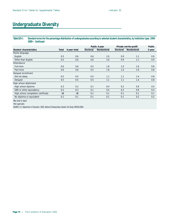# **Undergraduate Diversity**

#### **Table S35-1 Standard errors for the percentage distribution of undergraduates according to selected student characteristics, by institution type: 1999– 2000—Continued**

|        |              | Public 4-year |             | Private not-for-profit |             | Public |
|--------|--------------|---------------|-------------|------------------------|-------------|--------|
| Total  | 4-year total | Doctoral      | Nondoctoral | Doctoral               | Nondoctoral | 2-year |
|        |              |               |             |                        |             |        |
| 0.5    | 0.6          | 0.6           | 2.0         | 0.9                    | 1.1         | 0.9    |
| 0.5    | 0.6          | 0.6           | 2.0         | 0.9                    | 1.1         | 0.9    |
|        |              |               |             |                        |             |        |
| 0.6    | 0.6          | 0.5           | 1.8         | 1.0                    | 1.6         | 0.8    |
| 0.6    | 0.6          | 0.5           | 1.8         | 1.0                    | 1.6         | 0.8    |
|        |              |               |             |                        |             |        |
| 0.5    | 0.5          | 0.5           | 1.1         | 1.1                    | 1.4         | 0.8    |
| 0.5    | 0.5          | 0.5           | 1.1         | 1.1                    | 1.4         | 0.8    |
|        |              |               |             |                        |             |        |
| 0.3    | 0.2          | 0.1           | 0.4         | 0.2                    | 0.9         | 0.5    |
| 0.2    | 0.2          | 0.1           | 0.4         | 0.2                    | 0.9         | 0.4    |
| $(\#)$ | $(\#)$       | 0.1           | 0.1         | 0.1                    | 0.1         | 0.1    |
| 0.1    | 0.1          | 0.1           | 0.1         | 0.1                    | 0.2         | 0.2    |
|        |              |               |             |                        |             |        |

#Too small to report.

†Not applicable.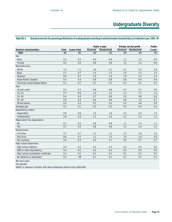### **Undergraduate Diversity**

#### **Table S35-2 Standard errors for the percentage distribution of undergraduates according to selected student characteristics, by institution type: 1989–90**

|                                    |       |              |          | Public 4-year |          | Private not-for-profit |        |
|------------------------------------|-------|--------------|----------|---------------|----------|------------------------|--------|
| <b>Student characteristics</b>     | Total | 4-year total | Doctoral | Nondoctoral   | Doctoral | Nondoctoral            | 2-year |
| <b>Total</b>                       | (t)   | (t)          | (t)      | (t)           | (t)      | (t)                    | (t)    |
| Sex                                |       |              |          |               |          |                        |        |
| Male                               | 0.5   | 0.5          | 0.9      | 0.9           | 1.2      | 1.5                    | 0.9    |
| Female                             | 0.5   | 0.5          | 0.9      | 0.9           | 1.2      | 1.5                    | 0.9    |
| Race/ethnicity                     |       |              |          |               |          |                        |        |
| White                              | 1.0   | 1.1          | 1.8      | 2.1           | 2.1      | 2.3                    | 1.9    |
| <b>Black</b>                       | 0.7   | 0.7          | 1.4      | 1.3           | 1.0      | 1.3                    | 1.4    |
| Hispanic                           | 0.6   | 0.7          | 1.0      | 1.0           | 1.9      | 2.1                    | 1.0    |
| Asian/Pacific Islander             | 0.3   | 0.4          | 0.6      | 0.8           | 0.6      | 0.4                    | 0.6    |
| American Indian/Alaska Native      | 0.1   | 0.1          | 0.1      | 0.1           | 0.1      | 0.1                    | 0.2    |
| Age                                |       |              |          |               |          |                        |        |
| 18 and under                       | 0.3   | 0.3          | 0.6      | 0.6           | 0.7      | 0.7                    | 0.6    |
| $19 - 23$                          | 0.7   | 0.6          | 1.0      | 1.2           | 1.5      | 1.7                    | 1.0    |
| $24 - 29$                          | 0.4   | 0.4          | 0.7      | 0.8           | 1.0      | 0.8                    | 0.6    |
| $30 - 39$                          | 0.4   | 0.4          | 0.6      | 0.6           | 0.8      | 1.0                    | 0.7    |
| 40 and above                       | 0.4   | 0.3          | 0.3      | 0.5           | 0.4      | 0.8                    | 0.9    |
| Average age                        | 0.2   | 0.1          | 0.2      | 0.2           | 0.3      | 0.4                    | 0.3    |
| Dependency status                  |       |              |          |               |          |                        |        |
| Dependent                          | 0.9   | 0.9          | 1.5      | 1.6           | 2.2      | 2.3                    | 1.2    |
| Independent                        | 0.9   | 0.9          | 1.5      | 1.6           | 2.2      | 2.3                    | 1.2    |
| Respondent has dependents          |       |              |          |               |          |                        |        |
| <b>No</b>                          | 0.7   | 0.5          | 0.8      | 0.8           | 1.1      | 1.4                    | 1.1    |
| Yes                                | 0.7   | 0.5          | 0.8      | 0.8           | 1.1      | 1.4                    | 1.1    |
| Employment                         |       |              |          |               |          |                        |        |
| Full-time                          | 0.7   | 0.7          | 1.1      | 1.1           | 1.5      | 1.8                    | 1.0    |
| Part-time                          | 0.6   | 0.7          | 1.1      | 1.3           | 1.9      | 1.9                    | 0.9    |
| Not working                        | 0.4   | 0.3          | 0.5      | 0.7           | 0.9      | 0.7                    | 0.7    |
| High school attainment             |       |              |          |               |          |                        |        |
| High school diploma                | 0.4   | 0.2          | 0.2      | 0.3           | 0.3      | 0.4                    | 0.6    |
| GED or other equivalency           | 0.2   | 0.1          | 0.2      | 0.3           | 0.2      | 0.3                    | 0.5    |
| High school completion certificate | 0.1   | 0.1          | 0.1      | 0.1           | 0.1      | 0.1                    | 0.2    |
| No diploma or equivalent           | 0.2   | $(\#)$       | 0.1      | 0.1           | 0.1      | 0.1                    | 0.3    |
|                                    |       |              |          |               |          |                        |        |

#Too small to report.

†Not applicable.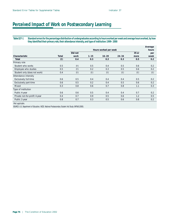# **Perceived Impact of Work on Postsecondary Learning**

#### **Table S37-1 Standard errors for the percentage distribution of undergraduates according to hours worked per week and average hours worked, by how they identified their primary role, their attendance intensity, and type of institution: 1999–2000**

|       |         |          |           |           |                       | Average |
|-------|---------|----------|-----------|-----------|-----------------------|---------|
|       |         |          |           |           |                       | hours   |
|       | Did not |          |           |           | 35 or                 | per     |
| Total | work    | $1 - 15$ | $16 - 20$ | $24 - 34$ | more                  | week    |
| (t)   | 0.4     | 0.3      | 0.3       | 0.3       | 0.5                   | 0.2     |
|       |         |          |           |           |                       |         |
| 0.5   | (†)     | 0.5      | 0.4       | 0.5       | 0.6                   | 0.2     |
| 0.5   | (t)     | 0.2      | 0.3       | 0.5       | 0.6                   | 0.2     |
| 0.4   | (†)     | (t)      | (†)       | (†)       | (†)                   | (†)     |
|       |         |          |           |           |                       |         |
| 0.6   | 0.5     | 0.4      | 0.4       | 0.4       | 0.5                   | 0.2     |
| 0.6   | 0.5     | 0.2      | 0.4       | 0.5       | 0.6                   | 0.2     |
| 0.3   | 0.8     | 0.6      | 0.7       | 0.8       | 1.1                   | 0.3     |
|       |         |          |           |           |                       |         |
| 0.6   | 0.6     | 0.5      | 0.4       | 0.4       | 0.7                   | 0.2     |
| 0.4   | 0.7     | 0.9      | 0.5       | 0.6       | 1.2                   | 0.5     |
| 0.8   | 0.7     | 0.3      | 0.5       | 0.6       | 0.8                   | 0.2     |
|       |         |          |           |           | Hours worked per week |         |

†Not applicable.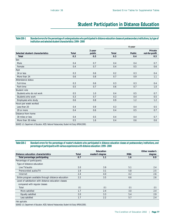### **Student Participation in Distance Education**

#### **Table S38-1 Standard errors for the percentage of undergraduates who participated in distance education classes at postsecondary institutions, by type of institution and selected student characteristics: 1999–2000**

|                                  |       |        |       | 4-year |                |
|----------------------------------|-------|--------|-------|--------|----------------|
|                                  |       | 2-year |       |        | Private        |
| Selected student characteristics | Total | public | Total | Public | not-for-profit |
| Total                            | 0.3   | 0.5    | 0.3   | 0.4    | 0.5            |
| Sex                              |       |        |       |        |                |
| Male                             | 0.4   | 0.7    | 0.4   | 0.4    | 0.7            |
| Female                           | 0.4   | 0.7    | 0.4   | 0.5    | 0.6            |
| Age                              |       |        |       |        |                |
| 24 or less                       | 0.3   | 0.6    | 0.2   | 0.3    | 0.4            |
| More than 24                     | 0.6   | 0.8    | 0.7   | 0.9    | 1.1            |
| Attendance status                |       |        |       |        |                |
| Full-time                        | 0.3   | 0.6    | 0.3   | 0.3    | 0.4            |
| Part-time                        | 0.5   | 0.7    | 0.6   | 0.7    | 1.0            |
| Student role                     |       |        |       |        |                |
| Students who do not work         | 0.5   | 1.0    | 0.4   | 0.5    | 0.7            |
| Students who work                | 0.3   | 0.7    | 0.3   | 0.4    | 0.5            |
| Employees who study              | 0.6   | 0.8    | 0.9   | 1.2    | 1.2            |
| Hours per week worked            |       |        |       |        |                |
| Less than 20                     | 0.4   | 0.9    | 0.3   | 0.4    | 0.5            |
| 20 or more                       | 0.4   | 0.6    | 0.4   | 0.5    | 0.7            |
| Distance from home               |       |        |       |        |                |
| 30 miles or less                 | 0.4   | 0.5    | 0.4   | 0.4    | 0.7            |
| More than 30 miles               | 0.5   | 1.6    | 0.4   | 0.6    | 0.6            |

SOURCE: U.S. Department of Education, NCES. National Postsecondary Student Aid Study (NPSAS:2000).

#### **Table S38-2 Standard errors for the percentage of master's students who participated in distance education classes at postsecondary institutions, and percentage of participants with various experiences with distance education: 1999–2000**

|                                                       |       | Education       |            | Other master's |
|-------------------------------------------------------|-------|-----------------|------------|----------------|
| Distance education characteristics                    | Total | master's degree | <b>MBA</b> | degree         |
| Total percentage participating                        | 0.7   | 1.1             | 1.6        | 0.9            |
| Percentage of participants                            |       |                 |            |                |
| Type of distance education                            |       |                 |            |                |
| Live TV/audio                                         | 2.0   | 3.9             | 5.1        | 2.4            |
| Prerecorded audio/TV                                  | 1.9   | 3.1             | 5.8        | 2.5            |
| Internet                                              | 2.4   | 4.0             | 4.2        | 2.6            |
| Entire program available through distance education   | 2.2   | 3.5             | 6.6        | 2.6            |
| Level of satisfaction with distance education classes |       |                 |            |                |
| compared with regular classes                         |       |                 |            |                |
| Total                                                 | (†)   | (t)             | (t)        | (†)            |
| More satisfied                                        | 1.7   | 2.4             | 3.0        | 2.4            |
| Equally satisfied                                     | 2.0   | 3.3             | 5.4        | 2.9            |
| Less satisfied                                        | 1.7   | 2.2             | 5.7        | 2.4            |

†Not applicable.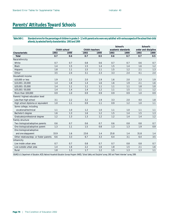### **Parents' Attitudes Toward Schools**

#### **Table S40-1 Standard errors for the percentage of children in grades 3–12 with parents who were very satisfied with various aspects of the school their child attends, by selected family characteristics: 1993 and 1999**

|                                         |      |                |                  |      |      | School's           |      | School's             |  |
|-----------------------------------------|------|----------------|------------------|------|------|--------------------|------|----------------------|--|
|                                         |      | Child's school | Child's teachers |      |      | academic standards |      | order and discipline |  |
| Characteristic                          | 1993 | 1999           | 1993             | 1999 | 1993 | 1999               | 1993 | 1999                 |  |
| Total                                   | 0.7  | 0.6            | 0.7              | 0.5  | 0.6  | 0.7                | 0.7  | 0.5                  |  |
| Race/ethnicity                          |      |                |                  |      |      |                    |      |                      |  |
| White                                   | 0.7  | 0.7            | 0.8              | 0.6  | 0.7  | 0.7                | 0.6  | 0.7                  |  |
| <b>Black</b>                            | 1.4  | 1.5            | 1.5              | 1.4  | 1.5  | 1.4                | 1.6  | 1.2                  |  |
| Hispanic                                | 1.8  | 1.1            | 1.5              | 1.1  | 1.5  | 1.2                | 2.1  | 1.3                  |  |
| Other                                   | 3.5  | 2.4            | 3.1              | 2.3  | 3.3  | 2.4                | 4.1  | 2.4                  |  |
| Household income                        |      |                |                  |      |      |                    |      |                      |  |
| \$10,000 or less                        | 1.9  | 2.2            | 2.0              | 1.9  | 1.6  | 2.0                | 2.3  | 1.9                  |  |
| \$10,001-20,000                         | 1.4  | 1.8            | 1.4              | 1.6  | 1.6  | 1.9                | 2.1  | 1.6                  |  |
| \$20,001-35,000                         | 1.4  | 1.1            | 1.1              | 1.1  | 1.1  | 1.1                | 1.8  | 1.0                  |  |
| \$35,001-50,000                         | 1.4  | 1.4            | 1.4              | 1.2  | 1.1  | 1.5                | 1.1  | 1.2                  |  |
| More than \$50,000                      | 0.9  | 1.0            | 0.9              | 0.9  | 0.9  | 0.9                | 1.0  | 0.9                  |  |
| Parents' highest education level        |      |                |                  |      |      |                    |      |                      |  |
| Less than high school                   | 3.1  | 2.2            | 3.2              | 1.9  | 3.3  | 2.0                | 4.0  | 1.8                  |  |
| High school diploma or equivalent       | 1.0  | 1.1            | 0.9              | 1.1  | 0.9  | 1.2                | 1.0  | 1.1                  |  |
| Some college, including                 |      |                |                  |      |      |                    |      |                      |  |
| vocational/technical                    | 1.1  | 1.0            | 1.2              | 1.0  | 1.1  | 1.0                | 1.1  | 1.1                  |  |
| Bachelor's degree                       | 1.6  | 1.3            | 1.6              | 1.2  | 1.5  | 1.4                | 1.5  | 1.3                  |  |
| Graduate/professional degree            | 1.2  | 1.3            | 1.3              | 1.2  | 1.2  | 1.4                | 1.4  | 1.2                  |  |
| Family structure                        |      |                |                  |      |      |                    |      |                      |  |
| Two biological/adoptive parents         | 0.6  | 0.7            | 0.6              | 0.7  | 0.6  | 0.8                | 0.8  | 0.7                  |  |
| One biological/adoptive parent          | 1.3  | 1.1            | 1.5              | 0.8  | 1.3  | 1.3                | 1.9  | 0.9                  |  |
| One biological/adoptive                 |      |                |                  |      |      |                    |      |                      |  |
| and one stepparent                      | 33.9 | 1.6            | 23.6             | 1.4  | 25.8 | 1.4                | 31.8 | 1.4                  |  |
| Other relatives/step- or foster parents | 6.6  | 3.3            | 6.7              | 3.3  | 6.4  | 3.1                | 6.4  | 3.5                  |  |
| Urbanicity                              |      |                |                  |      |      |                    |      |                      |  |
| Live inside urban area                  | 0.7  | 0.7            | 0.8              | 0.7  | 0.7  | 0.8                | 0.8  | 0.7                  |  |
| Live outside urban area                 | 1.4  | 1.6            | 2.2              | 1.6  | 1.8  | 1.5                | 2.1  | 1.6                  |  |
| Rural                                   | 1.8  | 1.3            | 1.7              | 1.2  | 1.5  | 1.3                | 1.3  | 1.1                  |  |

SOURCE: U.S. Department of Education, NCES. National Household Education Surveys Program (NHES), "School Safety and Discipline" survey, 1993 and "Parent Interview" survey, 1999.